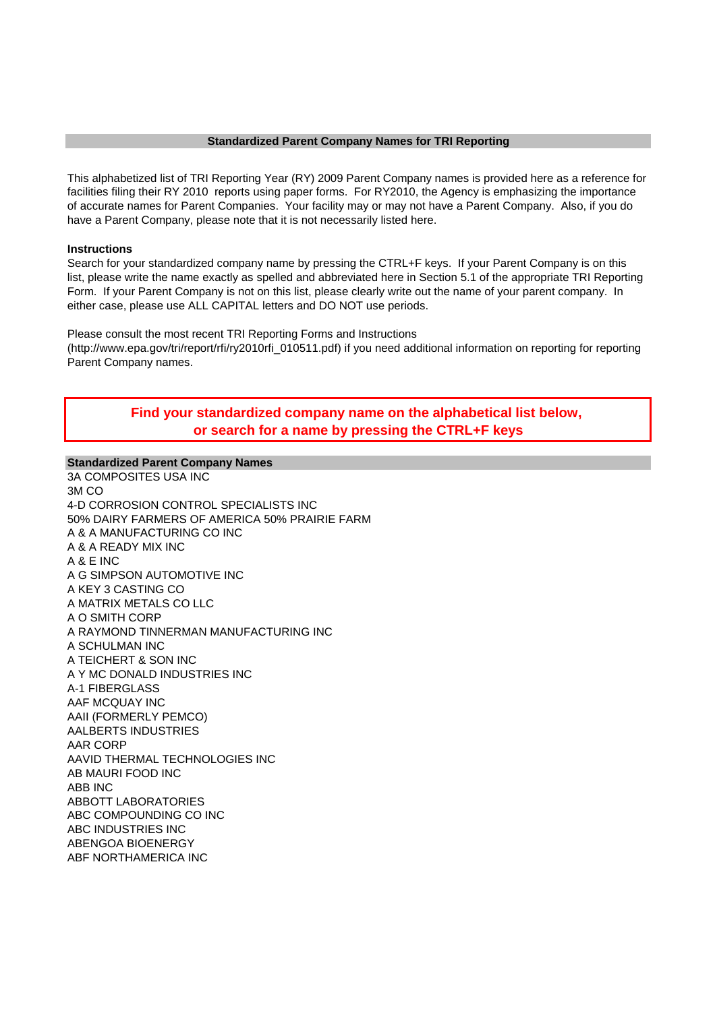### **Standardized Parent Company Names for TRI Reporting**

This alphabetized list of TRI Reporting Year (RY) 2009 Parent Company names is provided here as a reference for facilities filing their RY 2010 reports using paper forms. For RY2010, the Agency is emphasizing the importance of accurate names for Parent Companies. Your facility may or may not have a Parent Company. Also, if you do have a Parent Company, please note that it is not necessarily listed here.

### **Instructions**

Search for your standardized company name by pressing the CTRL+F keys. If your Parent Company is on this list, please write the name exactly as spelled and abbreviated here in Section 5.1 of the appropriate TRI Reporting Form. If your Parent Company is not on this list, please clearly write out the name of your parent company. In either case, please use ALL CAPITAL letters and DO NOT use periods.

Please consult the most recent TRI Reporting Forms and Instructions (http://www.epa.gov/tri/report/rfi/ry2010rfi\_010511.pdf) if you need additional information on reporting for reporting Parent Company names.

# **Find your standardized company name on the alphabetical list below, or search for a name by pressing the CTRL+F keys**

# **Standardized Parent Company Names**

3A COMPOSITES USA INC 3M CO 4-D CORROSION CONTROL SPECIALISTS INC 50% DAIRY FARMERS OF AMERICA 50% PRAIRIE FARM A & A MANUFACTURING CO INC A & A READY MIX INC A & E INC A G SIMPSON AUTOMOTIVE INC A KEY 3 CASTING CO A MATRIX METALS CO LLC A O SMITH CORP A RAYMOND TINNERMAN MANUFACTURING INC A SCHULMAN INC A TEICHERT & SON INC A Y MC DONALD INDUSTRIES INC A-1 FIBERGLASS AAF MCQUAY INC AAII (FORMERLY PEMCO) AALBERTS INDUSTRIES AAR CORP AAVID THERMAL TECHNOLOGIES INC AB MAURI FOOD INC ABB INC ABBOTT LABORATORIES ABC COMPOUNDING CO INC ABC INDUSTRIES INC ABENGOA BIOENERGY ABF NORTHAMERICA INC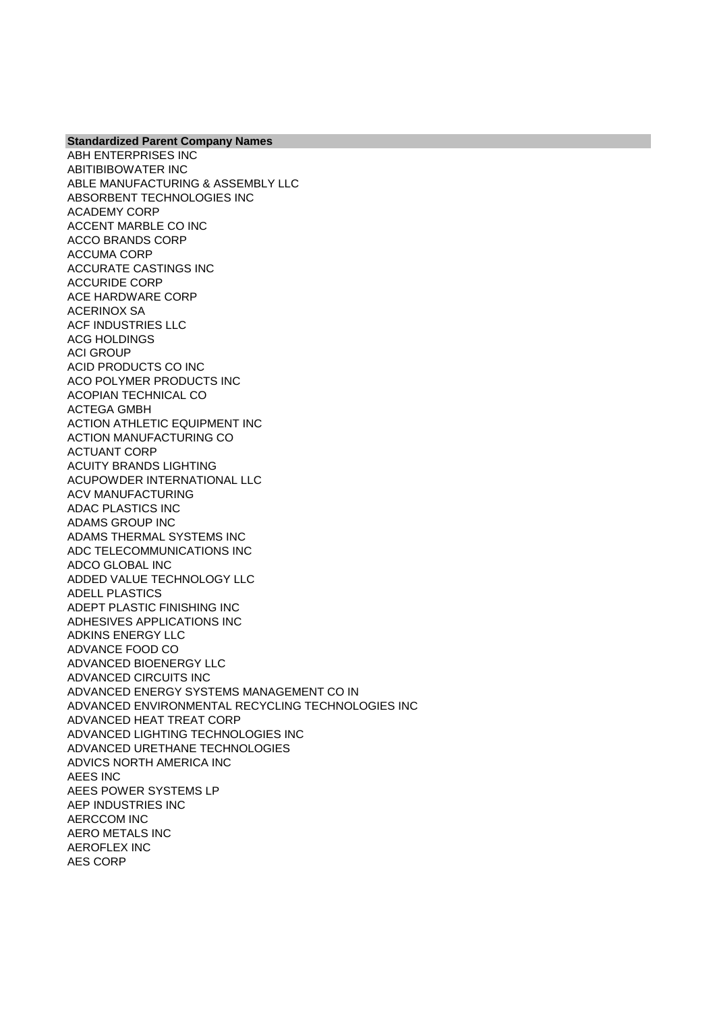ABH ENTERPRISES INC ABITIBIBOWATER INC ABLE MANUFACTURING & ASSEMBLY LLC ABSORBENT TECHNOLOGIES INC ACADEMY CORP ACCENT MARBLE CO INC ACCO BRANDS CORP ACCUMA CORP ACCURATE CASTINGS INC ACCURIDE CORP ACE HARDWARE CORP ACERINOX SA ACF INDUSTRIES LLC ACG HOLDINGS ACI GROUP ACID PRODUCTS CO INC ACO POLYMER PRODUCTS INC ACOPIAN TECHNICAL CO ACTEGA GMBH ACTION ATHLETIC EQUIPMENT INC ACTION MANUFACTURING CO ACTUANT CORP ACUITY BRANDS LIGHTING ACUPOWDER INTERNATIONAL LLC ACV MANUFACTURING ADAC PLASTICS INC ADAMS GROUP INC ADAMS THERMAL SYSTEMS INC ADC TELECOMMUNICATIONS INC ADCO GLOBAL INC ADDED VALUE TECHNOLOGY LLC ADELL PLASTICS ADEPT PLASTIC FINISHING INC ADHESIVES APPLICATIONS INC ADKINS ENERGY LLC ADVANCE FOOD CO ADVANCED BIOENERGY LLC ADVANCED CIRCUITS INC ADVANCED ENERGY SYSTEMS MANAGEMENT CO IN ADVANCED ENVIRONMENTAL RECYCLING TECHNOLOGIES INC ADVANCED HEAT TREAT CORP ADVANCED LIGHTING TECHNOLOGIES INC ADVANCED URETHANE TECHNOLOGIES ADVICS NORTH AMERICA INC AEES INC AEES POWER SYSTEMS LP AEP INDUSTRIES INC AERCCOM INC AERO METALS INC AEROFLEX INC AES CORP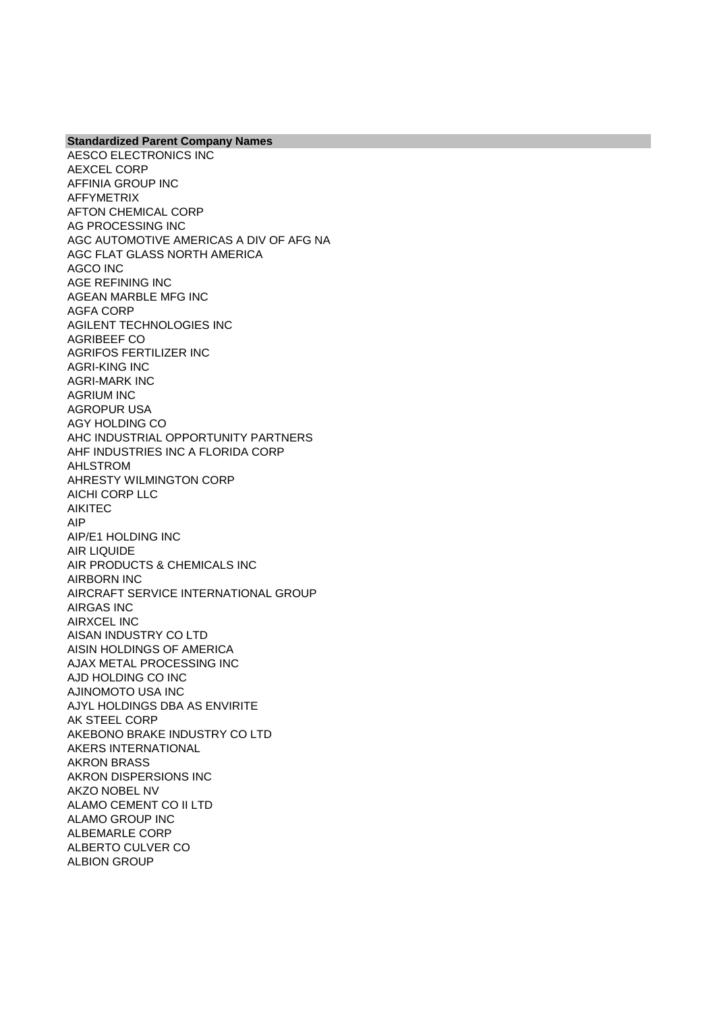AESCO ELECTRONICS INC AEXCEL CORP AFFINIA GROUP INC AFFYMETRIX AFTON CHEMICAL CORP AG PROCESSING INC AGC AUTOMOTIVE AMERICAS A DIV OF AFG NA AGC FLAT GLASS NORTH AMERICA AGCO INC AGE REFINING INC AGEAN MARBLE MFG INC AGFA CORP AGILENT TECHNOLOGIES INC AGRIBEEF CO AGRIFOS FERTILIZER INC AGRI-KING INC AGRI-MARK INC AGRIUM INC AGROPUR USA AGY HOLDING CO AHC INDUSTRIAL OPPORTUNITY PARTNERS AHF INDUSTRIES INC A FLORIDA CORP AHLSTROM AHRESTY WILMINGTON CORP AICHI CORP LLC AIKITEC AIP AIP/E1 HOLDING INC AIR LIQUIDE AIR PRODUCTS & CHEMICALS INC AIRBORN INC AIRCRAFT SERVICE INTERNATIONAL GROUP AIRGAS INC AIRXCEL INC AISAN INDUSTRY CO LTD AISIN HOLDINGS OF AMERICA AJAX METAL PROCESSING INC AJD HOLDING CO INC AJINOMOTO USA INC AJYL HOLDINGS DBA AS ENVIRITE AK STEEL CORP AKEBONO BRAKE INDUSTRY CO LTD AKERS INTERNATIONAL AKRON BRASS AKRON DISPERSIONS INC AKZO NOBEL NV ALAMO CEMENT CO II LTD ALAMO GROUP INC ALBEMARLE CORP ALBERTO CULVER CO ALBION GROUP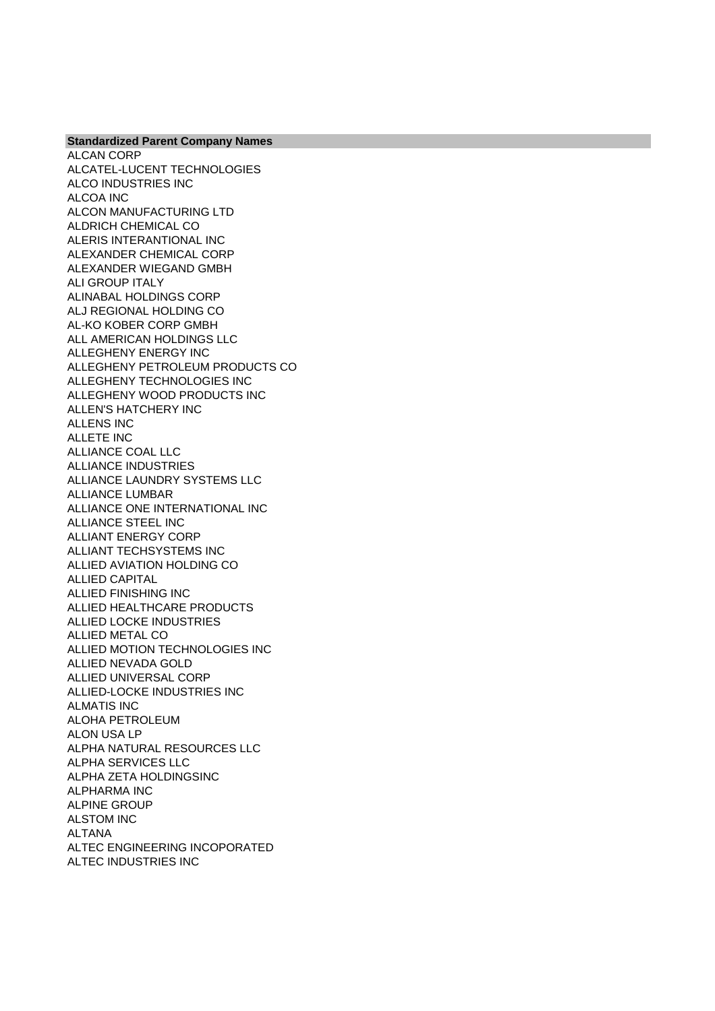ALCATEL-LUCENT TECHNOLOGIES ALCO INDUSTRIES INC ALCOA INC ALCON MANUFACTURING LTD ALDRICH CHEMICAL CO ALERIS INTERANTIONAL INC ALEXANDER CHEMICAL CORP ALEXANDER WIEGAND GMBH ALI GROUP ITALY ALINABAL HOLDINGS CORP ALJ REGIONAL HOLDING CO AL-KO KOBER CORP GMBH ALL AMERICAN HOLDINGS LLC ALLEGHENY ENERGY INC ALLEGHENY PETROLEUM PRODUCTS CO ALLEGHENY TECHNOLOGIES INC

**Standardized Parent Company Names**

ALCAN CORP

ALLEGHENY WOOD PRODUCTS INC ALLEN'S HATCHERY INC ALLENS INC ALLETE INC ALLIANCE COAL LLC ALLIANCE INDUSTRIES ALLIANCE LAUNDRY SYSTEMS LLC ALLIANCE LUMBAR ALLIANCE ONE INTERNATIONAL INC ALLIANCE STEEL INC ALLIANT ENERGY CORP ALLIANT TECHSYSTEMS INC ALLIED AVIATION HOLDING CO ALLIED CAPITAL ALLIED FINISHING INC ALLIED HEALTHCARE PRODUCTS ALLIED LOCKE INDUSTRIES ALLIED METAL CO ALLIED MOTION TECHNOLOGIES INC ALLIED NEVADA GOLD ALLIED UNIVERSAL CORP ALLIED-LOCKE INDUSTRIES INC ALMATIS INC ALOHA PETROLEUM ALON USA LP ALPHA NATURAL RESOURCES LLC ALPHA SERVICES LLC ALPHA ZETA HOLDINGSINC ALPHARMA INC ALPINE GROUP ALSTOM INC ALTANA ALTEC ENGINEERING INCOPORATED ALTEC INDUSTRIES INC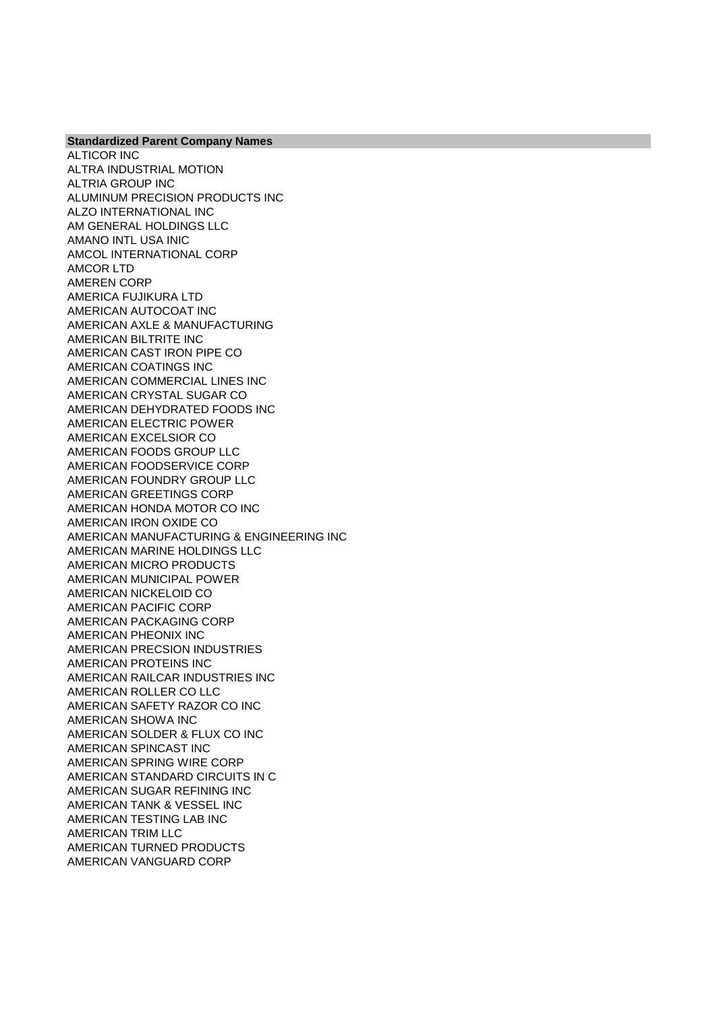**Standardized Parent Company Names** ALTICOR INC ALTRA INDUSTRIAL MOTION ALTRIA GROUP INC ALUMINUM PRECISION PRODUCTS INC ALZO INTERNATIONAL INC AM GENERAL HOLDINGS LLC AMANO INTL USA INIC AMCOL INTERNATIONAL CORP AMCOR LTD AMEREN CORP AMERICA FUJIKURA LTD AMERICAN AUTOCOAT INC AMERICAN AXLE & MANUFACTURING AMERICAN BILTRITE INC AMERICAN CAST IRON PIPE CO AMERICAN COATINGS INC AMERICAN COMMERCIAL LINES INC AMERICAN CRYSTAL SUGAR CO AMERICAN DEHYDRATED FOODS INC AMERICAN ELECTRIC POWER AMERICAN EXCELSIOR CO AMERICAN FOODS GROUP LLC AMERICAN FOODSERVICE CORP AMERICAN FOUNDRY GROUP LLC AMERICAN GREETINGS CORP AMERICAN HONDA MOTOR CO INC AMERICAN IRON OXIDE CO AMERICAN MANUFACTURING & ENGINEERING INC AMERICAN MARINE HOLDINGS LLC AMERICAN MICRO PRODUCTS AMERICAN MUNICIPAL POWER AMERICAN NICKELOID CO AMERICAN PACIFIC CORP AMERICAN PACKAGING CORP AMERICAN PHEONIX INC AMERICAN PRECSION INDUSTRIES AMERICAN PROTEINS INC AMERICAN RAILCAR INDUSTRIES INC AMERICAN ROLLER CO LLC AMERICAN SAFETY RAZOR CO INC AMERICAN SHOWA INC AMERICAN SOLDER & FLUX CO INC AMERICAN SPINCAST INC AMERICAN SPRING WIRE CORP AMERICAN STANDARD CIRCUITS IN C AMERICAN SUGAR REFINING INC AMERICAN TANK & VESSEL INC AMERICAN TESTING LAB INC AMERICAN TRIM LLC AMERICAN TURNED PRODUCTS AMERICAN VANGUARD CORP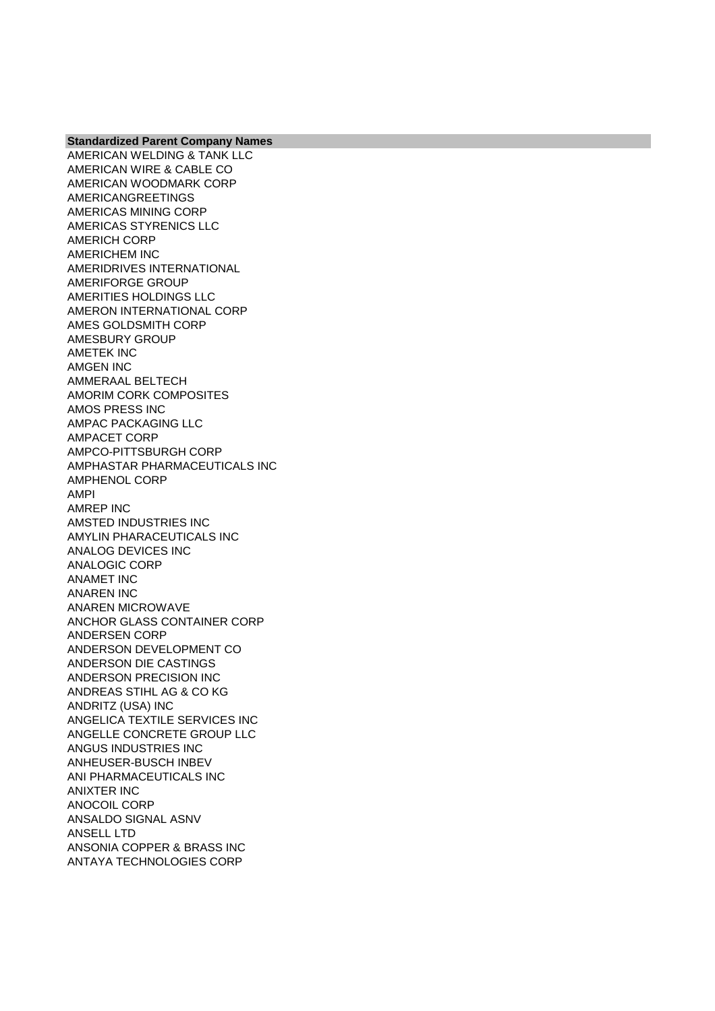AMERICAN WELDING & TANK LLC AMERICAN WIRE & CABLE CO AMERICAN WOODMARK CORP AMERICANGREETINGS AMERICAS MINING CORP AMERICAS STYRENICS LLC AMERICH CORP AMERICHEM INC AMERIDRIVES INTERNATIONAL AMERIFORGE GROUP AMERITIES HOLDINGS LLC AMERON INTERNATIONAL CORP AMES GOLDSMITH CORP AMESBURY GROUP AMETEK INC AMGEN INC AMMERAAL BELTECH AMORIM CORK COMPOSITES AMOS PRESS INC AMPAC PACKAGING LLC AMPACET CORP AMPCO-PITTSBURGH CORP AMPHASTAR PHARMACEUTICALS INC AMPHENOL CORP AMPI AMREP INC AMSTED INDUSTRIES INC AMYLIN PHARACEUTICALS INC ANALOG DEVICES INC ANALOGIC CORP ANAMET INC ANAREN INC ANAREN MICROWAVE ANCHOR GLASS CONTAINER CORP ANDERSEN CORP ANDERSON DEVELOPMENT CO ANDERSON DIE CASTINGS ANDERSON PRECISION INC ANDREAS STIHL AG & CO KG ANDRITZ (USA) INC ANGELICA TEXTILE SERVICES INC ANGELLE CONCRETE GROUP LLC ANGUS INDUSTRIES INC ANHEUSER-BUSCH INBEV ANI PHARMACEUTICALS INC ANIXTER INC ANOCOIL CORP ANSALDO SIGNAL ASNV ANSELL LTD ANSONIA COPPER & BRASS INC ANTAYA TECHNOLOGIES CORP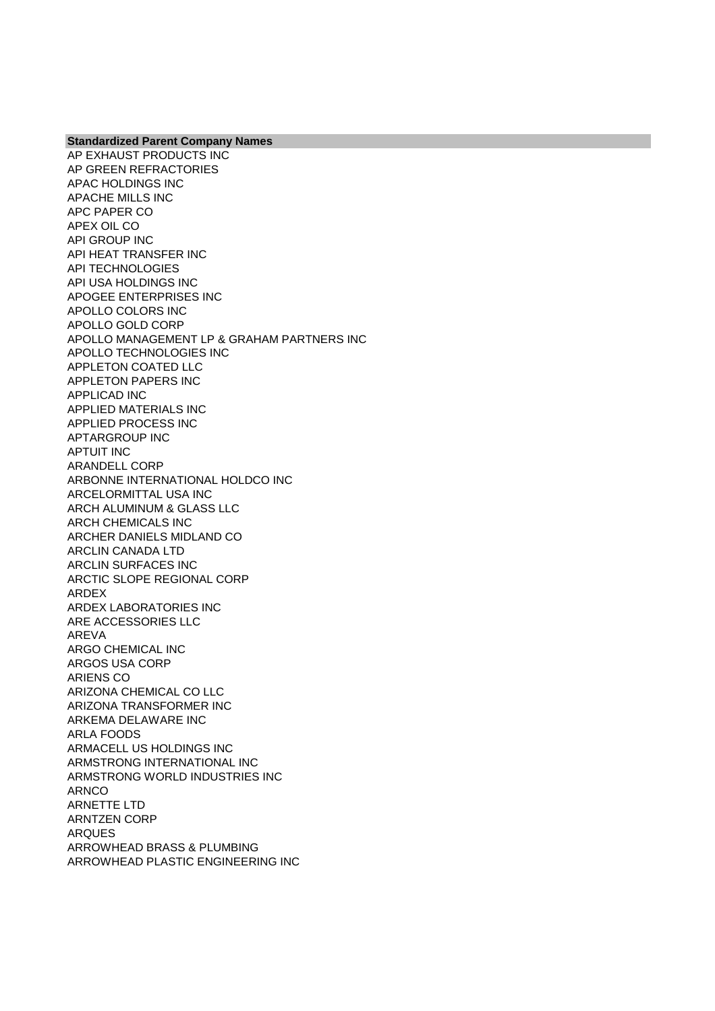AP EXHAUST PRODUCTS INC AP GREEN REFRACTORIES APAC HOLDINGS INC APACHE MILLS INC APC PAPER CO APEX OIL CO API GROUP INC API HEAT TRANSFER INC API TECHNOLOGIES API USA HOLDINGS INC APOGEE ENTERPRISES INC APOLLO COLORS INC APOLLO GOLD CORP APOLLO MANAGEMENT LP & GRAHAM PARTNERS INC APOLLO TECHNOLOGIES INC APPLETON COATED LLC APPLETON PAPERS INC APPLICAD INC APPLIED MATERIALS INC APPLIED PROCESS INC APTARGROUP INC APTUIT INC ARANDELL CORP ARBONNE INTERNATIONAL HOLDCO INC ARCELORMITTAL USA INC ARCH ALUMINUM & GLASS LLC ARCH CHEMICALS INC ARCHER DANIELS MIDLAND CO ARCLIN CANADA LTD ARCLIN SURFACES INC ARCTIC SLOPE REGIONAL CORP ARDEX ARDEX LABORATORIES INC ARE ACCESSORIES LLC AREVA ARGO CHEMICAL INC ARGOS USA CORP ARIENS CO ARIZONA CHEMICAL CO LLC ARIZONA TRANSFORMER INC ARKEMA DELAWARE INC ARLA FOODS ARMACELL US HOLDINGS INC ARMSTRONG INTERNATIONAL INC ARMSTRONG WORLD INDUSTRIES INC ARNCO ARNETTE LTD ARNTZEN CORP ARQUES ARROWHEAD BRASS & PLUMBING ARROWHEAD PLASTIC ENGINEERING INC

**Standardized Parent Company Names**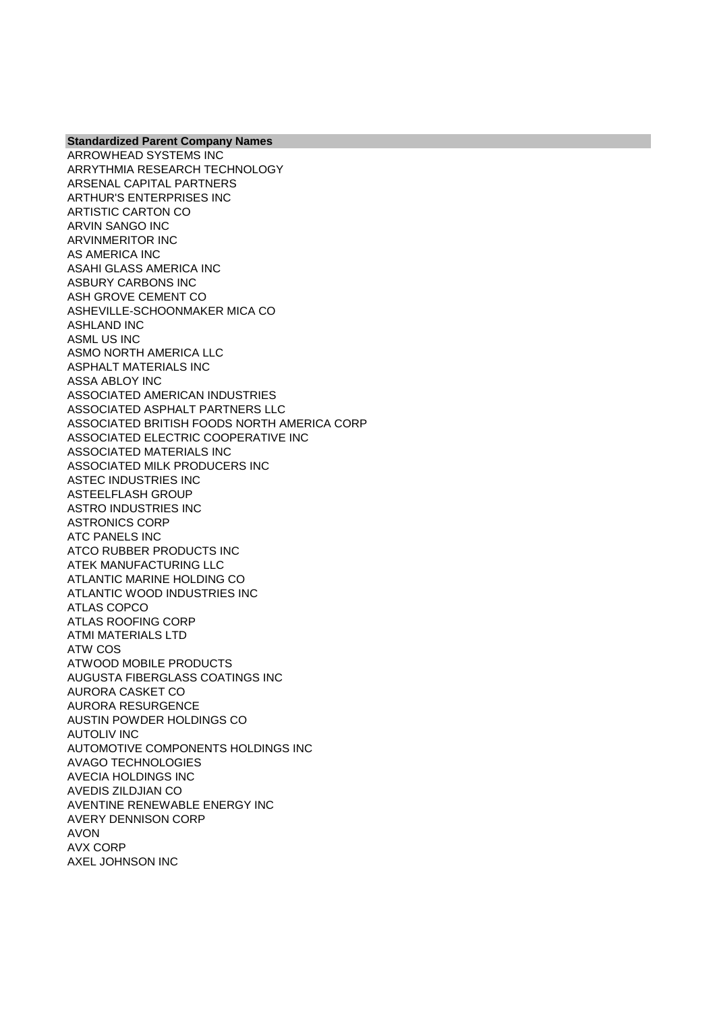ARROWHEAD SYSTEMS INC ARRYTHMIA RESEARCH TECHNOLOGY ARSENAL CAPITAL PARTNERS ARTHUR'S ENTERPRISES INC ARTISTIC CARTON CO ARVIN SANGO INC ARVINMERITOR INC AS AMERICA INC ASAHI GLASS AMERICA INC ASBURY CARBONS INC ASH GROVE CEMENT CO ASHEVILLE-SCHOONMAKER MICA CO ASHLAND INC ASML US INC ASMO NORTH AMERICA LLC ASPHALT MATERIALS INC ASSA ABLOY INC ASSOCIATED AMERICAN INDUSTRIES ASSOCIATED ASPHALT PARTNERS LLC ASSOCIATED BRITISH FOODS NORTH AMERICA CORP ASSOCIATED ELECTRIC COOPERATIVE INC ASSOCIATED MATERIALS INC ASSOCIATED MILK PRODUCERS INC ASTEC INDUSTRIES INC ASTEELFLASH GROUP ASTRO INDUSTRIES INC ASTRONICS CORP ATC PANELS INC ATCO RUBBER PRODUCTS INC ATEK MANUFACTURING LLC ATLANTIC MARINE HOLDING CO ATLANTIC WOOD INDUSTRIES INC ATLAS COPCO ATLAS ROOFING CORP ATMI MATERIALS LTD ATW COS ATWOOD MOBILE PRODUCTS AUGUSTA FIBERGLASS COATINGS INC AURORA CASKET CO AURORA RESURGENCE AUSTIN POWDER HOLDINGS CO AUTOLIV INC AUTOMOTIVE COMPONENTS HOLDINGS INC AVAGO TECHNOLOGIES AVECIA HOLDINGS INC AVEDIS ZILDJIAN CO AVENTINE RENEWABLE ENERGY INC AVERY DENNISON CORP AVON AVX CORP AXEL JOHNSON INC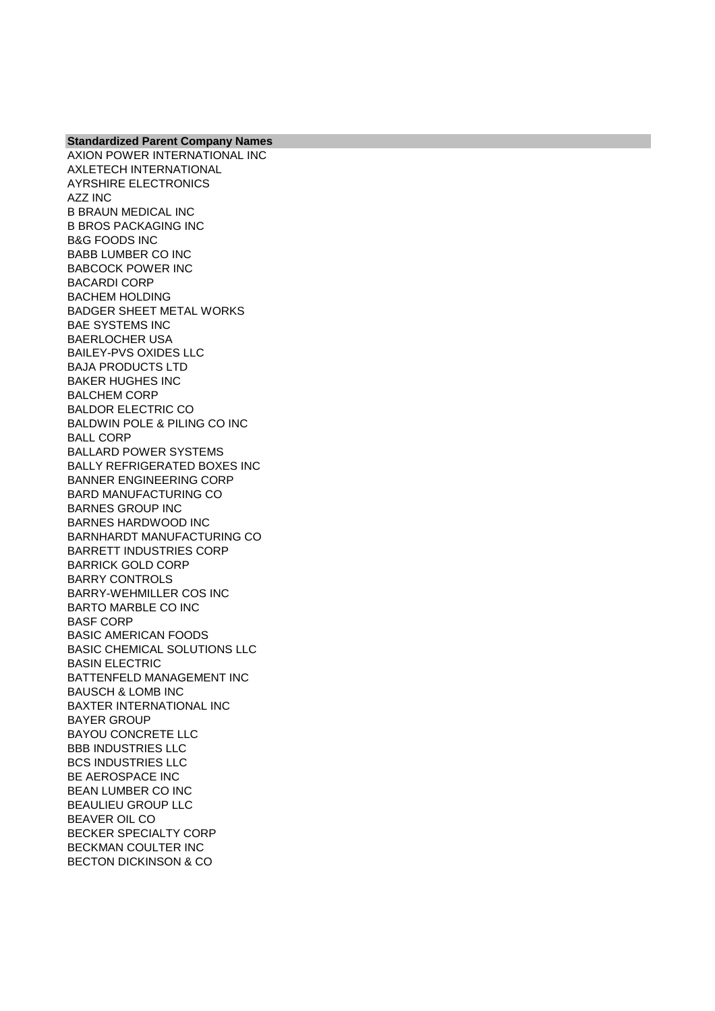**Standardized Parent Company Names** AXION POWER INTERNATIONAL INC AXLETECH INTERNATIONAL AYRSHIRE ELECTRONICS AZZ INC B BRAUN MEDICAL INC B BROS PACKAGING INC B&G FOODS INC BABB LUMBER CO INC BABCOCK POWER INC BACARDI CORP BACHEM HOLDING BADGER SHEET METAL WORKS BAE SYSTEMS INC BAERLOCHER USA BAILEY-PVS OXIDES LLC BAJA PRODUCTS LTD BAKER HUGHES INC BALCHEM CORP BALDOR ELECTRIC CO BALDWIN POLE & PILING CO INC BALL CORP BALLARD POWER SYSTEMS BALLY REFRIGERATED BOXES INC BANNER ENGINEERING CORP BARD MANUFACTURING CO BARNES GROUP INC BARNES HARDWOOD INC BARNHARDT MANUFACTURING CO BARRETT INDUSTRIES CORP BARRICK GOLD CORP BARRY CONTROLS BARRY-WEHMILLER COS INC BARTO MARBLE CO INC BASF CORP BASIC AMERICAN FOODS BASIC CHEMICAL SOLUTIONS LLC BASIN ELECTRIC BATTENFELD MANAGEMENT INC BAUSCH & LOMB INC BAXTER INTERNATIONAL INC BAYER GROUP BAYOU CONCRETE LLC BBB INDUSTRIES LLC BCS INDUSTRIES LLC BE AEROSPACE INC BEAN LUMBER CO INC BEAULIEU GROUP LLC BEAVER OIL CO BECKER SPECIALTY CORP BECKMAN COULTER INC BECTON DICKINSON & CO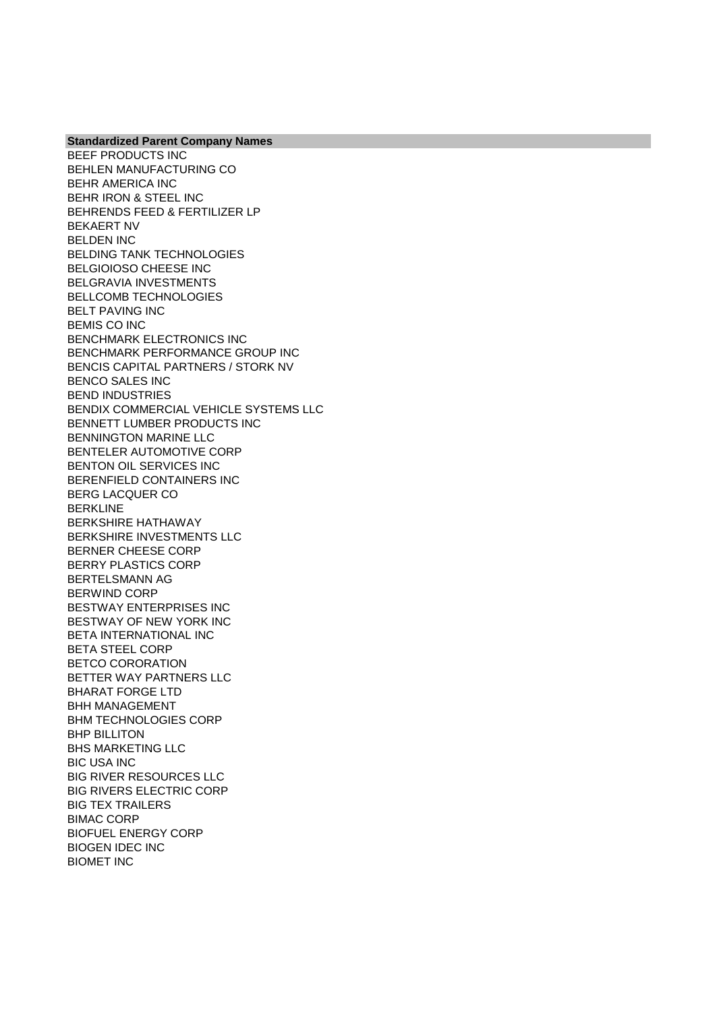BEEF PRODUCTS INC BEHLEN MANUFACTURING CO BEHR AMERICA INC BEHR IRON & STEEL INC BEHRENDS FEED & FERTILIZER LP BEKAERT NV BELDEN INC BELDING TANK TECHNOLOGIES BELGIOIOSO CHEESE INC BELGRAVIA INVESTMENTS BELLCOMB TECHNOLOGIES BELT PAVING INC BEMIS CO INC BENCHMARK ELECTRONICS INC BENCHMARK PERFORMANCE GROUP INC BENCIS CAPITAL PARTNERS / STORK NV BENCO SALES INC BEND INDUSTRIES BENDIX COMMERCIAL VEHICLE SYSTEMS LLC BENNETT LUMBER PRODUCTS INC BENNINGTON MARINE LLC BENTELER AUTOMOTIVE CORP BENTON OIL SERVICES INC BERENFIELD CONTAINERS INC BERG LACQUER CO BERKLINE BERKSHIRE HATHAWAY BERKSHIRE INVESTMENTS LLC BERNER CHEESE CORP BERRY PLASTICS CORP BERTELSMANN AG BERWIND CORP BESTWAY ENTERPRISES INC BESTWAY OF NEW YORK INC BETA INTERNATIONAL INC BETA STEEL CORP BETCO CORORATION BETTER WAY PARTNERS LLC BHARAT FORGE LTD BHH MANAGEMENT BHM TECHNOLOGIES CORP BHP BILLITON BHS MARKETING LLC BIC USA INC BIG RIVER RESOURCES LLC BIG RIVERS ELECTRIC CORP BIG TEX TRAILERS BIMAC CORP BIOFUEL ENERGY CORP BIOGEN IDEC INC BIOMET INC

**Standardized Parent Company Names**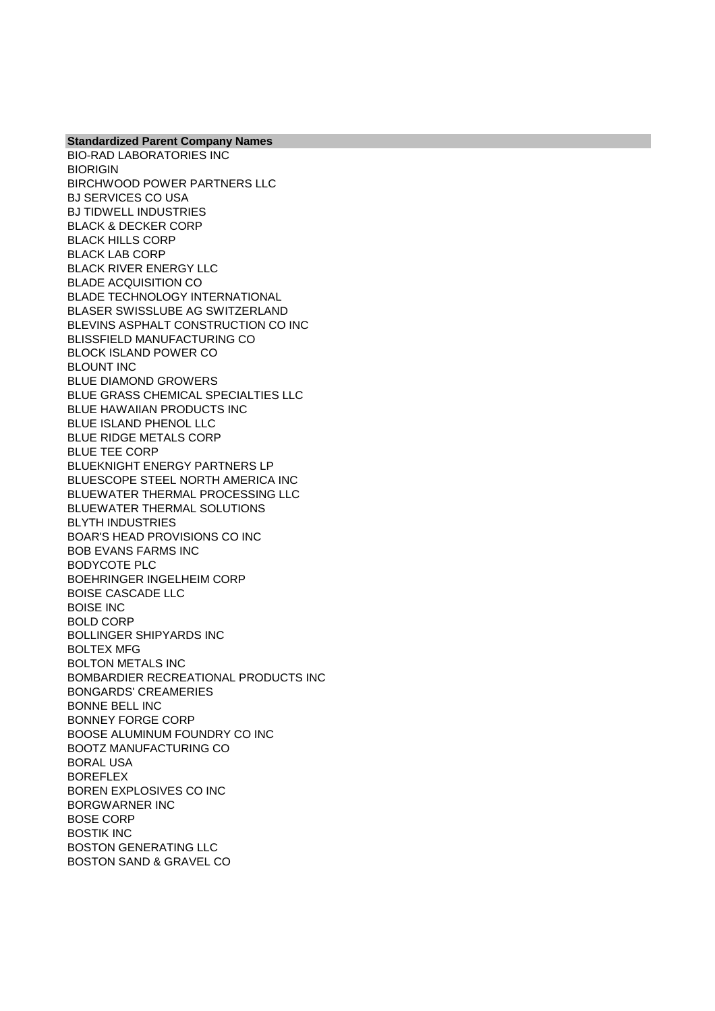BIO-RAD LABORATORIES INC **BIORIGIN** BIRCHWOOD POWER PARTNERS LLC BJ SERVICES CO USA BJ TIDWELL INDUSTRIES BLACK & DECKER CORP BLACK HILLS CORP BLACK LAB CORP BLACK RIVER ENERGY LLC BLADE ACQUISITION CO BLADE TECHNOLOGY INTERNATIONAL BLASER SWISSLUBE AG SWITZERLAND BLEVINS ASPHALT CONSTRUCTION CO INC BLISSFIELD MANUFACTURING CO BLOCK ISLAND POWER CO BLOUNT INC BLUE DIAMOND GROWERS BLUE GRASS CHEMICAL SPECIALTIES LLC BLUE HAWAIIAN PRODUCTS INC BLUE ISLAND PHENOL LLC BLUE RIDGE METALS CORP BLUE TEE CORP BLUEKNIGHT ENERGY PARTNERS LP BLUESCOPE STEEL NORTH AMERICA INC BLUEWATER THERMAL PROCESSING LLC BLUEWATER THERMAL SOLUTIONS BLYTH INDUSTRIES BOAR'S HEAD PROVISIONS CO INC BOB EVANS FARMS INC BODYCOTE PLC BOEHRINGER INGELHEIM CORP BOISE CASCADE LLC BOISE INC BOLD CORP BOLLINGER SHIPYARDS INC BOLTEX MFG BOLTON METALS INC BOMBARDIER RECREATIONAL PRODUCTS INC BONGARDS' CREAMERIES BONNE BELL INC BONNEY FORGE CORP BOOSE ALUMINUM FOUNDRY CO INC BOOTZ MANUFACTURING CO BORAL USA BOREFLEX BOREN EXPLOSIVES CO INC BORGWARNER INC BOSE CORP BOSTIK INC BOSTON GENERATING LLC BOSTON SAND & GRAVEL CO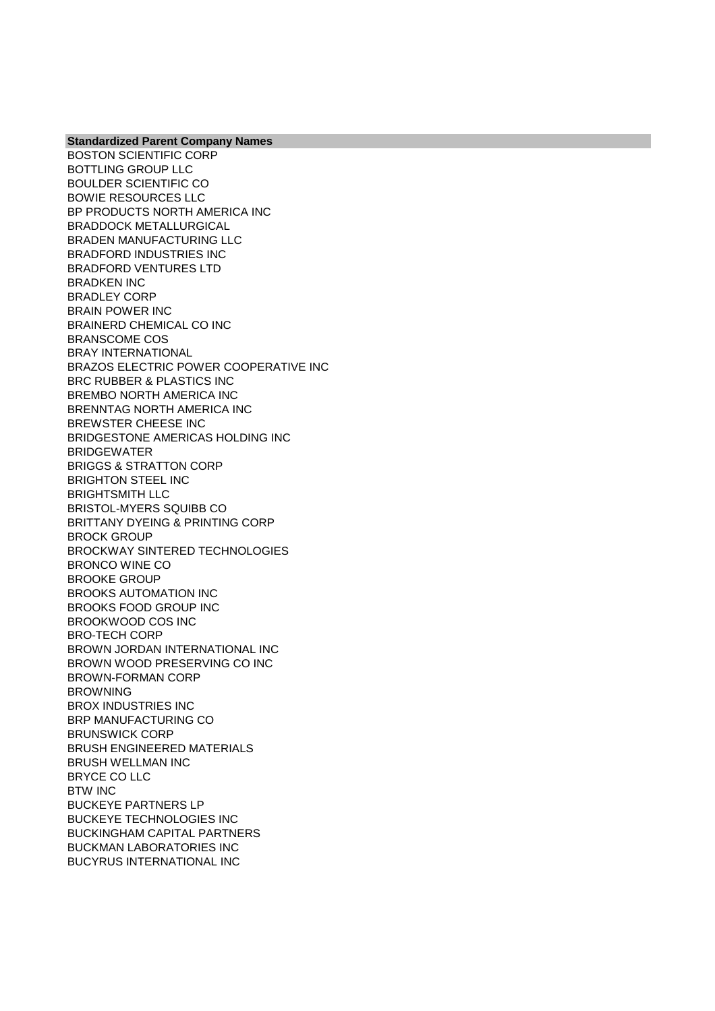BOSTON SCIENTIFIC CORP BOTTLING GROUP LLC BOULDER SCIENTIFIC CO BOWIE RESOURCES LLC BP PRODUCTS NORTH AMERICA INC BRADDOCK METALLURGICAL BRADEN MANUFACTURING LLC BRADFORD INDUSTRIES INC BRADFORD VENTURES LTD BRADKEN INC BRADLEY CORP BRAIN POWER INC BRAINERD CHEMICAL CO INC BRANSCOME COS BRAY INTERNATIONAL BRAZOS ELECTRIC POWER COOPERATIVE INC BRC RUBBER & PLASTICS INC BREMBO NORTH AMERICA INC BRENNTAG NORTH AMERICA INC BREWSTER CHEESE INC BRIDGESTONE AMERICAS HOLDING INC BRIDGEWATER BRIGGS & STRATTON CORP BRIGHTON STEEL INC BRIGHTSMITH LLC BRISTOL-MYERS SQUIBB CO BRITTANY DYEING & PRINTING CORP BROCK GROUP BROCKWAY SINTERED TECHNOLOGIES BRONCO WINE CO BROOKE GROUP BROOKS AUTOMATION INC BROOKS FOOD GROUP INC BROOKWOOD COS INC BRO-TECH CORP BROWN JORDAN INTERNATIONAL INC BROWN WOOD PRESERVING CO INC BROWN-FORMAN CORP **BROWNING** BROX INDUSTRIES INC BRP MANUFACTURING CO BRUNSWICK CORP BRUSH ENGINEERED MATERIALS BRUSH WELLMAN INC BRYCE CO LLC BTW INC BUCKEYE PARTNERS LP BUCKEYE TECHNOLOGIES INC BUCKINGHAM CAPITAL PARTNERS BUCKMAN LABORATORIES INC BUCYRUS INTERNATIONAL INC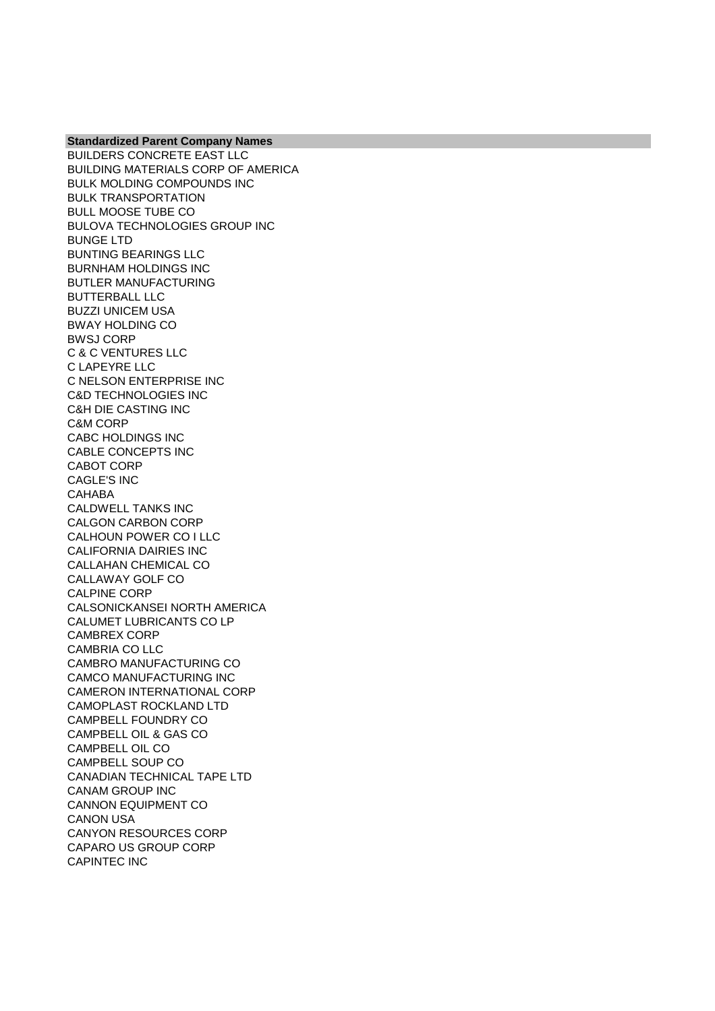BUILDERS CONCRETE EAST LLC BUILDING MATERIALS CORP OF AMERICA BULK MOLDING COMPOUNDS INC BULK TRANSPORTATION BULL MOOSE TUBE CO BULOVA TECHNOLOGIES GROUP INC BUNGE LTD BUNTING BEARINGS LLC BURNHAM HOLDINGS INC BUTLER MANUFACTURING BUTTERBALL LLC BUZZI UNICEM USA BWAY HOLDING CO BWSJ CORP C & C VENTURES LLC C LAPEYRE LLC C NELSON ENTERPRISE INC C&D TECHNOLOGIES INC C&H DIE CASTING INC C&M CORP CABC HOLDINGS INC CABLE CONCEPTS INC CABOT CORP CAGLE'S INC CAHABA CALDWELL TANKS INC CALGON CARBON CORP CALHOUN POWER CO I LLC CALIFORNIA DAIRIES INC CALLAHAN CHEMICAL CO CALLAWAY GOLF CO CALPINE CORP CALSONICKANSEI NORTH AMERICA CALUMET LUBRICANTS CO LP CAMBREX CORP CAMBRIA CO LLC CAMBRO MANUFACTURING CO CAMCO MANUFACTURING INC CAMERON INTERNATIONAL CORP CAMOPLAST ROCKLAND LTD CAMPBELL FOUNDRY CO CAMPBELL OIL & GAS CO CAMPBELL OIL CO CAMPBELL SOUP CO CANADIAN TECHNICAL TAPE LTD CANAM GROUP INC CANNON EQUIPMENT CO CANON USA CANYON RESOURCES CORP CAPARO US GROUP CORP CAPINTEC INC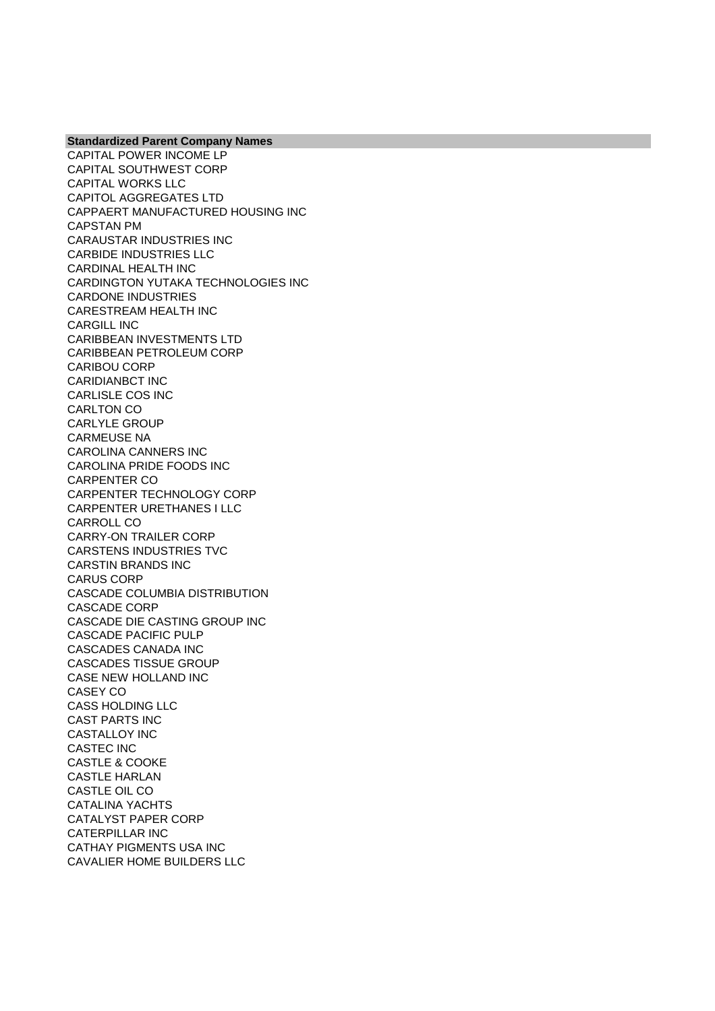CAPITAL POWER INCOME LP CAPITAL SOUTHWEST CORP CAPITAL WORKS LLC CAPITOL AGGREGATES LTD CAPPAERT MANUFACTURED HOUSING INC CAPSTAN PM CARAUSTAR INDUSTRIES INC CARBIDE INDUSTRIES LLC CARDINAL HEALTH INC CARDINGTON YUTAKA TECHNOLOGIES INC CARDONE INDUSTRIES CARESTREAM HEALTH INC CARGILL INC CARIBBEAN INVESTMENTS LTD CARIBBEAN PETROLEUM CORP CARIBOU CORP CARIDIANBCT INC CARLISLE COS INC CARLTON CO CARLYLE GROUP CARMEUSE NA CAROLINA CANNERS INC CAROLINA PRIDE FOODS INC CARPENTER CO CARPENTER TECHNOLOGY CORP CARPENTER URETHANES I LLC CARROLL CO CARRY-ON TRAILER CORP CARSTENS INDUSTRIES TVC CARSTIN BRANDS INC CARUS CORP CASCADE COLUMBIA DISTRIBUTION CASCADE CORP CASCADE DIE CASTING GROUP INC CASCADE PACIFIC PULP CASCADES CANADA INC CASCADES TISSUE GROUP CASE NEW HOLLAND INC CASEY CO CASS HOLDING LLC CAST PARTS INC CASTALLOY INC CASTEC INC CASTLE & COOKE CASTLE HARLAN CASTLE OIL CO CATALINA YACHTS CATALYST PAPER CORP CATERPILLAR INC CATHAY PIGMENTS USA INC CAVALIER HOME BUILDERS LLC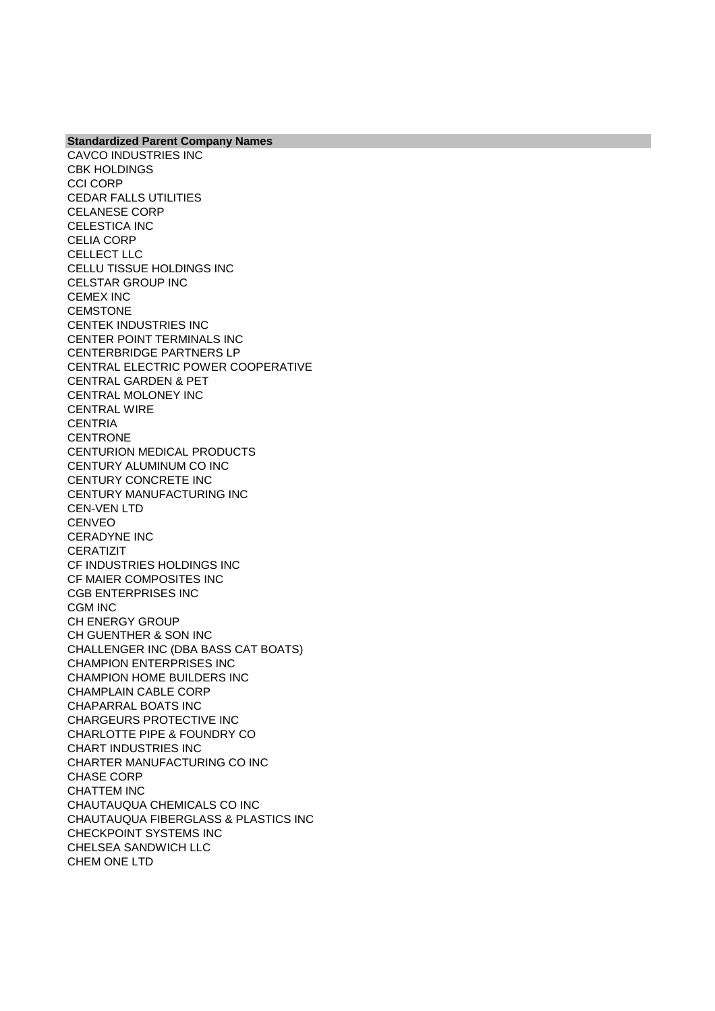CAVCO INDUSTRIES INC CBK HOLDINGS CCI CORP CEDAR FALLS UTILITIES CELANESE CORP CELESTICA INC CELIA CORP CELLECT LLC CELLU TISSUE HOLDINGS INC CELSTAR GROUP INC CEMEX INC **CEMSTONE** CENTEK INDUSTRIES INC CENTER POINT TERMINALS INC CENTERBRIDGE PARTNERS LP CENTRAL ELECTRIC POWER COOPERATIVE CENTRAL GARDEN & PET CENTRAL MOLONEY INC CENTRAL WIRE **CENTRIA CENTRONE** CENTURION MEDICAL PRODUCTS CENTURY ALUMINUM CO INC CENTURY CONCRETE INC CENTURY MANUFACTURING INC CEN-VEN LTD CENVEO CERADYNE INC **CERATIZIT** CF INDUSTRIES HOLDINGS INC CF MAIER COMPOSITES INC CGB ENTERPRISES INC CGM INC CH ENERGY GROUP CH GUENTHER & SON INC CHALLENGER INC (DBA BASS CAT BOATS) CHAMPION ENTERPRISES INC CHAMPION HOME BUILDERS INC CHAMPLAIN CABLE CORP CHAPARRAL BOATS INC CHARGEURS PROTECTIVE INC CHARLOTTE PIPE & FOUNDRY CO CHART INDUSTRIES INC CHARTER MANUFACTURING CO INC CHASE CORP CHATTEM INC CHAUTAUQUA CHEMICALS CO INC CHAUTAUQUA FIBERGLASS & PLASTICS INC CHECKPOINT SYSTEMS INC CHELSEA SANDWICH LLC CHEM ONE LTD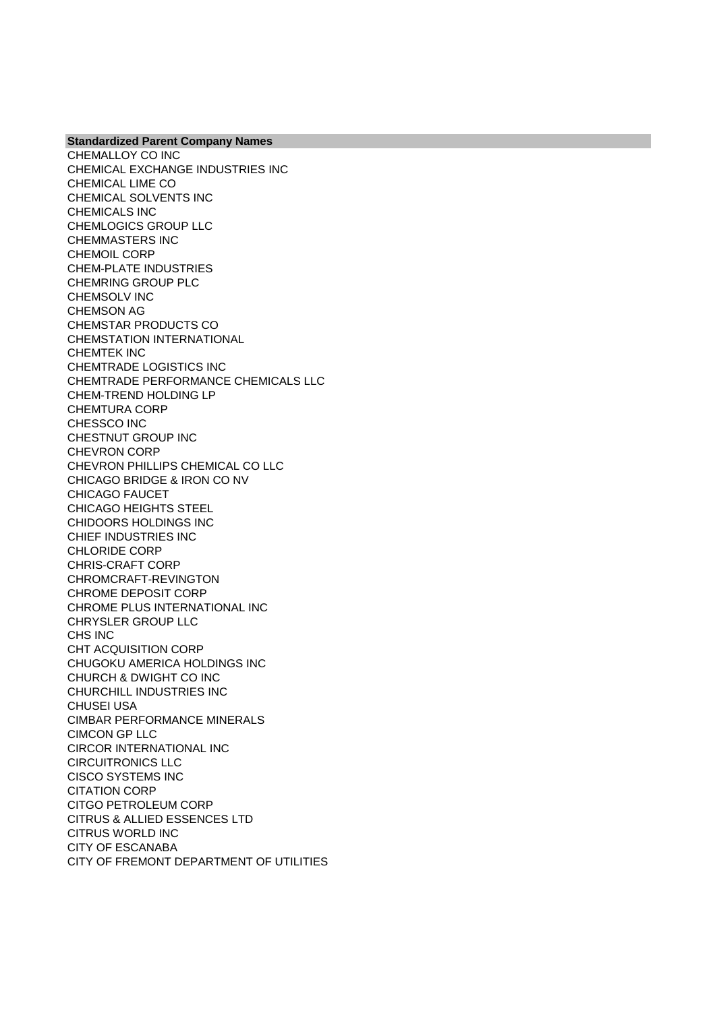CHEMALLOY CO INC CHEMICAL EXCHANGE INDUSTRIES INC CHEMICAL LIME CO CHEMICAL SOLVENTS INC CHEMICALS INC CHEMLOGICS GROUP LLC CHEMMASTERS INC CHEMOIL CORP CHEM-PLATE INDUSTRIES CHEMRING GROUP PLC CHEMSOLV INC CHEMSON AG CHEMSTAR PRODUCTS CO CHEMSTATION INTERNATIONAL CHEMTEK INC CHEMTRADE LOGISTICS INC CHEMTRADE PERFORMANCE CHEMICALS LLC CHEM-TREND HOLDING LP CHEMTURA CORP CHESSCO INC CHESTNUT GROUP INC CHEVRON CORP CHEVRON PHILLIPS CHEMICAL CO LLC CHICAGO BRIDGE & IRON CO NV CHICAGO FAUCET CHICAGO HEIGHTS STEEL CHIDOORS HOLDINGS INC CHIEF INDUSTRIES INC CHLORIDE CORP CHRIS-CRAFT CORP CHROMCRAFT-REVINGTON CHROME DEPOSIT CORP CHROME PLUS INTERNATIONAL INC CHRYSLER GROUP LLC CHS INC CHT ACQUISITION CORP CHUGOKU AMERICA HOLDINGS INC CHURCH & DWIGHT CO INC CHURCHILL INDUSTRIES INC CHUSEI USA CIMBAR PERFORMANCE MINERALS CIMCON GP LLC CIRCOR INTERNATIONAL INC CIRCUITRONICS LLC CISCO SYSTEMS INC CITATION CORP CITGO PETROLEUM CORP CITRUS & ALLIED ESSENCES LTD CITRUS WORLD INC CITY OF ESCANABA CITY OF FREMONT DEPARTMENT OF UTILITIES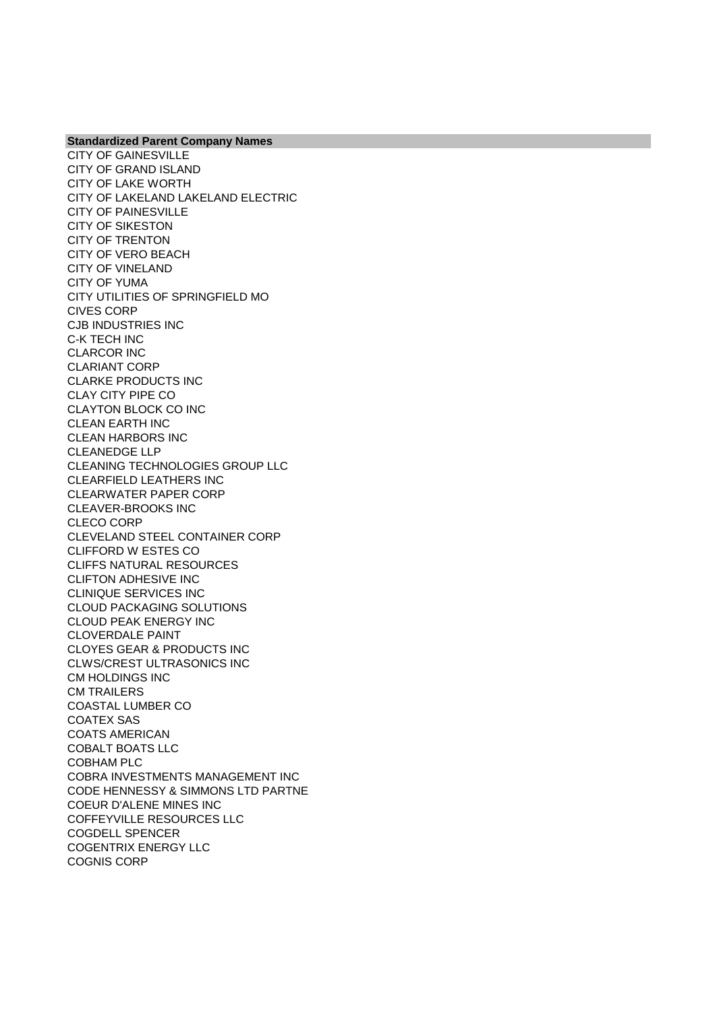CITY OF GAINESVILLE CITY OF GRAND ISLAND CITY OF LAKE WORTH CITY OF LAKELAND LAKELAND ELECTRIC CITY OF PAINESVILLE CITY OF SIKESTON CITY OF TRENTON CITY OF VERO BEACH CITY OF VINELAND CITY OF YUMA CITY UTILITIES OF SPRINGFIELD MO CIVES CORP CJB INDUSTRIES INC C-K TECH INC CLARCOR INC CLARIANT CORP CLARKE PRODUCTS INC CLAY CITY PIPE CO CLAYTON BLOCK CO INC CLEAN EARTH INC CLEAN HARBORS INC CLEANEDGE LLP CLEANING TECHNOLOGIES GROUP LLC CLEARFIELD LEATHERS INC CLEARWATER PAPER CORP CLEAVER-BROOKS INC CLECO CORP CLEVELAND STEEL CONTAINER CORP CLIFFORD W ESTES CO CLIFFS NATURAL RESOURCES CLIFTON ADHESIVE INC CLINIQUE SERVICES INC CLOUD PACKAGING SOLUTIONS CLOUD PEAK ENERGY INC CLOVERDALE PAINT CLOYES GEAR & PRODUCTS INC CLWS/CREST ULTRASONICS INC CM HOLDINGS INC CM TRAILERS COASTAL LUMBER CO COATEX SAS COATS AMERICAN COBALT BOATS LLC COBHAM PLC COBRA INVESTMENTS MANAGEMENT INC CODE HENNESSY & SIMMONS LTD PARTNE COEUR D'ALENE MINES INC COFFEYVILLE RESOURCES LLC COGDELL SPENCER COGENTRIX ENERGY LLC COGNIS CORP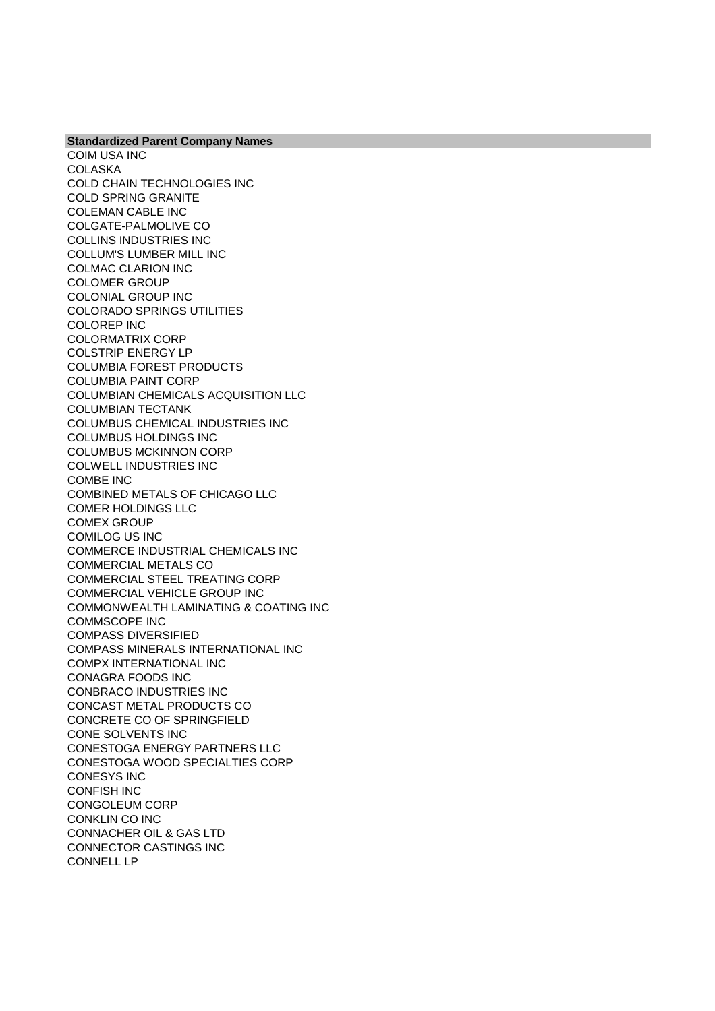**Standardized Parent Company Names** COIM USA INC **COLASKA** COLD CHAIN TECHNOLOGIES INC COLD SPRING GRANITE COLEMAN CABLE INC COLGATE-PALMOLIVE CO COLLINS INDUSTRIES INC COLLUM'S LUMBER MILL INC COLMAC CLARION INC COLOMER GROUP COLONIAL GROUP INC COLORADO SPRINGS UTILITIES COLOREP INC COLORMATRIX CORP COLSTRIP ENERGY LP COLUMBIA FOREST PRODUCTS COLUMBIA PAINT CORP COLUMBIAN CHEMICALS ACQUISITION LLC COLUMBIAN TECTANK COLUMBUS CHEMICAL INDUSTRIES INC COLUMBUS HOLDINGS INC COLUMBUS MCKINNON CORP COLWELL INDUSTRIES INC COMBE INC COMBINED METALS OF CHICAGO LLC COMER HOLDINGS LLC COMEX GROUP COMILOG US INC COMMERCE INDUSTRIAL CHEMICALS INC COMMERCIAL METALS CO COMMERCIAL STEEL TREATING CORP COMMERCIAL VEHICLE GROUP INC COMMONWEALTH LAMINATING & COATING INC COMMSCOPE INC COMPASS DIVERSIFIED COMPASS MINERALS INTERNATIONAL INC COMPX INTERNATIONAL INC CONAGRA FOODS INC CONBRACO INDUSTRIES INC CONCAST METAL PRODUCTS CO CONCRETE CO OF SPRINGFIELD CONE SOLVENTS INC CONESTOGA ENERGY PARTNERS LLC CONESTOGA WOOD SPECIALTIES CORP CONESYS INC CONFISH INC CONGOLEUM CORP CONKLIN CO INC CONNACHER OIL & GAS LTD CONNECTOR CASTINGS INC CONNELL LP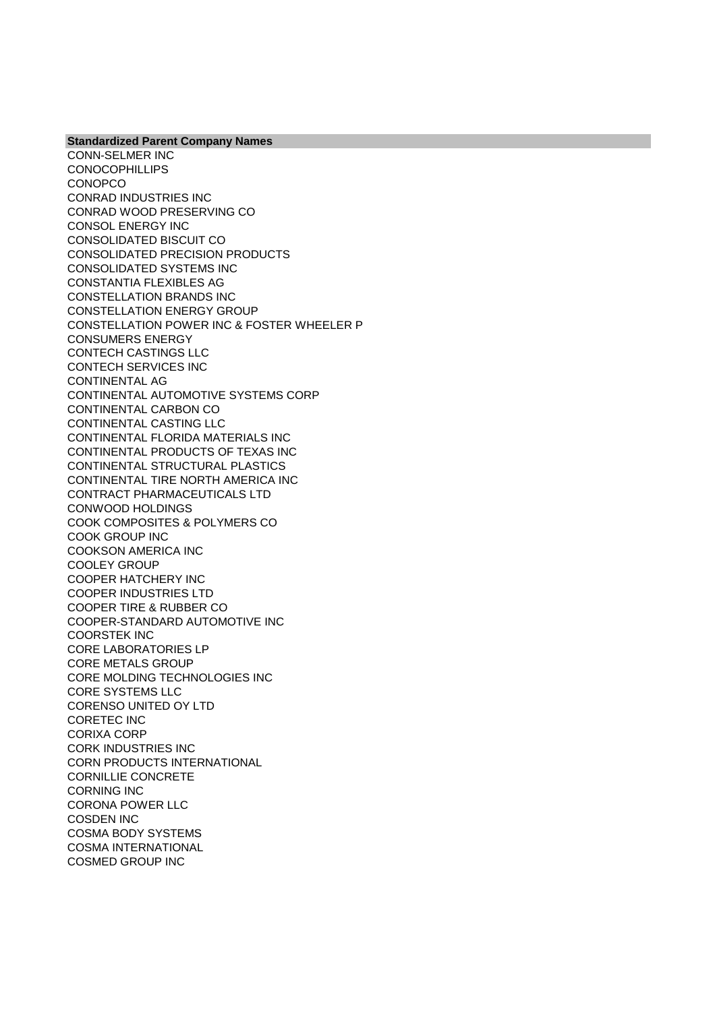**Standardized Parent Company Names** CONN-SELMER INC **CONOCOPHILLIPS CONOPCO** CONRAD INDUSTRIES INC CONRAD WOOD PRESERVING CO CONSOL ENERGY INC CONSOLIDATED BISCUIT CO CONSOLIDATED PRECISION PRODUCTS CONSOLIDATED SYSTEMS INC CONSTANTIA FLEXIBLES AG CONSTELLATION BRANDS INC CONSTELLATION ENERGY GROUP CONSTELLATION POWER INC & FOSTER WHEELER P CONSUMERS ENERGY CONTECH CASTINGS LLC CONTECH SERVICES INC CONTINENTAL AG CONTINENTAL AUTOMOTIVE SYSTEMS CORP CONTINENTAL CARBON CO CONTINENTAL CASTING LLC CONTINENTAL FLORIDA MATERIALS INC CONTINENTAL PRODUCTS OF TEXAS INC CONTINENTAL STRUCTURAL PLASTICS CONTINENTAL TIRE NORTH AMERICA INC CONTRACT PHARMACEUTICALS LTD CONWOOD HOLDINGS COOK COMPOSITES & POLYMERS CO COOK GROUP INC COOKSON AMERICA INC COOLEY GROUP COOPER HATCHERY INC COOPER INDUSTRIES LTD COOPER TIRE & RUBBER CO COOPER-STANDARD AUTOMOTIVE INC COORSTEK INC CORE LABORATORIES LP CORE METALS GROUP CORE MOLDING TECHNOLOGIES INC CORE SYSTEMS LLC CORENSO UNITED OY LTD CORETEC INC CORIXA CORP CORK INDUSTRIES INC CORN PRODUCTS INTERNATIONAL CORNILLIE CONCRETE CORNING INC CORONA POWER LLC COSDEN INC COSMA BODY SYSTEMS COSMA INTERNATIONAL COSMED GROUP INC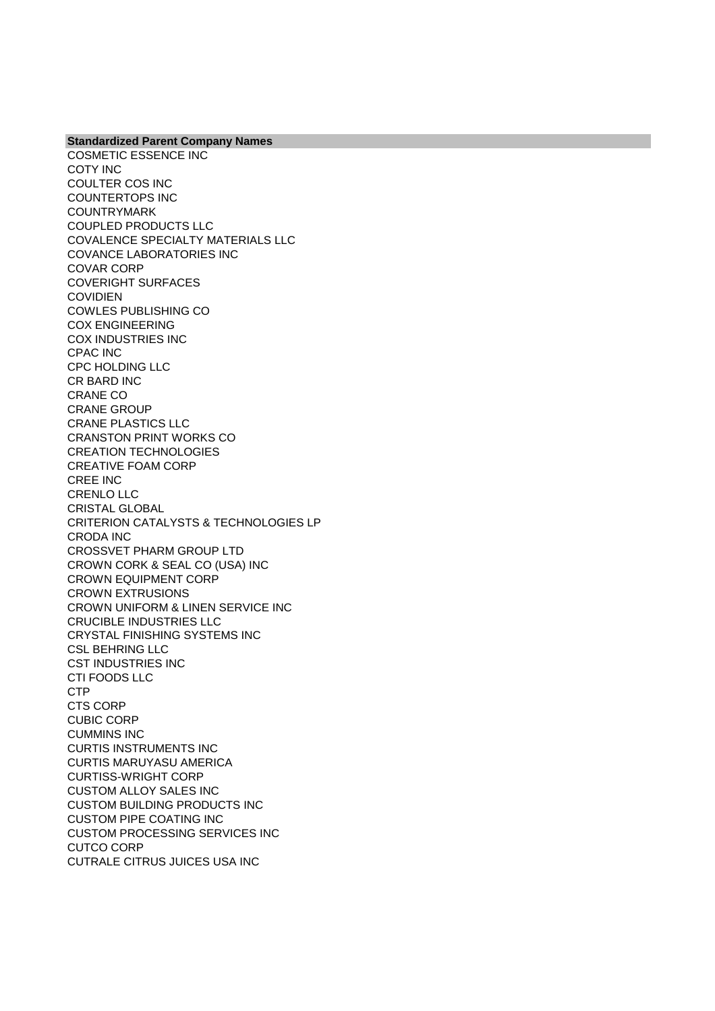COSMETIC ESSENCE INC COTY INC COULTER COS INC COUNTERTOPS INC COUNTRYMARK COUPLED PRODUCTS LLC COVALENCE SPECIALTY MATERIALS LLC COVANCE LABORATORIES INC COVAR CORP COVERIGHT SURFACES COVIDIEN COWLES PUBLISHING CO COX ENGINEERING COX INDUSTRIES INC CPAC INC CPC HOLDING LLC CR BARD INC CRANE CO CRANE GROUP CRANE PLASTICS LLC CRANSTON PRINT WORKS CO CREATION TECHNOLOGIES CREATIVE FOAM CORP CREE INC CRENLO LLC CRISTAL GLOBAL CRITERION CATALYSTS & TECHNOLOGIES LP CRODA INC CROSSVET PHARM GROUP LTD CROWN CORK & SEAL CO (USA) INC CROWN EQUIPMENT CORP CROWN EXTRUSIONS CROWN UNIFORM & LINEN SERVICE INC CRUCIBLE INDUSTRIES LLC CRYSTAL FINISHING SYSTEMS INC CSL BEHRING LLC CST INDUSTRIES INC CTI FOODS LLC CTP CTS CORP CUBIC CORP CUMMINS INC CURTIS INSTRUMENTS INC CURTIS MARUYASU AMERICA CURTISS-WRIGHT CORP CUSTOM ALLOY SALES INC CUSTOM BUILDING PRODUCTS INC CUSTOM PIPE COATING INC CUSTOM PROCESSING SERVICES INC CUTCO CORP CUTRALE CITRUS JUICES USA INC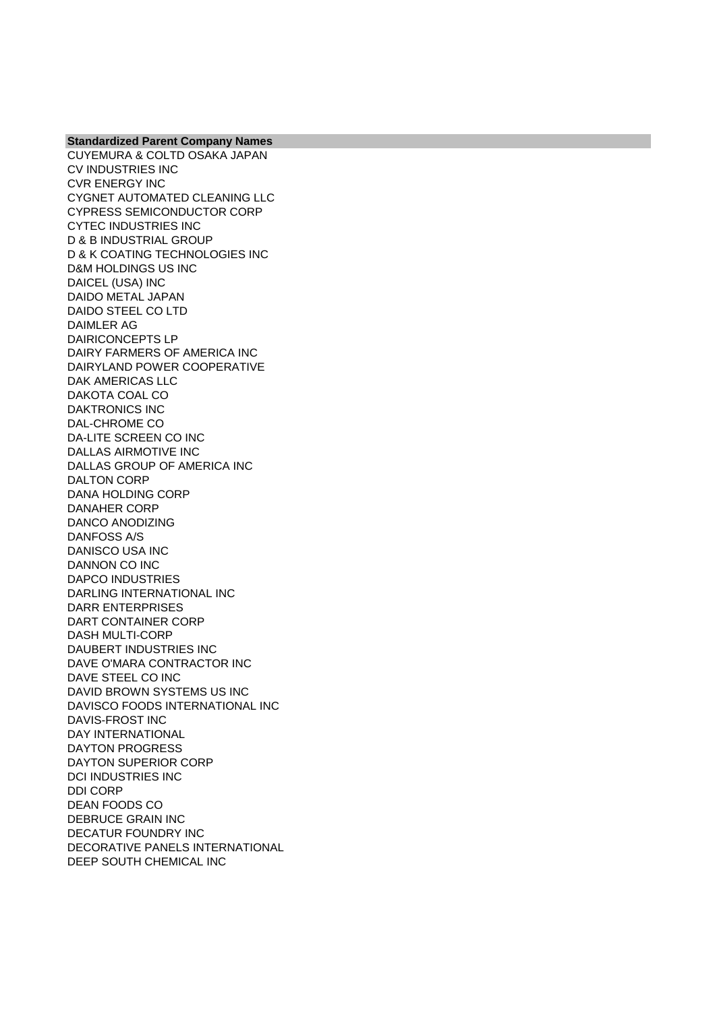CUYEMURA & COLTD OSAKA JAPAN CV INDUSTRIES INC CVR ENERGY INC CYGNET AUTOMATED CLEANING LLC CYPRESS SEMICONDUCTOR CORP CYTEC INDUSTRIES INC D & B INDUSTRIAL GROUP D & K COATING TECHNOLOGIES INC D&M HOLDINGS US INC DAICEL (USA) INC DAIDO METAL JAPAN DAIDO STEEL CO LTD DAIMLER AG DAIRICONCEPTS LP DAIRY FARMERS OF AMERICA INC DAIRYLAND POWER COOPERATIVE DAK AMERICAS LLC DAKOTA COAL CO DAKTRONICS INC DAL-CHROME CO DA-LITE SCREEN CO INC DALLAS AIRMOTIVE INC DALLAS GROUP OF AMERICA INC DALTON CORP DANA HOLDING CORP DANAHER CORP DANCO ANODIZING DANFOSS A/S DANISCO USA INC DANNON CO INC DAPCO INDUSTRIES DARLING INTERNATIONAL INC DARR ENTERPRISES DART CONTAINER CORP DASH MULTI-CORP DAUBERT INDUSTRIES INC DAVE O'MARA CONTRACTOR INC DAVE STEEL CO INC DAVID BROWN SYSTEMS US INC DAVISCO FOODS INTERNATIONAL INC DAVIS-FROST INC DAY INTERNATIONAL DAYTON PROGRESS DAYTON SUPERIOR CORP DCI INDUSTRIES INC DDI CORP DEAN FOODS CO DEBRUCE GRAIN INC DECATUR FOUNDRY INC DECORATIVE PANELS INTERNATIONAL DEEP SOUTH CHEMICAL INC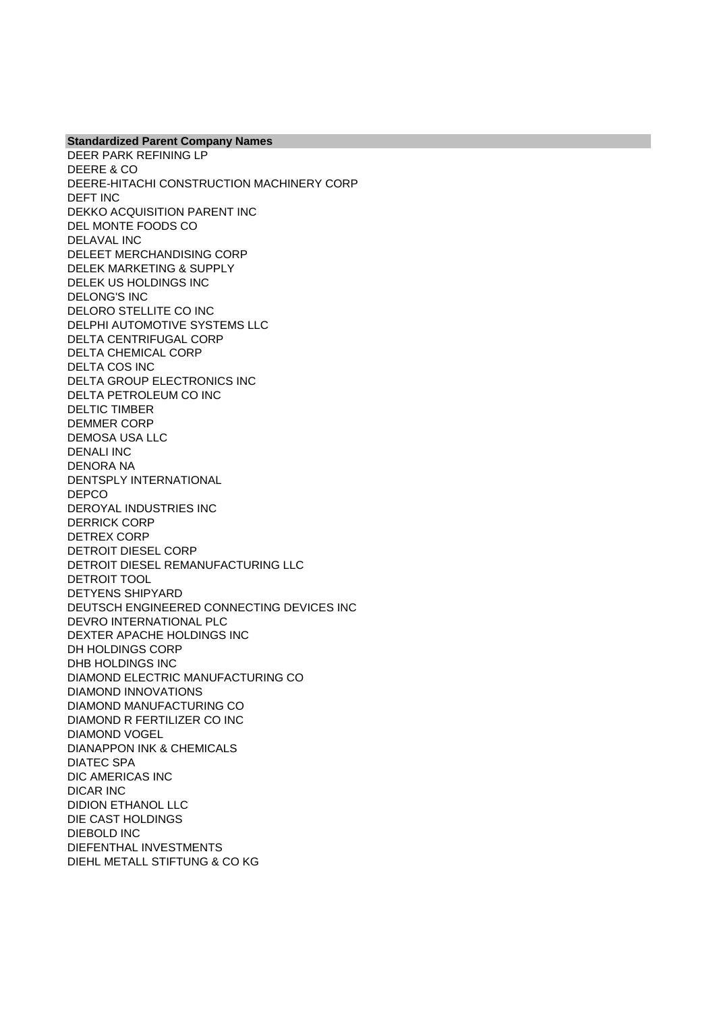DEER PARK REFINING LP DEERE & CO DEERE-HITACHI CONSTRUCTION MACHINERY CORP DEFT INC DEKKO ACQUISITION PARENT INC DEL MONTE FOODS CO DELAVAL INC DELEET MERCHANDISING CORP DELEK MARKETING & SUPPLY DELEK US HOLDINGS INC DELONG'S INC DELORO STELLITE CO INC DELPHI AUTOMOTIVE SYSTEMS LLC DELTA CENTRIFUGAL CORP DELTA CHEMICAL CORP DELTA COS INC DELTA GROUP ELECTRONICS INC DELTA PETROLEUM CO INC DELTIC TIMBER DEMMER CORP DEMOSA USA LLC DENALI INC DENORA NA DENTSPLY INTERNATIONAL DEPCO DEROYAL INDUSTRIES INC DERRICK CORP DETREX CORP DETROIT DIESEL CORP DETROIT DIESEL REMANUFACTURING LLC DETROIT TOOL DETYENS SHIPYARD DEUTSCH ENGINEERED CONNECTING DEVICES INC DEVRO INTERNATIONAL PLC DEXTER APACHE HOLDINGS INC DH HOLDINGS CORP DHB HOLDINGS INC DIAMOND ELECTRIC MANUFACTURING CO DIAMOND INNOVATIONS DIAMOND MANUFACTURING CO DIAMOND R FERTILIZER CO INC DIAMOND VOGEL DIANAPPON INK & CHEMICALS DIATEC SPA DIC AMERICAS INC DICAR INC DIDION ETHANOL LLC DIE CAST HOLDINGS DIEBOLD INC DIEFENTHAL INVESTMENTS DIEHL METALL STIFTUNG & CO KG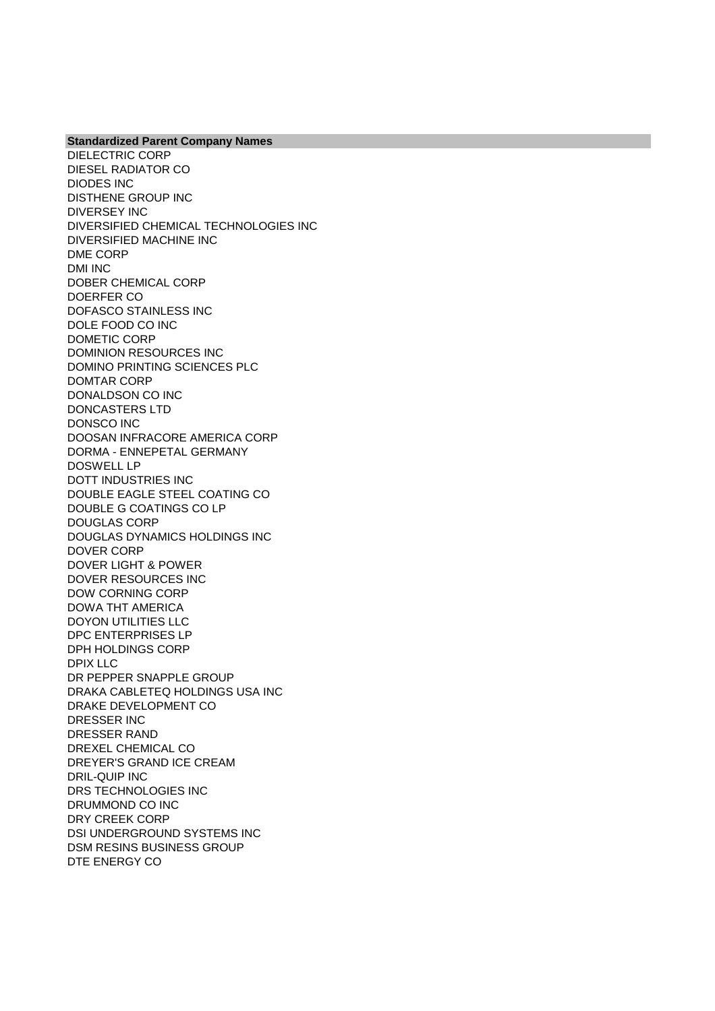**Standardized Parent Company Names** DIELECTRIC CORP DIESEL RADIATOR CO DIODES INC DISTHENE GROUP INC DIVERSEY INC DIVERSIFIED CHEMICAL TECHNOLOGIES INC DIVERSIFIED MACHINE INC DME CORP DMI INC DOBER CHEMICAL CORP DOERFER CO DOFASCO STAINLESS INC DOLE FOOD CO INC DOMETIC CORP DOMINION RESOURCES INC DOMINO PRINTING SCIENCES PLC DOMTAR CORP DONALDSON CO INC DONCASTERS LTD DONSCO INC DOOSAN INFRACORE AMERICA CORP DORMA - ENNEPETAL GERMANY DOSWELL LP DOTT INDUSTRIES INC DOUBLE EAGLE STEEL COATING CO DOUBLE G COATINGS CO LP DOUGLAS CORP DOUGLAS DYNAMICS HOLDINGS INC DOVER CORP DOVER LIGHT & POWER DOVER RESOURCES INC DOW CORNING CORP DOWA THT AMERICA DOYON UTILITIES LLC DPC ENTERPRISES LP DPH HOLDINGS CORP DPIX LLC DR PEPPER SNAPPLE GROUP DRAKA CABLETEQ HOLDINGS USA INC DRAKE DEVELOPMENT CO DRESSER INC DRESSER RAND DREXEL CHEMICAL CO DREYER'S GRAND ICE CREAM DRIL-QUIP INC DRS TECHNOLOGIES INC DRUMMOND CO INC DRY CREEK CORP DSI UNDERGROUND SYSTEMS INC DSM RESINS BUSINESS GROUP DTE ENERGY CO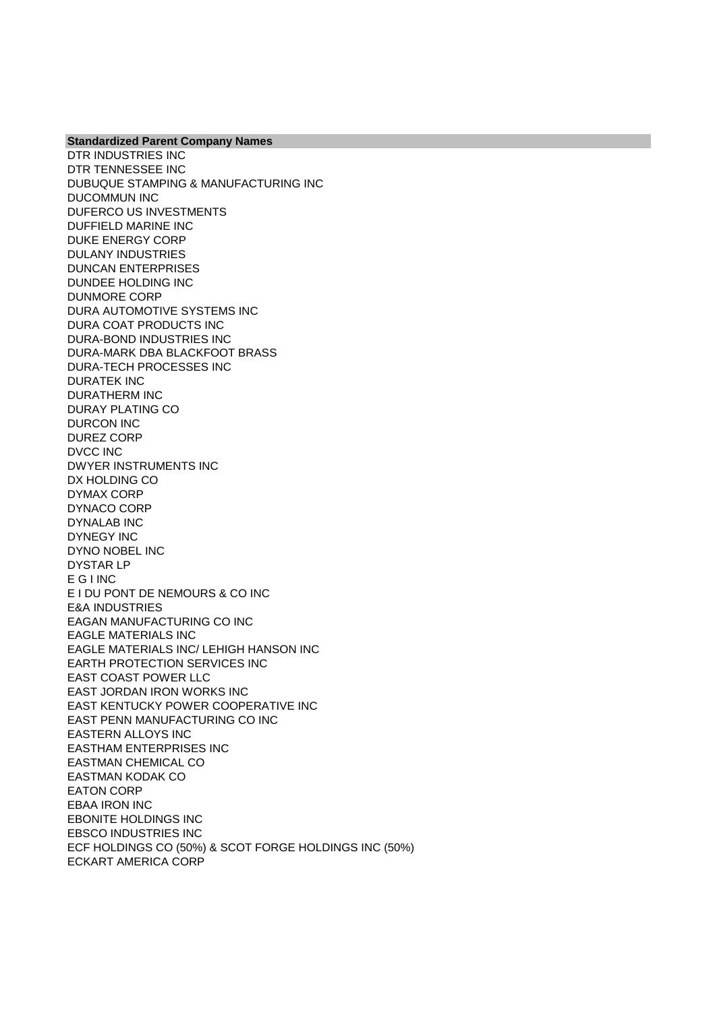DTR INDUSTRIES INC DTR TENNESSEE INC DUBUQUE STAMPING & MANUFACTURING INC DUCOMMUN INC DUFERCO US INVESTMENTS DUFFIELD MARINE INC DUKE ENERGY CORP DULANY INDUSTRIES DUNCAN ENTERPRISES DUNDEE HOLDING INC DUNMORE CORP DURA AUTOMOTIVE SYSTEMS INC DURA COAT PRODUCTS INC DURA-BOND INDUSTRIES INC DURA-MARK DBA BLACKFOOT BRASS DURA-TECH PROCESSES INC DURATEK INC DURATHERM INC DURAY PLATING CO DURCON INC DUREZ CORP DVCC INC DWYER INSTRUMENTS INC DX HOLDING CO DYMAX CORP DYNACO CORP DYNALAB INC DYNEGY INC DYNO NOBEL INC DYSTAR LP E G I INC E I DU PONT DE NEMOURS & CO INC E&A INDUSTRIES EAGAN MANUFACTURING CO INC EAGLE MATERIALS INC EAGLE MATERIALS INC/ LEHIGH HANSON INC EARTH PROTECTION SERVICES INC EAST COAST POWER LLC EAST JORDAN IRON WORKS INC EAST KENTUCKY POWER COOPERATIVE INC EAST PENN MANUFACTURING CO INC EASTERN ALLOYS INC EASTHAM ENTERPRISES INC EASTMAN CHEMICAL CO EASTMAN KODAK CO EATON CORP EBAA IRON INC EBONITE HOLDINGS INC EBSCO INDUSTRIES INC ECF HOLDINGS CO (50%) & SCOT FORGE HOLDINGS INC (50%) ECKART AMERICA CORP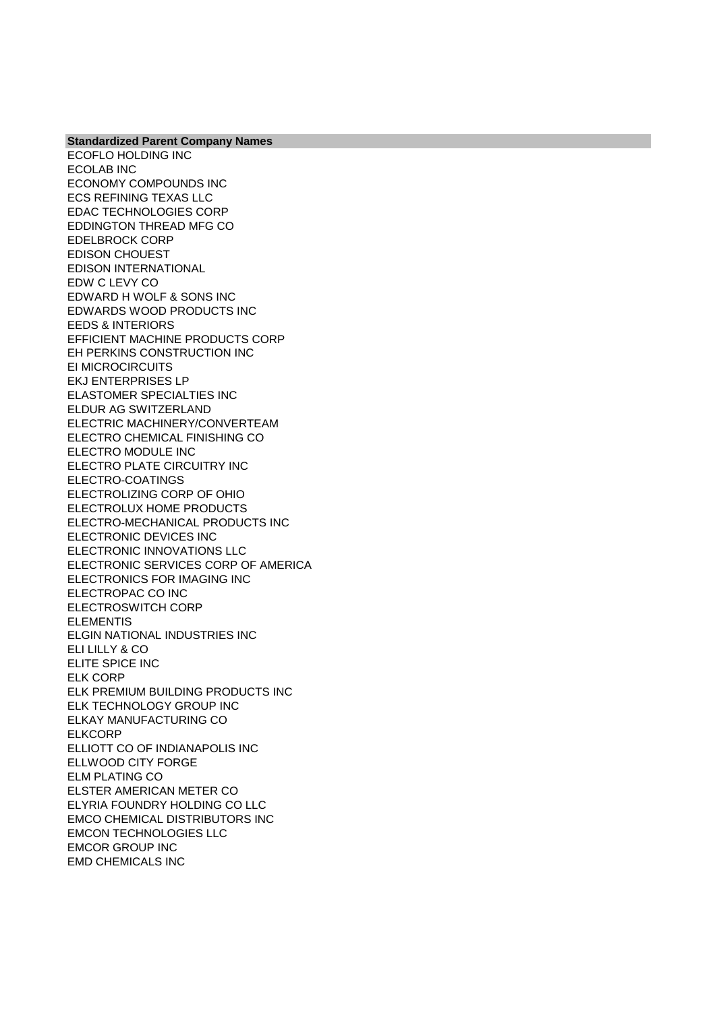ECOFLO HOLDING INC ECOLAB INC ECONOMY COMPOUNDS INC ECS REFINING TEXAS LLC EDAC TECHNOLOGIES CORP EDDINGTON THREAD MFG CO EDELBROCK CORP EDISON CHOUEST EDISON INTERNATIONAL EDW C LEVY CO EDWARD H WOLF & SONS INC EDWARDS WOOD PRODUCTS INC EEDS & INTERIORS EFFICIENT MACHINE PRODUCTS CORP EH PERKINS CONSTRUCTION INC EI MICROCIRCUITS EKJ ENTERPRISES LP ELASTOMER SPECIALTIES INC ELDUR AG SWITZERLAND ELECTRIC MACHINERY/CONVERTEAM ELECTRO CHEMICAL FINISHING CO ELECTRO MODULE INC ELECTRO PLATE CIRCUITRY INC ELECTRO-COATINGS ELECTROLIZING CORP OF OHIO ELECTROLUX HOME PRODUCTS ELECTRO-MECHANICAL PRODUCTS INC ELECTRONIC DEVICES INC ELECTRONIC INNOVATIONS LLC ELECTRONIC SERVICES CORP OF AMERICA ELECTRONICS FOR IMAGING INC ELECTROPAC CO INC ELECTROSWITCH CORP ELEMENTIS ELGIN NATIONAL INDUSTRIES INC ELI LILLY & CO ELITE SPICE INC ELK CORP ELK PREMIUM BUILDING PRODUCTS INC ELK TECHNOLOGY GROUP INC ELKAY MANUFACTURING CO **ELKCORP** ELLIOTT CO OF INDIANAPOLIS INC ELLWOOD CITY FORGE ELM PLATING CO ELSTER AMERICAN METER CO ELYRIA FOUNDRY HOLDING CO LLC EMCO CHEMICAL DISTRIBUTORS INC EMCON TECHNOLOGIES LLC EMCOR GROUP INC EMD CHEMICALS INC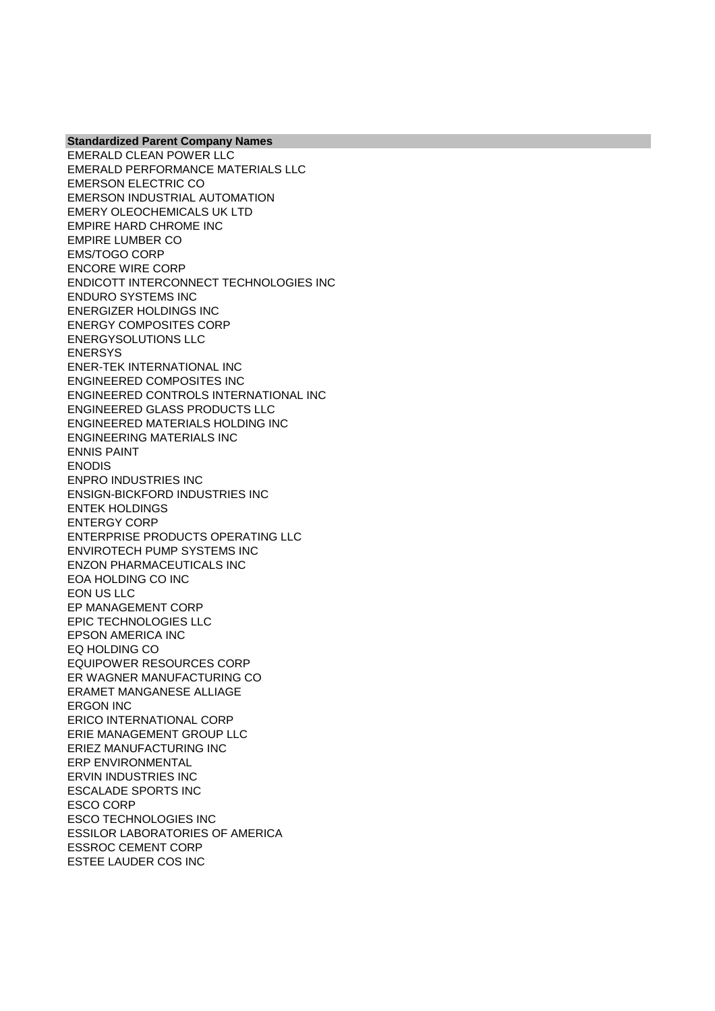EMERALD CLEAN POWER LLC EMERALD PERFORMANCE MATERIALS LLC EMERSON ELECTRIC CO EMERSON INDUSTRIAL AUTOMATION EMERY OLEOCHEMICALS UK LTD EMPIRE HARD CHROME INC EMPIRE LUMBER CO EMS/TOGO CORP ENCORE WIRE CORP ENDICOTT INTERCONNECT TECHNOLOGIES INC ENDURO SYSTEMS INC ENERGIZER HOLDINGS INC ENERGY COMPOSITES CORP ENERGYSOLUTIONS LLC ENERSYS ENER-TEK INTERNATIONAL INC ENGINEERED COMPOSITES INC ENGINEERED CONTROLS INTERNATIONAL INC ENGINEERED GLASS PRODUCTS LLC ENGINEERED MATERIALS HOLDING INC ENGINEERING MATERIALS INC ENNIS PAINT ENODIS ENPRO INDUSTRIES INC ENSIGN-BICKFORD INDUSTRIES INC ENTEK HOLDINGS ENTERGY CORP ENTERPRISE PRODUCTS OPERATING LLC ENVIROTECH PUMP SYSTEMS INC ENZON PHARMACEUTICALS INC EOA HOLDING CO INC EON US LLC EP MANAGEMENT CORP EPIC TECHNOLOGIES LLC EPSON AMERICA INC EQ HOLDING CO EQUIPOWER RESOURCES CORP ER WAGNER MANUFACTURING CO ERAMET MANGANESE ALLIAGE ERGON INC ERICO INTERNATIONAL CORP ERIE MANAGEMENT GROUP LLC ERIEZ MANUFACTURING INC ERP ENVIRONMENTAL ERVIN INDUSTRIES INC ESCALADE SPORTS INC ESCO CORP ESCO TECHNOLOGIES INC ESSILOR LABORATORIES OF AMERICA ESSROC CEMENT CORP ESTEE LAUDER COS INC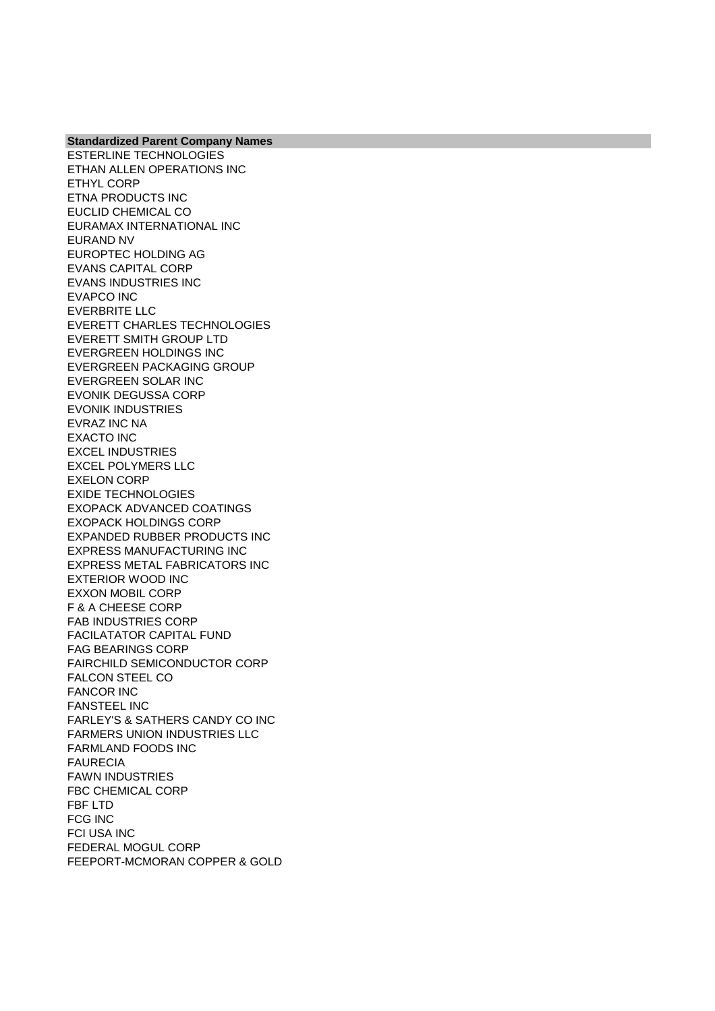ESTERLINE TECHNOLOGIES ETHAN ALLEN OPERATIONS INC ETHYL CORP ETNA PRODUCTS INC EUCLID CHEMICAL CO EURAMAX INTERNATIONAL INC EURAND NV EUROPTEC HOLDING AG EVANS CAPITAL CORP EVANS INDUSTRIES INC EVAPCO INC EVERBRITE LLC EVERETT CHARLES TECHNOLOGIES EVERETT SMITH GROUP LTD EVERGREEN HOLDINGS INC EVERGREEN PACKAGING GROUP EVERGREEN SOLAR INC EVONIK DEGUSSA CORP EVONIK INDUSTRIES EVRAZ INC NA EXACTO INC EXCEL INDUSTRIES EXCEL POLYMERS LLC EXELON CORP EXIDE TECHNOLOGIES EXOPACK ADVANCED COATINGS EXOPACK HOLDINGS CORP EXPANDED RUBBER PRODUCTS INC EXPRESS MANUFACTURING INC EXPRESS METAL FABRICATORS INC EXTERIOR WOOD INC EXXON MOBIL CORP F & A CHEESE CORP FAB INDUSTRIES CORP FACILATATOR CAPITAL FUND FAG BEARINGS CORP FAIRCHILD SEMICONDUCTOR CORP FALCON STEEL CO FANCOR INC FANSTEEL INC FARLEY'S & SATHERS CANDY CO INC FARMERS UNION INDUSTRIES LLC FARMLAND FOODS INC FAURECIA FAWN INDUSTRIES FBC CHEMICAL CORP FBF LTD FCG INC FCI USA INC FEDERAL MOGUL CORP FEEPORT-MCMORAN COPPER & GOLD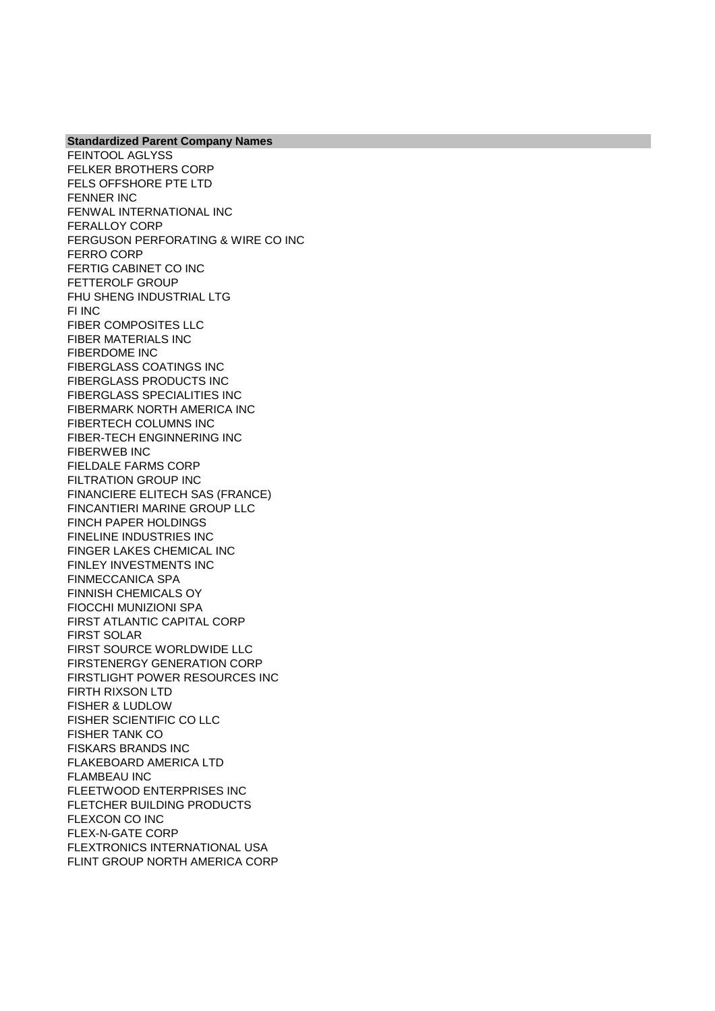FEINTOOL AGLYSS FELKER BROTHERS CORP FELS OFFSHORE PTE LTD FENNER INC FENWAL INTERNATIONAL INC FERALLOY CORP FERGUSON PERFORATING & WIRE CO INC FERRO CORP FERTIG CABINET CO INC FETTEROLF GROUP FHU SHENG INDUSTRIAL LTG FI INC FIBER COMPOSITES LLC FIBER MATERIALS INC FIBERDOME INC FIBERGLASS COATINGS INC FIBERGLASS PRODUCTS INC FIBERGLASS SPECIALITIES INC FIBERMARK NORTH AMERICA INC FIBERTECH COLUMNS INC FIBER-TECH ENGINNERING INC FIBERWEB INC FIELDALE FARMS CORP FILTRATION GROUP INC FINANCIERE ELITECH SAS (FRANCE) FINCANTIERI MARINE GROUP LLC FINCH PAPER HOLDINGS FINELINE INDUSTRIES INC FINGER LAKES CHEMICAL INC FINLEY INVESTMENTS INC FINMECCANICA SPA FINNISH CHEMICALS OY FIOCCHI MUNIZIONI SPA FIRST ATLANTIC CAPITAL CORP FIRST SOLAR FIRST SOURCE WORLDWIDE LLC FIRSTENERGY GENERATION CORP FIRSTLIGHT POWER RESOURCES INC FIRTH RIXSON LTD FISHER & LUDLOW FISHER SCIENTIFIC CO LLC FISHER TANK CO FISKARS BRANDS INC FLAKEBOARD AMERICA LTD FLAMBEAU INC FLEETWOOD ENTERPRISES INC FLETCHER BUILDING PRODUCTS FLEXCON CO INC FLEX-N-GATE CORP FLEXTRONICS INTERNATIONAL USA FLINT GROUP NORTH AMERICA CORP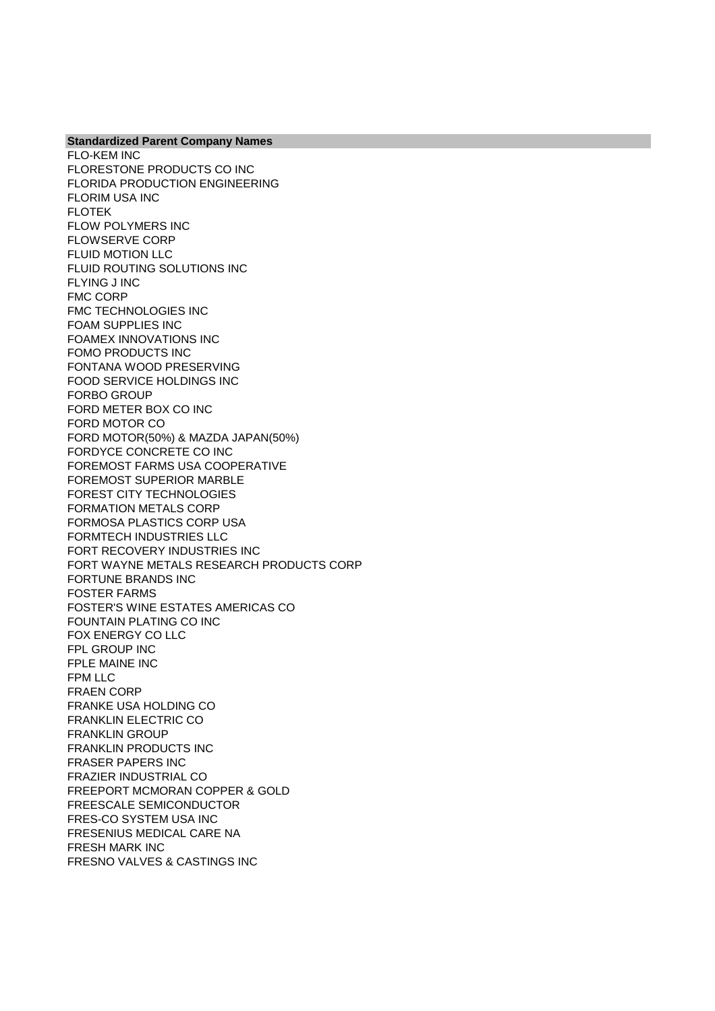**Standardized Parent Company Names** FLO-KEM INC FLORESTONE PRODUCTS CO INC FLORIDA PRODUCTION ENGINEERING FLORIM USA INC FLOTEK FLOW POLYMERS INC FLOWSERVE CORP FLUID MOTION LLC FLUID ROUTING SOLUTIONS INC FLYING J INC FMC CORP FMC TECHNOLOGIES INC FOAM SUPPLIES INC FOAMEX INNOVATIONS INC FOMO PRODUCTS INC FONTANA WOOD PRESERVING FOOD SERVICE HOLDINGS INC FORBO GROUP FORD METER BOX CO INC FORD MOTOR CO FORD MOTOR(50%) & MAZDA JAPAN(50%) FORDYCE CONCRETE CO INC FOREMOST FARMS USA COOPERATIVE FOREMOST SUPERIOR MARBLE FOREST CITY TECHNOLOGIES FORMATION METALS CORP FORMOSA PLASTICS CORP USA FORMTECH INDUSTRIES LLC FORT RECOVERY INDUSTRIES INC FORT WAYNE METALS RESEARCH PRODUCTS CORP FORTUNE BRANDS INC FOSTER FARMS FOSTER'S WINE ESTATES AMERICAS CO FOUNTAIN PLATING CO INC FOX ENERGY CO LLC FPL GROUP INC FPLE MAINE INC FPM LLC FRAEN CORP FRANKE USA HOLDING CO FRANKLIN ELECTRIC CO FRANKLIN GROUP FRANKLIN PRODUCTS INC FRASER PAPERS INC FRAZIER INDUSTRIAL CO FREEPORT MCMORAN COPPER & GOLD FREESCALE SEMICONDUCTOR FRES-CO SYSTEM USA INC FRESENIUS MEDICAL CARE NA FRESH MARK INC FRESNO VALVES & CASTINGS INC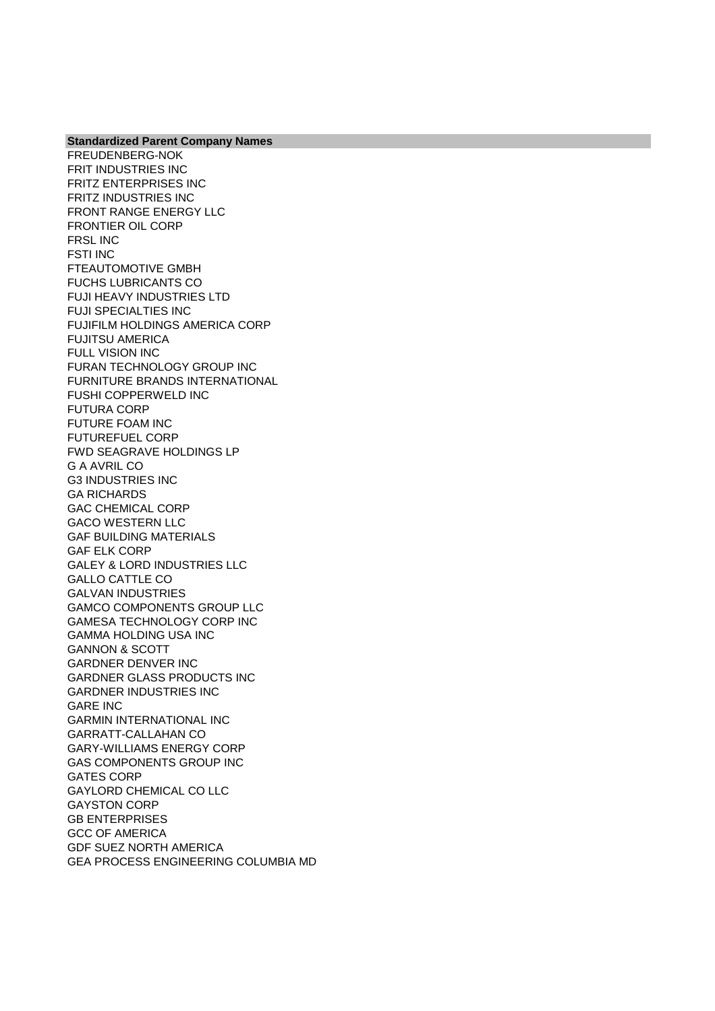FRIT INDUSTRIES INC FRITZ ENTERPRISES INC FRITZ INDUSTRIES INC FRONT RANGE ENERGY LLC FRONTIER OIL CORP FRSL INC FSTI INC FTEAUTOMOTIVE GMBH FUCHS LUBRICANTS CO FUJI HEAVY INDUSTRIES LTD FUJI SPECIALTIES INC FUJIFILM HOLDINGS AMERICA CORP FUJITSU AMERICA FULL VISION INC FURAN TECHNOLOGY GROUP INC FURNITURE BRANDS INTERNATIONAL FUSHI COPPERWELD INC FUTURA CORP FUTURE FOAM INC FUTUREFUEL CORP FWD SEAGRAVE HOLDINGS LP G A AVRIL CO G3 INDUSTRIES INC GA RICHARDS GAC CHEMICAL CORP GACO WESTERN LLC GAF BUILDING MATERIALS GAF ELK CORP GALEY & LORD INDUSTRIES LLC GALLO CATTLE CO GALVAN INDUSTRIES GAMCO COMPONENTS GROUP LLC GAMESA TECHNOLOGY CORP INC GAMMA HOLDING USA INC GANNON & SCOTT GARDNER DENVER INC GARDNER GLASS PRODUCTS INC GARDNER INDUSTRIES INC GARE INC GARMIN INTERNATIONAL INC GARRATT-CALLAHAN CO GARY-WILLIAMS ENERGY CORP GAS COMPONENTS GROUP INC GATES CORP GAYLORD CHEMICAL CO LLC GAYSTON CORP GB ENTERPRISES GCC OF AMERICA GDF SUEZ NORTH AMERICA GEA PROCESS ENGINEERING COLUMBIA MD

**Standardized Parent Company Names**

FREUDENBERG-NOK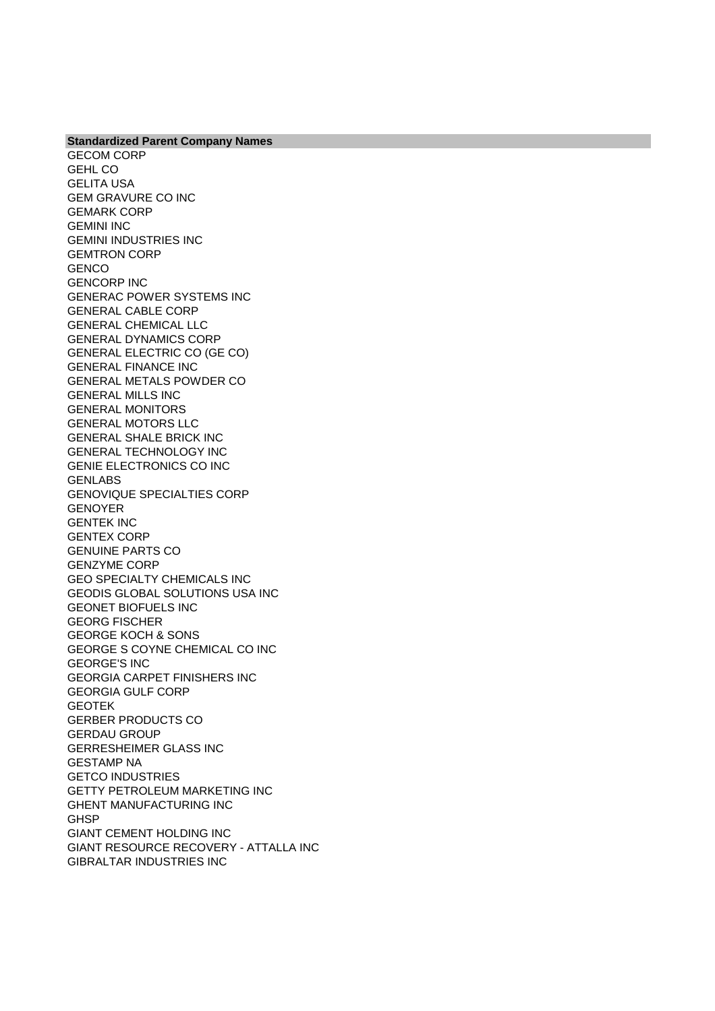**Standardized Parent Company Names** GECOM CORP GEHL CO GELITA USA GEM GRAVURE CO INC GEMARK CORP GEMINI INC GEMINI INDUSTRIES INC GEMTRON CORP **GENCO** GENCORP INC GENERAC POWER SYSTEMS INC GENERAL CABLE CORP GENERAL CHEMICAL LLC GENERAL DYNAMICS CORP GENERAL ELECTRIC CO (GE CO) GENERAL FINANCE INC GENERAL METALS POWDER CO GENERAL MILLS INC GENERAL MONITORS GENERAL MOTORS LLC GENERAL SHALE BRICK INC GENERAL TECHNOLOGY INC GENIE ELECTRONICS CO INC GENLABS GENOVIQUE SPECIALTIES CORP GENOYER GENTEK INC GENTEX CORP GENUINE PARTS CO GENZYME CORP GEO SPECIALTY CHEMICALS INC GEODIS GLOBAL SOLUTIONS USA INC GEONET BIOFUELS INC GEORG FISCHER GEORGE KOCH & SONS GEORGE S COYNE CHEMICAL CO INC GEORGE'S INC GEORGIA CARPET FINISHERS INC GEORGIA GULF CORP GEOTEK GERBER PRODUCTS CO GERDAU GROUP GERRESHEIMER GLASS INC GESTAMP NA GETCO INDUSTRIES GETTY PETROLEUM MARKETING INC GHENT MANUFACTURING INC **GHSP** GIANT CEMENT HOLDING INC GIANT RESOURCE RECOVERY - ATTALLA INC GIBRALTAR INDUSTRIES INC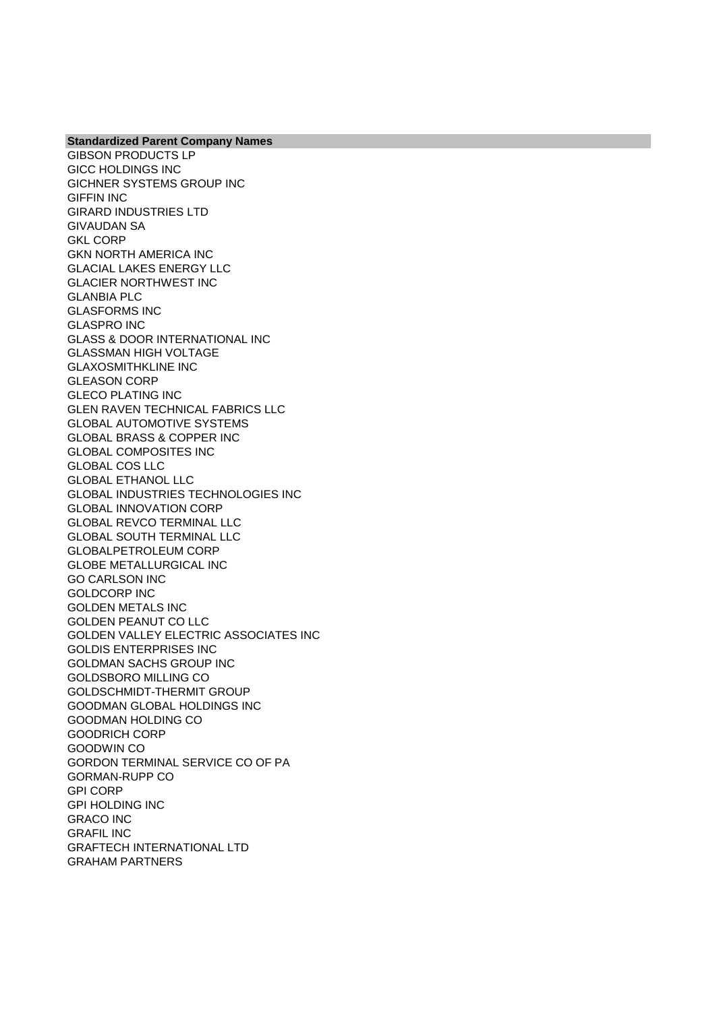**Standardized Parent Company Names** GIBSON PRODUCTS LP GICC HOLDINGS INC GICHNER SYSTEMS GROUP INC GIFFIN INC GIRARD INDUSTRIES LTD GIVAUDAN SA GKL CORP GKN NORTH AMERICA INC GLACIAL LAKES ENERGY LLC GLACIER NORTHWEST INC GLANBIA PLC GLASFORMS INC GLASPRO INC GLASS & DOOR INTERNATIONAL INC GLASSMAN HIGH VOLTAGE GLAXOSMITHKLINE INC GLEASON CORP GLECO PLATING INC GLEN RAVEN TECHNICAL FABRICS LLC GLOBAL AUTOMOTIVE SYSTEMS GLOBAL BRASS & COPPER INC GLOBAL COMPOSITES INC GLOBAL COS LLC GLOBAL ETHANOL LLC GLOBAL INDUSTRIES TECHNOLOGIES INC GLOBAL INNOVATION CORP GLOBAL REVCO TERMINAL LLC GLOBAL SOUTH TERMINAL LLC GLOBALPETROLEUM CORP GLOBE METALLURGICAL INC GO CARLSON INC GOLDCORP INC GOLDEN METALS INC GOLDEN PEANUT CO LLC GOLDEN VALLEY ELECTRIC ASSOCIATES INC GOLDIS ENTERPRISES INC GOLDMAN SACHS GROUP INC GOLDSBORO MILLING CO GOLDSCHMIDT-THERMIT GROUP GOODMAN GLOBAL HOLDINGS INC GOODMAN HOLDING CO GOODRICH CORP GOODWIN CO GORDON TERMINAL SERVICE CO OF PA GORMAN-RUPP CO GPI CORP GPI HOLDING INC GRACO INC GRAFIL INC GRAFTECH INTERNATIONAL LTD GRAHAM PARTNERS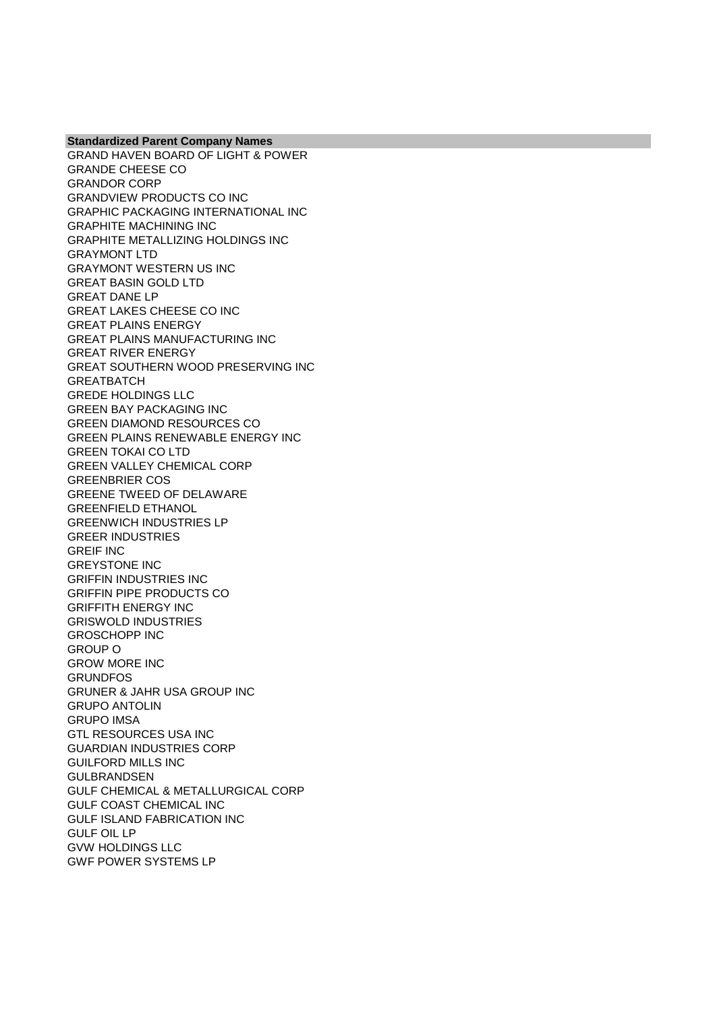**Standardized Parent Company Names** GRAND HAVEN BOARD OF LIGHT & POWER GRANDE CHEESE CO GRANDOR CORP GRANDVIEW PRODUCTS CO INC GRAPHIC PACKAGING INTERNATIONAL INC GRAPHITE MACHINING INC GRAPHITE METALLIZING HOLDINGS INC GRAYMONT LTD GRAYMONT WESTERN US INC GREAT BASIN GOLD LTD GREAT DANE LP GREAT LAKES CHEESE CO INC GREAT PLAINS ENERGY GREAT PLAINS MANUFACTURING INC GREAT RIVER ENERGY GREAT SOUTHERN WOOD PRESERVING INC **GREATBATCH** GREDE HOLDINGS LLC GREEN BAY PACKAGING INC GREEN DIAMOND RESOURCES CO GREEN PLAINS RENEWABLE ENERGY INC GREEN TOKAI CO LTD GREEN VALLEY CHEMICAL CORP GREENBRIER COS GREENE TWEED OF DELAWARE GREENFIELD ETHANOL GREENWICH INDUSTRIES LP GREER INDUSTRIES GREIF INC GREYSTONE INC GRIFFIN INDUSTRIES INC GRIFFIN PIPE PRODUCTS CO GRIFFITH ENERGY INC GRISWOLD INDUSTRIES GROSCHOPP INC GROUP O GROW MORE INC **GRUNDFOS** GRUNER & JAHR USA GROUP INC GRUPO ANTOLIN GRUPO IMSA GTL RESOURCES USA INC GUARDIAN INDUSTRIES CORP GUILFORD MILLS INC GULBRANDSEN GULF CHEMICAL & METALLURGICAL CORP GULF COAST CHEMICAL INC GULF ISLAND FABRICATION INC GULF OIL LP GVW HOLDINGS LLC GWF POWER SYSTEMS LP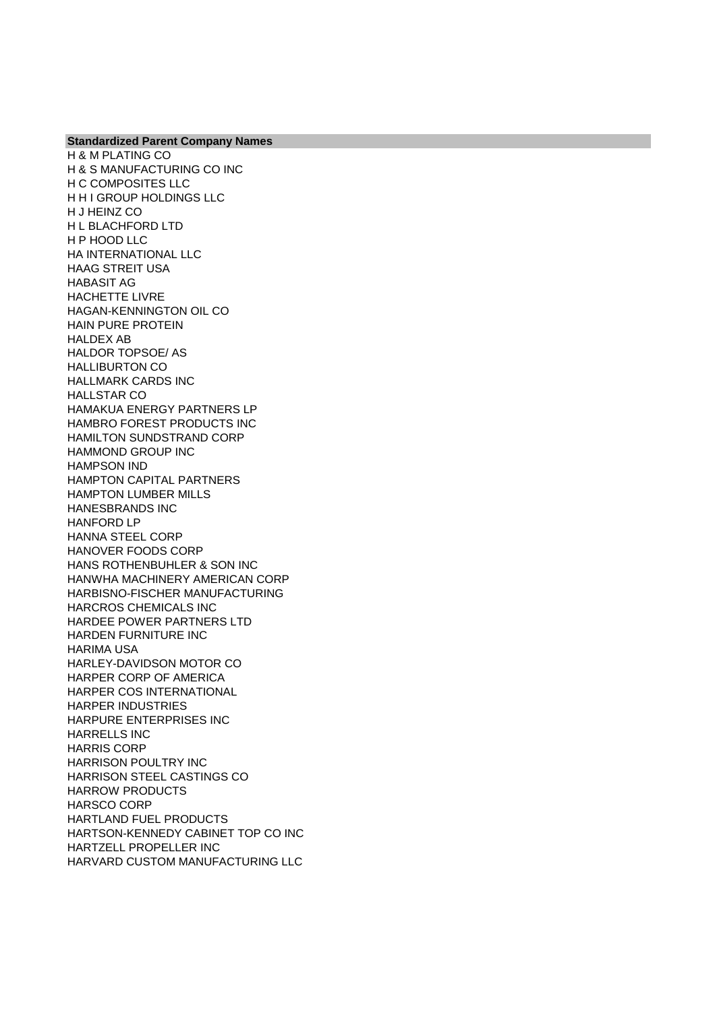**Standardized Parent Company Names** H & M PLATING CO H & S MANUFACTURING CO INC H C COMPOSITES LLC H H I GROUP HOLDINGS LLC H J HEINZ CO H L BLACHFORD LTD H P HOOD LLC HA INTERNATIONAL LLC HAAG STREIT USA HABASIT AG HACHETTE LIVRE HAGAN-KENNINGTON OIL CO HAIN PURE PROTEIN HALDEX AB HALDOR TOPSOE/ AS HALLIBURTON CO HALLMARK CARDS INC HALLSTAR CO HAMAKUA ENERGY PARTNERS LP HAMBRO FOREST PRODUCTS INC HAMILTON SUNDSTRAND CORP HAMMOND GROUP INC HAMPSON IND HAMPTON CAPITAL PARTNERS HAMPTON LUMBER MILLS HANESBRANDS INC HANFORD LP HANNA STEEL CORP HANOVER FOODS CORP HANS ROTHENBUHLER & SON INC HANWHA MACHINERY AMERICAN CORP HARBISNO-FISCHER MANUFACTURING HARCROS CHEMICALS INC HARDEE POWER PARTNERS LTD HARDEN FURNITURE INC HARIMA USA HARLEY-DAVIDSON MOTOR CO HARPER CORP OF AMERICA HARPER COS INTERNATIONAL HARPER INDUSTRIES HARPURE ENTERPRISES INC HARRELLS INC HARRIS CORP HARRISON POULTRY INC HARRISON STEEL CASTINGS CO HARROW PRODUCTS HARSCO CORP HARTLAND FUEL PRODUCTS HARTSON-KENNEDY CABINET TOP CO INC HARTZELL PROPELLER INC HARVARD CUSTOM MANUFACTURING LLC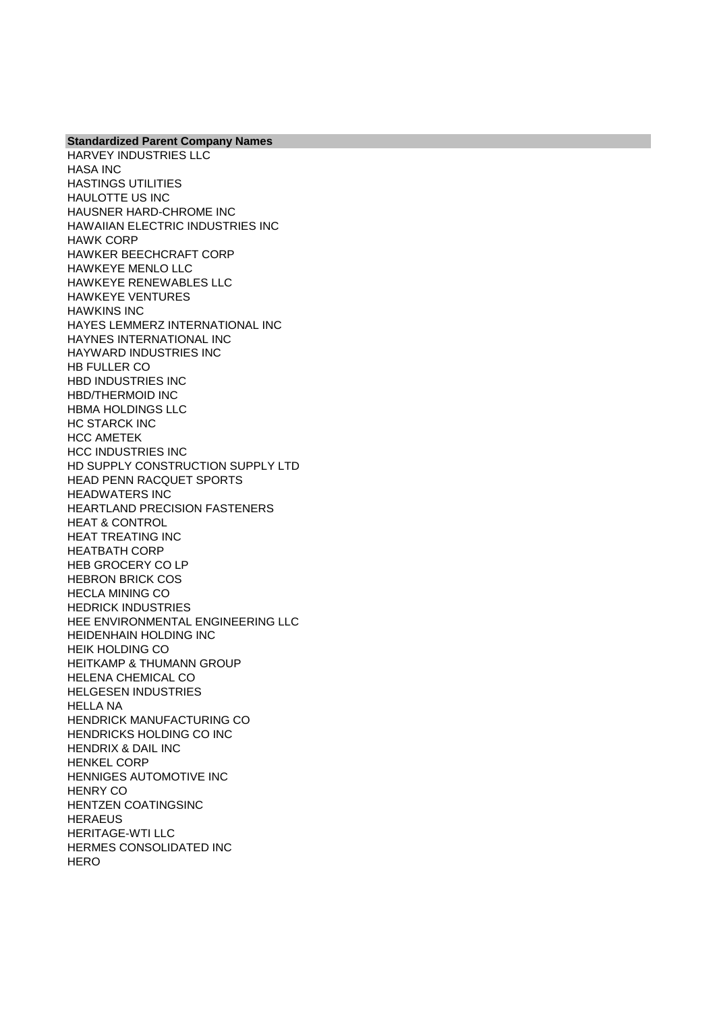**Standardized Parent Company Names** HARVEY INDUSTRIES LLC HASA INC HASTINGS UTILITIES HAULOTTE US INC HAUSNER HARD-CHROME INC HAWAIIAN ELECTRIC INDUSTRIES INC HAWK CORP HAWKER BEECHCRAFT CORP HAWKEYE MENLO LLC HAWKEYE RENEWABLES LLC HAWKEYE VENTURES HAWKINS INC HAYES LEMMERZ INTERNATIONAL INC HAYNES INTERNATIONAL INC HAYWARD INDUSTRIES INC HB FULLER CO HBD INDUSTRIES INC HBD/THERMOID INC HBMA HOLDINGS LLC HC STARCK INC HCC AMETEK HCC INDUSTRIES INC HD SUPPLY CONSTRUCTION SUPPLY LTD HEAD PENN RACQUET SPORTS HEADWATERS INC HEARTLAND PRECISION FASTENERS HEAT & CONTROL HEAT TREATING INC HEATBATH CORP HEB GROCERY CO LP HEBRON BRICK COS HECLA MINING CO HEDRICK INDUSTRIES HEE ENVIRONMENTAL ENGINEERING LLC HEIDENHAIN HOLDING INC HEIK HOLDING CO HEITKAMP & THUMANN GROUP HELENA CHEMICAL CO HELGESEN INDUSTRIES HELLA NA HENDRICK MANUFACTURING CO HENDRICKS HOLDING CO INC HENDRIX & DAIL INC HENKEL CORP HENNIGES AUTOMOTIVE INC HENRY CO HENTZEN COATINGSINC **HERAEUS** HERITAGE-WTI LLC HERMES CONSOLIDATED INC **HERO**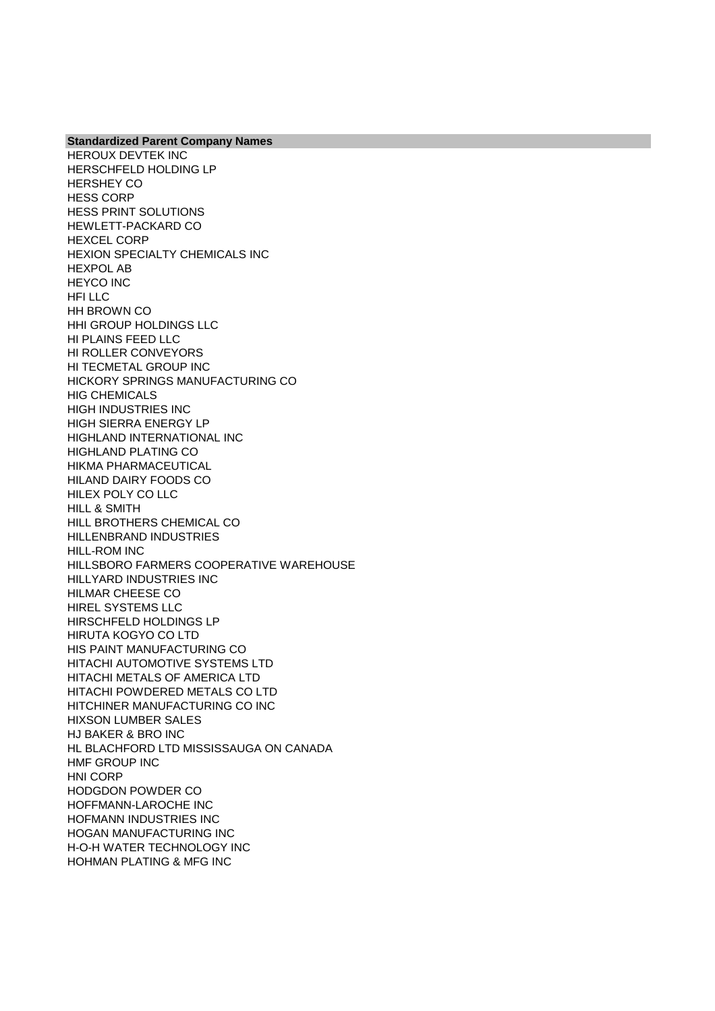**Standardized Parent Company Names** HEROUX DEVTEK INC HERSCHFELD HOLDING LP HERSHEY CO HESS CORP HESS PRINT SOLUTIONS HEWLETT-PACKARD CO HEXCEL CORP HEXION SPECIALTY CHEMICALS INC HEXPOL AB HEYCO INC HFI LLC HH BROWN CO HHI GROUP HOLDINGS LLC HI PLAINS FEED LLC HI ROLLER CONVEYORS HI TECMETAL GROUP INC HICKORY SPRINGS MANUFACTURING CO HIG CHEMICALS HIGH INDUSTRIES INC HIGH SIERRA ENERGY LP HIGHLAND INTERNATIONAL INC HIGHLAND PLATING CO HIKMA PHARMACEUTICAL HILAND DAIRY FOODS CO HILEX POLY CO LLC HILL & SMITH HILL BROTHERS CHEMICAL CO HILLENBRAND INDUSTRIES HILL-ROM INC HILLSBORO FARMERS COOPERATIVE WAREHOUSE HILLYARD INDUSTRIES INC HILMAR CHEESE CO HIREL SYSTEMS LLC HIRSCHFELD HOLDINGS LP HIRUTA KOGYO CO LTD HIS PAINT MANUFACTURING CO HITACHI AUTOMOTIVE SYSTEMS LTD HITACHI METALS OF AMERICA LTD HITACHI POWDERED METALS CO LTD HITCHINER MANUFACTURING CO INC HIXSON LUMBER SALES HJ BAKER & BRO INC HL BLACHFORD LTD MISSISSAUGA ON CANADA HMF GROUP INC HNI CORP HODGDON POWDER CO HOFFMANN-LAROCHE INC HOFMANN INDUSTRIES INC HOGAN MANUFACTURING INC H-O-H WATER TECHNOLOGY INC HOHMAN PLATING & MFG INC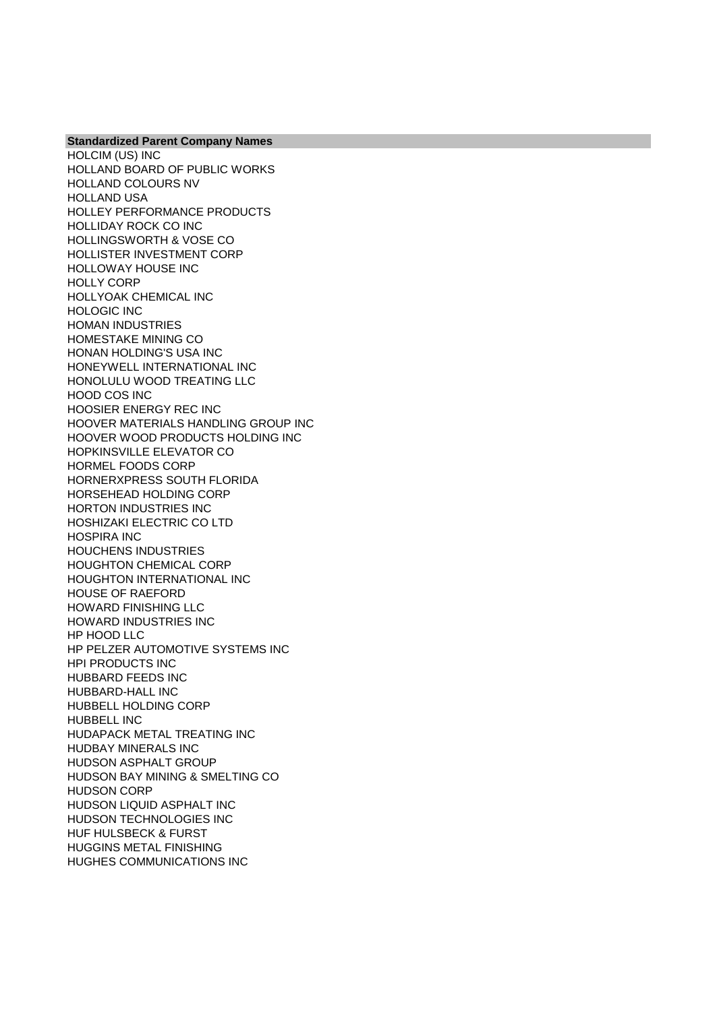HOLCIM (US) INC HOLLAND BOARD OF PUBLIC WORKS HOLLAND COLOURS NV HOLLAND USA HOLLEY PERFORMANCE PRODUCTS HOLLIDAY ROCK CO INC HOLLINGSWORTH & VOSE CO HOLLISTER INVESTMENT CORP HOLLOWAY HOUSE INC HOLLY CORP HOLLYOAK CHEMICAL INC HOLOGIC INC HOMAN INDUSTRIES HOMESTAKE MINING CO HONAN HOLDING'S USA INC HONEYWELL INTERNATIONAL INC HONOLULU WOOD TREATING LLC HOOD COS INC HOOSIER ENERGY REC INC HOOVER MATERIALS HANDLING GROUP INC HOOVER WOOD PRODUCTS HOLDING INC HOPKINSVILLE ELEVATOR CO HORMEL FOODS CORP HORNERXPRESS SOUTH FLORIDA HORSEHEAD HOLDING CORP HORTON INDUSTRIES INC HOSHIZAKI ELECTRIC CO LTD HOSPIRA INC HOUCHENS INDUSTRIES HOUGHTON CHEMICAL CORP HOUGHTON INTERNATIONAL INC HOUSE OF RAEFORD HOWARD FINISHING LLC HOWARD INDUSTRIES INC HP HOOD LLC HP PELZER AUTOMOTIVE SYSTEMS INC HPI PRODUCTS INC HUBBARD FEEDS INC HUBBARD-HALL INC HUBBELL HOLDING CORP HUBBELL INC HUDAPACK METAL TREATING INC HUDBAY MINERALS INC HUDSON ASPHALT GROUP HUDSON BAY MINING & SMELTING CO HUDSON CORP HUDSON LIQUID ASPHALT INC HUDSON TECHNOLOGIES INC HUF HULSBECK & FURST HUGGINS METAL FINISHING HUGHES COMMUNICATIONS INC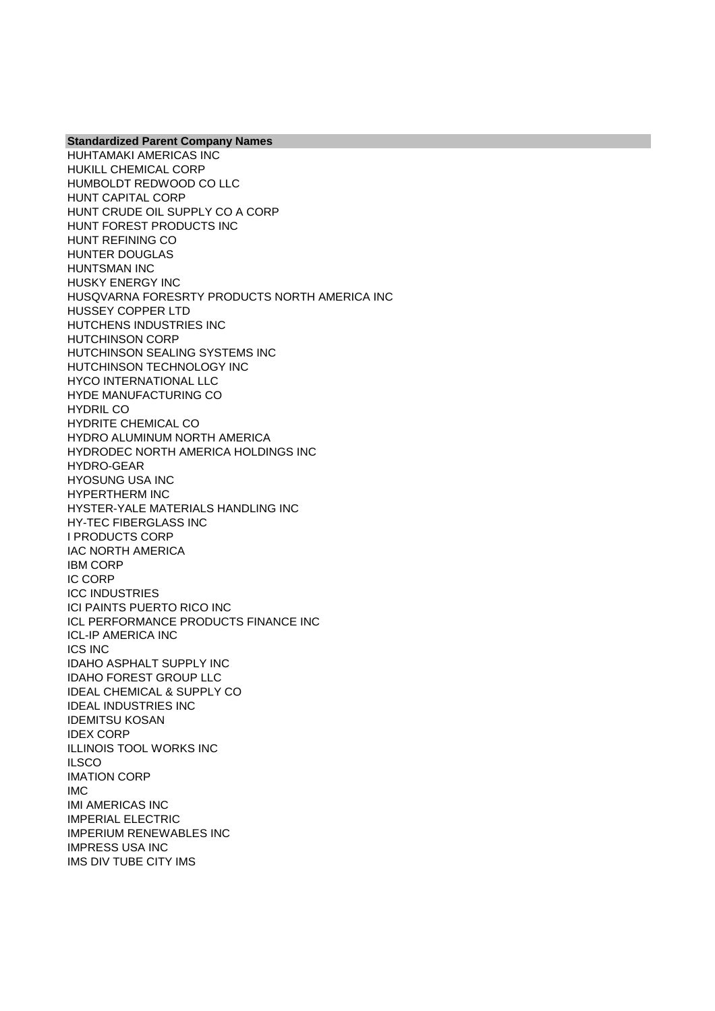HUHTAMAKI AMERICAS INC HUKILL CHEMICAL CORP HUMBOLDT REDWOOD CO LLC HUNT CAPITAL CORP HUNT CRUDE OIL SUPPLY CO A CORP HUNT FOREST PRODUCTS INC HUNT REFINING CO HUNTER DOUGLAS HUNTSMAN INC HUSKY ENERGY INC HUSQVARNA FORESRTY PRODUCTS NORTH AMERICA INC HUSSEY COPPER LTD HUTCHENS INDUSTRIES INC HUTCHINSON CORP HUTCHINSON SEALING SYSTEMS INC HUTCHINSON TECHNOLOGY INC HYCO INTERNATIONAL LLC HYDE MANUFACTURING CO HYDRIL CO HYDRITE CHEMICAL CO HYDRO ALUMINUM NORTH AMERICA HYDRODEC NORTH AMERICA HOLDINGS INC HYDRO-GEAR HYOSUNG USA INC HYPERTHERM INC HYSTER-YALE MATERIALS HANDLING INC HY-TEC FIBERGLASS INC I PRODUCTS CORP IAC NORTH AMERICA IBM CORP IC CORP ICC INDUSTRIES ICI PAINTS PUERTO RICO INC ICL PERFORMANCE PRODUCTS FINANCE INC ICL-IP AMERICA INC ICS INC IDAHO ASPHALT SUPPLY INC IDAHO FOREST GROUP LLC IDEAL CHEMICAL & SUPPLY CO IDEAL INDUSTRIES INC IDEMITSU KOSAN IDEX CORP ILLINOIS TOOL WORKS INC **ILSCO** IMATION CORP IMC IMI AMERICAS INC IMPERIAL ELECTRIC IMPERIUM RENEWABLES INC IMPRESS USA INC IMS DIV TUBE CITY IMS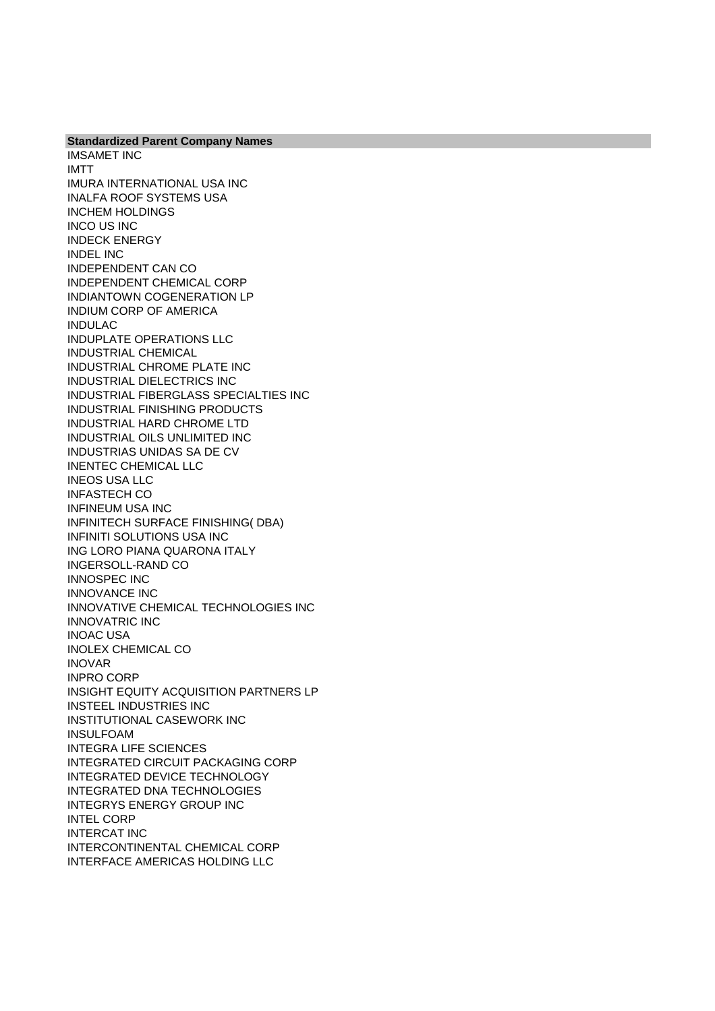**Standardized Parent Company Names** IMSAMET INC IMTT IMURA INTERNATIONAL USA INC INALFA ROOF SYSTEMS USA INCHEM HOLDINGS INCO US INC INDECK ENERGY INDEL INC INDEPENDENT CAN CO INDEPENDENT CHEMICAL CORP INDIANTOWN COGENERATION LP INDIUM CORP OF AMERICA INDULAC INDUPLATE OPERATIONS LLC INDUSTRIAL CHEMICAL INDUSTRIAL CHROME PLATE INC INDUSTRIAL DIELECTRICS INC INDUSTRIAL FIBERGLASS SPECIALTIES INC INDUSTRIAL FINISHING PRODUCTS INDUSTRIAL HARD CHROME LTD INDUSTRIAL OILS UNLIMITED INC INDUSTRIAS UNIDAS SA DE CV INENTEC CHEMICAL LLC INEOS USA LLC INFASTECH CO INFINEUM USA INC INFINITECH SURFACE FINISHING( DBA) INFINITI SOLUTIONS USA INC ING LORO PIANA QUARONA ITALY INGERSOLL-RAND CO INNOSPEC INC INNOVANCE INC INNOVATIVE CHEMICAL TECHNOLOGIES INC INNOVATRIC INC INOAC USA INOLEX CHEMICAL CO INOVAR INPRO CORP INSIGHT EQUITY ACQUISITION PARTNERS LP INSTEEL INDUSTRIES INC INSTITUTIONAL CASEWORK INC INSULFOAM INTEGRA LIFE SCIENCES INTEGRATED CIRCUIT PACKAGING CORP INTEGRATED DEVICE TECHNOLOGY INTEGRATED DNA TECHNOLOGIES INTEGRYS ENERGY GROUP INC INTEL CORP INTERCAT INC INTERCONTINENTAL CHEMICAL CORP INTERFACE AMERICAS HOLDING LLC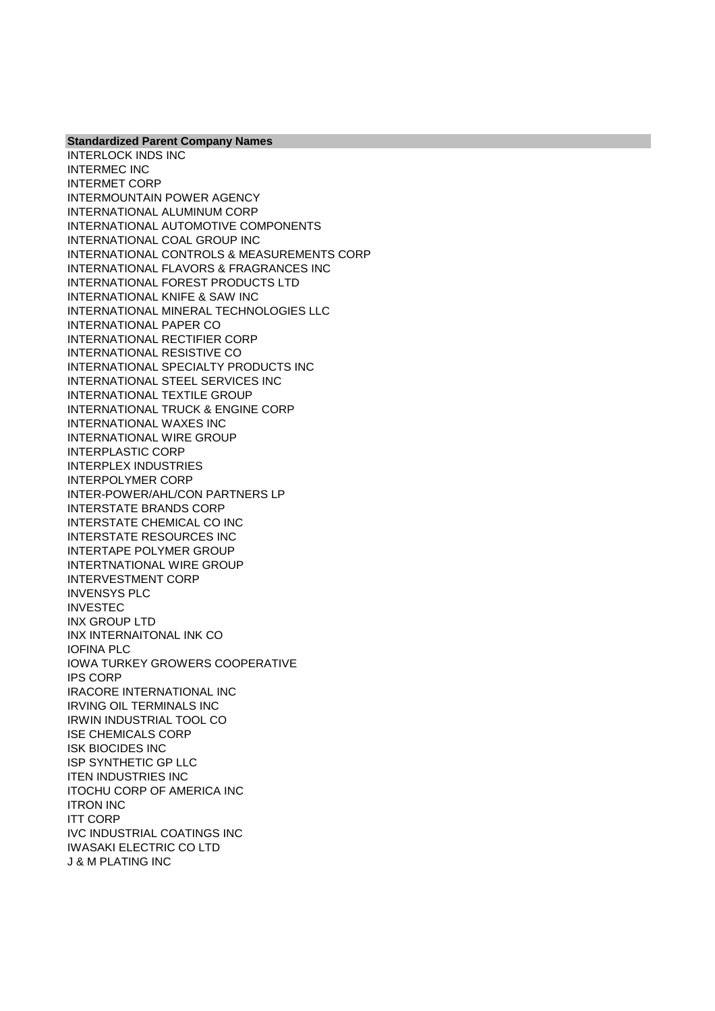**Standardized Parent Company Names** INTERLOCK INDS INC

INTERMEC INC INTERMET CORP INTERMOUNTAIN POWER AGENCY INTERNATIONAL ALUMINUM CORP INTERNATIONAL AUTOMOTIVE COMPONENTS INTERNATIONAL COAL GROUP INC INTERNATIONAL CONTROLS & MEASUREMENTS CORP INTERNATIONAL FLAVORS & FRAGRANCES INC INTERNATIONAL FOREST PRODUCTS LTD INTERNATIONAL KNIFE & SAW INC INTERNATIONAL MINERAL TECHNOLOGIES LLC INTERNATIONAL PAPER CO INTERNATIONAL RECTIFIER CORP INTERNATIONAL RESISTIVE CO INTERNATIONAL SPECIALTY PRODUCTS INC INTERNATIONAL STEEL SERVICES INC INTERNATIONAL TEXTILE GROUP INTERNATIONAL TRUCK & ENGINE CORP INTERNATIONAL WAXES INC INTERNATIONAL WIRE GROUP INTERPLASTIC CORP INTERPLEX INDUSTRIES INTERPOLYMER CORP INTER-POWER/AHL/CON PARTNERS LP INTERSTATE BRANDS CORP INTERSTATE CHEMICAL CO INC INTERSTATE RESOURCES INC INTERTAPE POLYMER GROUP INTERTNATIONAL WIRE GROUP INTERVESTMENT CORP INVENSYS PLC INVESTEC INX GROUP LTD INX INTERNAITONAL INK CO IOFINA PLC IOWA TURKEY GROWERS COOPERATIVE IPS CORP IRACORE INTERNATIONAL INC IRVING OIL TERMINALS INC IRWIN INDUSTRIAL TOOL CO ISE CHEMICALS CORP ISK BIOCIDES INC ISP SYNTHETIC GP LLC ITEN INDUSTRIES INC ITOCHU CORP OF AMERICA INC ITRON INC ITT CORP IVC INDUSTRIAL COATINGS INC IWASAKI ELECTRIC CO LTD J & M PLATING INC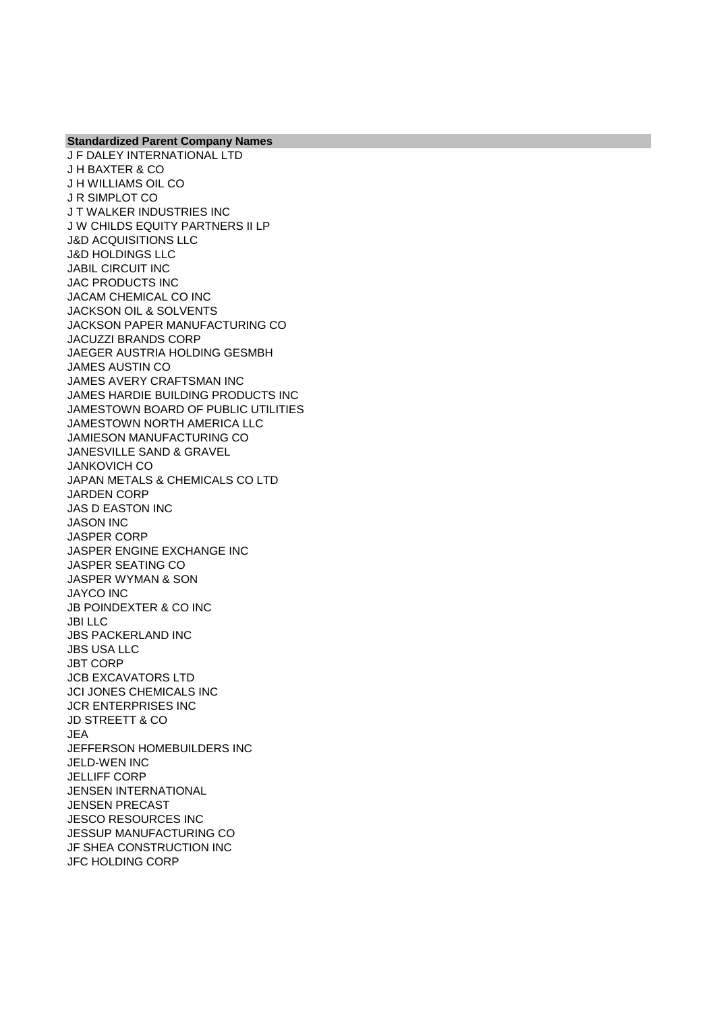**Standardized Parent Company Names** J F DALEY INTERNATIONAL LTD J H BAXTER & CO J H WILLIAMS OIL CO J R SIMPLOT CO J T WALKER INDUSTRIES INC J W CHILDS EQUITY PARTNERS II LP J&D ACQUISITIONS LLC J&D HOLDINGS LLC JABIL CIRCUIT INC JAC PRODUCTS INC JACAM CHEMICAL CO INC JACKSON OIL & SOLVENTS JACKSON PAPER MANUFACTURING CO JACUZZI BRANDS CORP JAEGER AUSTRIA HOLDING GESMBH JAMES AUSTIN CO JAMES AVERY CRAFTSMAN INC JAMES HARDIE BUILDING PRODUCTS INC JAMESTOWN BOARD OF PUBLIC UTILITIES JAMESTOWN NORTH AMERICA LLC JAMIESON MANUFACTURING CO JANESVILLE SAND & GRAVEL JANKOVICH CO JAPAN METALS & CHEMICALS CO LTD JARDEN CORP JAS D EASTON INC JASON INC JASPER CORP JASPER ENGINE EXCHANGE INC JASPER SEATING CO JASPER WYMAN & SON JAYCO INC JB POINDEXTER & CO INC JBI LLC JBS PACKERLAND INC JBS USA LLC JBT CORP JCB EXCAVATORS LTD JCI JONES CHEMICALS INC JCR ENTERPRISES INC JD STREETT & CO JEA JEFFERSON HOMEBUILDERS INC JELD-WEN INC JELLIFF CORP JENSEN INTERNATIONAL JENSEN PRECAST JESCO RESOURCES INC JESSUP MANUFACTURING CO

JF SHEA CONSTRUCTION INC JFC HOLDING CORP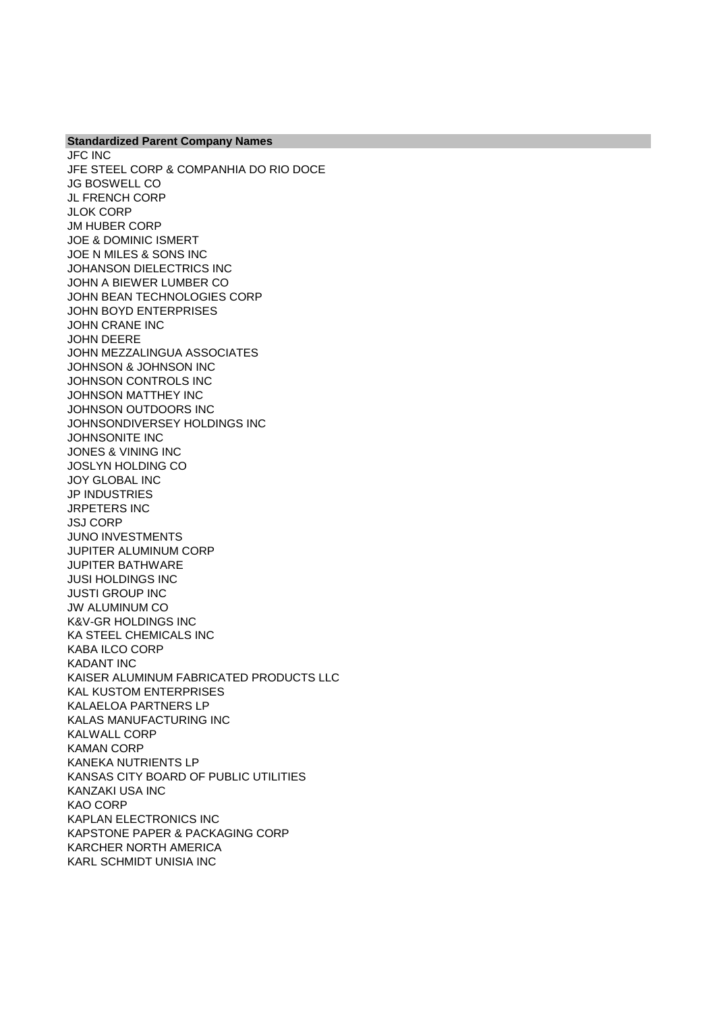**Standardized Parent Company Names** JFC INC JFE STEEL CORP & COMPANHIA DO RIO DOCE JG BOSWELL CO JL FRENCH CORP JLOK CORP JM HUBER CORP JOE & DOMINIC ISMERT JOE N MILES & SONS INC JOHANSON DIELECTRICS INC JOHN A BIEWER LUMBER CO JOHN BEAN TECHNOLOGIES CORP JOHN BOYD ENTERPRISES JOHN CRANE INC JOHN DEERE JOHN MEZZALINGUA ASSOCIATES JOHNSON & JOHNSON INC JOHNSON CONTROLS INC JOHNSON MATTHEY INC JOHNSON OUTDOORS INC JOHNSONDIVERSEY HOLDINGS INC JOHNSONITE INC JONES & VINING INC JOSLYN HOLDING CO JOY GLOBAL INC JP INDUSTRIES JRPETERS INC JSJ CORP JUNO INVESTMENTS JUPITER ALUMINUM CORP JUPITER BATHWARE JUSI HOLDINGS INC JUSTI GROUP INC JW ALUMINUM CO K&V-GR HOLDINGS INC KA STEEL CHEMICALS INC KABA ILCO CORP KADANT INC KAISER ALUMINUM FABRICATED PRODUCTS LLC KAL KUSTOM ENTERPRISES KALAELOA PARTNERS LP KALAS MANUFACTURING INC KALWALL CORP KAMAN CORP KANEKA NUTRIENTS LP KANSAS CITY BOARD OF PUBLIC UTILITIES KANZAKI USA INC KAO CORP KAPLAN ELECTRONICS INC KAPSTONE PAPER & PACKAGING CORP KARCHER NORTH AMERICA KARL SCHMIDT UNISIA INC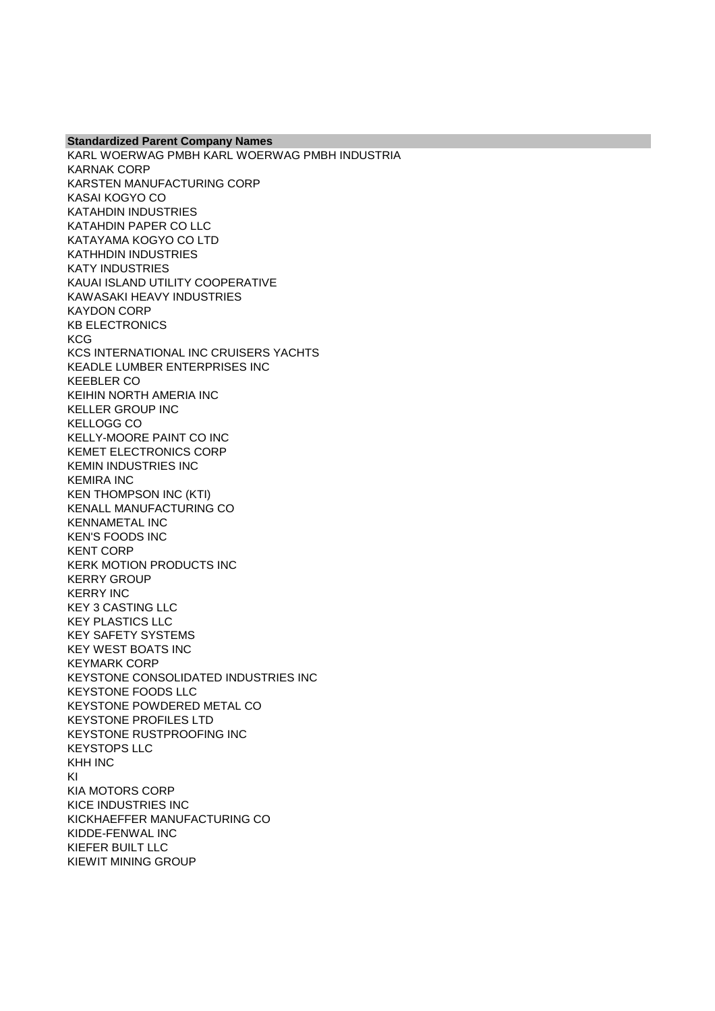**Standardized Parent Company Names** KARL WOERWAG PMBH KARL WOERWAG PMBH INDUSTRIA KARNAK CORP KARSTEN MANUFACTURING CORP KASAI KOGYO CO KATAHDIN INDUSTRIES KATAHDIN PAPER CO LLC KATAYAMA KOGYO CO LTD KATHHDIN INDUSTRIES KATY INDUSTRIES KAUAI ISLAND UTILITY COOPERATIVE KAWASAKI HEAVY INDUSTRIES KAYDON CORP KB ELECTRONICS **KCG** KCS INTERNATIONAL INC CRUISERS YACHTS KEADLE LUMBER ENTERPRISES INC KEEBLER CO KEIHIN NORTH AMERIA INC KELLER GROUP INC KELLOGG CO KELLY-MOORE PAINT CO INC KEMET ELECTRONICS CORP KEMIN INDUSTRIES INC KEMIRA INC KEN THOMPSON INC (KTI) KENALL MANUFACTURING CO KENNAMETAL INC KEN'S FOODS INC KENT CORP KERK MOTION PRODUCTS INC KERRY GROUP KERRY INC KEY 3 CASTING LLC KEY PLASTICS LLC KEY SAFETY SYSTEMS KEY WEST BOATS INC KEYMARK CORP KEYSTONE CONSOLIDATED INDUSTRIES INC KEYSTONE FOODS LLC KEYSTONE POWDERED METAL CO KEYSTONE PROFILES LTD KEYSTONE RUSTPROOFING INC KEYSTOPS LLC KHH INC KI KIA MOTORS CORP KICE INDUSTRIES INC KICKHAEFFER MANUFACTURING CO KIDDE-FENWAL INC KIEFER BUILT LLC KIEWIT MINING GROUP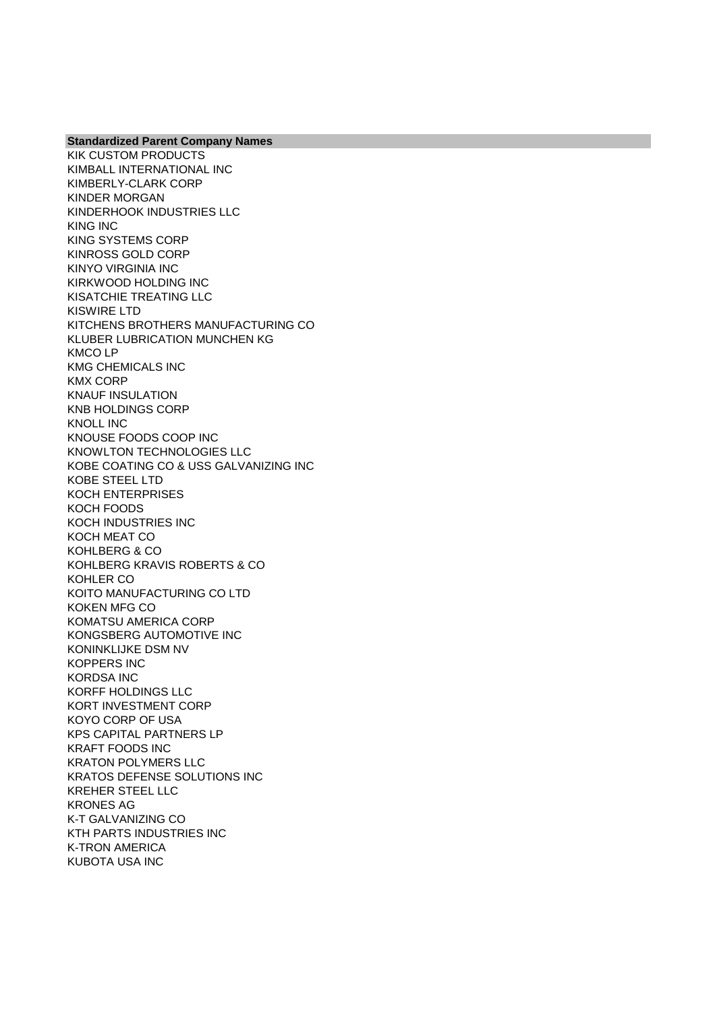KIK CUSTOM PRODUCTS KIMBALL INTERNATIONAL INC KIMBERLY-CLARK CORP KINDER MORGAN KINDERHOOK INDUSTRIES LLC KING INC KING SYSTEMS CORP KINROSS GOLD CORP KINYO VIRGINIA INC KIRKWOOD HOLDING INC KISATCHIE TREATING LLC KISWIRE LTD KITCHENS BROTHERS MANUFACTURING CO KLUBER LUBRICATION MUNCHEN KG KMCO LP KMG CHEMICALS INC KMX CORP KNAUF INSULATION KNB HOLDINGS CORP KNOLL INC KNOUSE FOODS COOP INC KNOWLTON TECHNOLOGIES LLC KOBE COATING CO & USS GALVANIZING INC KOBE STEEL LTD KOCH ENTERPRISES KOCH FOODS KOCH INDUSTRIES INC KOCH MEAT CO KOHLBERG & CO KOHLBERG KRAVIS ROBERTS & CO KOHLER CO KOITO MANUFACTURING CO LTD KOKEN MFG CO KOMATSU AMERICA CORP KONGSBERG AUTOMOTIVE INC KONINKLIJKE DSM NV KOPPERS INC KORDSA INC KORFF HOLDINGS LLC KORT INVESTMENT CORP KOYO CORP OF USA KPS CAPITAL PARTNERS LP KRAFT FOODS INC KRATON POLYMERS LLC KRATOS DEFENSE SOLUTIONS INC KREHER STEEL LLC KRONES AG K-T GALVANIZING CO KTH PARTS INDUSTRIES INC K-TRON AMERICA KUBOTA USA INC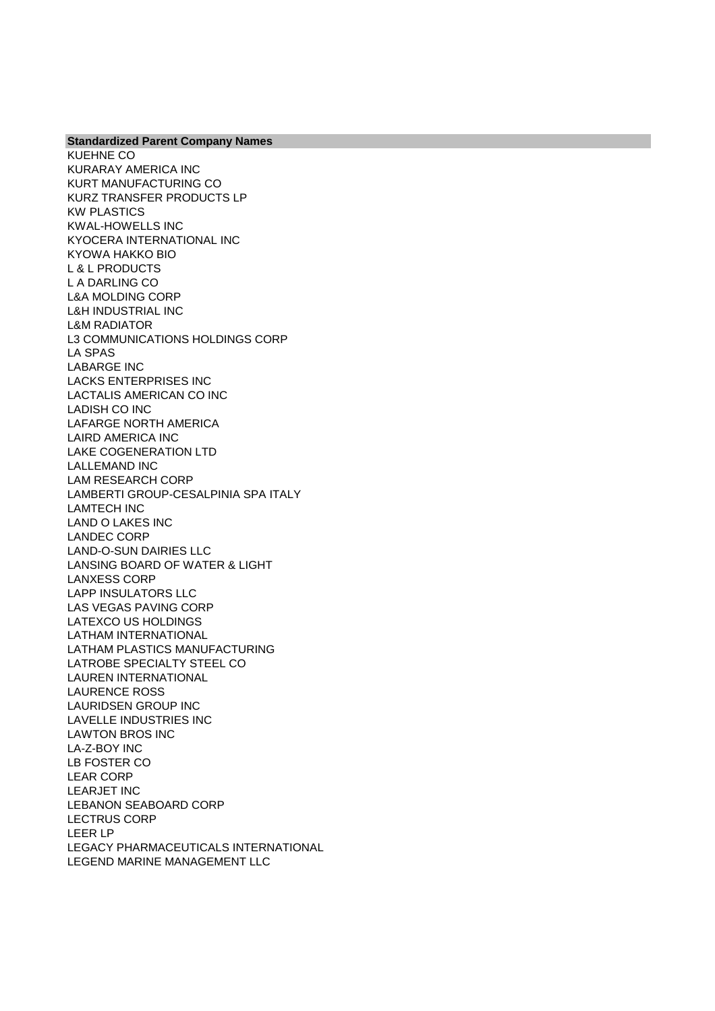KUEHNE CO KURARAY AMERICA INC KURT MANUFACTURING CO KURZ TRANSFER PRODUCTS LP KW PLASTICS KWAL-HOWELLS INC KYOCERA INTERNATIONAL INC KYOWA HAKKO BIO L & L PRODUCTS L A DARLING CO L&A MOLDING CORP L&H INDUSTRIAL INC L&M RADIATOR L3 COMMUNICATIONS HOLDINGS CORP LA SPAS LABARGE INC LACKS ENTERPRISES INC LACTALIS AMERICAN CO INC LADISH CO INC LAFARGE NORTH AMERICA LAIRD AMERICA INC LAKE COGENERATION LTD LALLEMAND INC LAM RESEARCH CORP LAMBERTI GROUP-CESALPINIA SPA ITALY LAMTECH INC LAND O LAKES INC LANDEC CORP LAND-O-SUN DAIRIES LLC LANSING BOARD OF WATER & LIGHT LANXESS CORP LAPP INSULATORS LLC LAS VEGAS PAVING CORP LATEXCO US HOLDINGS LATHAM INTERNATIONAL LATHAM PLASTICS MANUFACTURING LATROBE SPECIALTY STEEL CO LAUREN INTERNATIONAL LAURENCE ROSS LAURIDSEN GROUP INC LAVELLE INDUSTRIES INC LAWTON BROS INC LA-Z-BOY INC LB FOSTER CO LEAR CORP LEARJET INC LEBANON SEABOARD CORP LECTRUS CORP LEER LP LEGACY PHARMACEUTICALS INTERNATIONAL LEGEND MARINE MANAGEMENT LLC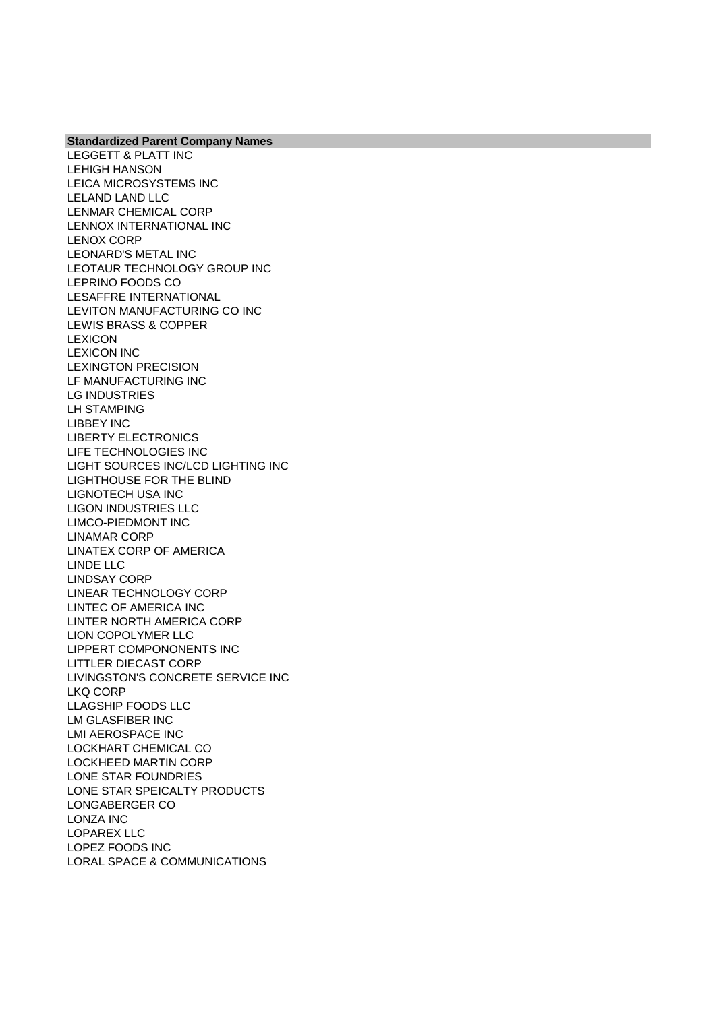LEGGETT & PLATT INC LEHIGH HANSON LEICA MICROSYSTEMS INC LELAND LAND LLC LENMAR CHEMICAL CORP LENNOX INTERNATIONAL INC LENOX CORP LEONARD'S METAL INC LEOTAUR TECHNOLOGY GROUP INC LEPRINO FOODS CO LESAFFRE INTERNATIONAL LEVITON MANUFACTURING CO INC LEWIS BRASS & COPPER LEXICON LEXICON INC LEXINGTON PRECISION LF MANUFACTURING INC LG INDUSTRIES LH STAMPING LIBBEY INC LIBERTY ELECTRONICS LIFE TECHNOLOGIES INC LIGHT SOURCES INC/LCD LIGHTING INC LIGHTHOUSE FOR THE BLIND LIGNOTECH USA INC LIGON INDUSTRIES LLC LIMCO-PIEDMONT INC LINAMAR CORP LINATEX CORP OF AMERICA LINDE LLC LINDSAY CORP LINEAR TECHNOLOGY CORP LINTEC OF AMERICA INC LINTER NORTH AMERICA CORP LION COPOLYMER LLC LIPPERT COMPONONENTS INC LITTLER DIECAST CORP LIVINGSTON'S CONCRETE SERVICE INC LKQ CORP LLAGSHIP FOODS LLC LM GLASFIBER INC LMI AEROSPACE INC LOCKHART CHEMICAL CO LOCKHEED MARTIN CORP LONE STAR FOUNDRIES LONE STAR SPEICALTY PRODUCTS LONGABERGER CO LONZA INC LOPAREX LLC LOPEZ FOODS INC LORAL SPACE & COMMUNICATIONS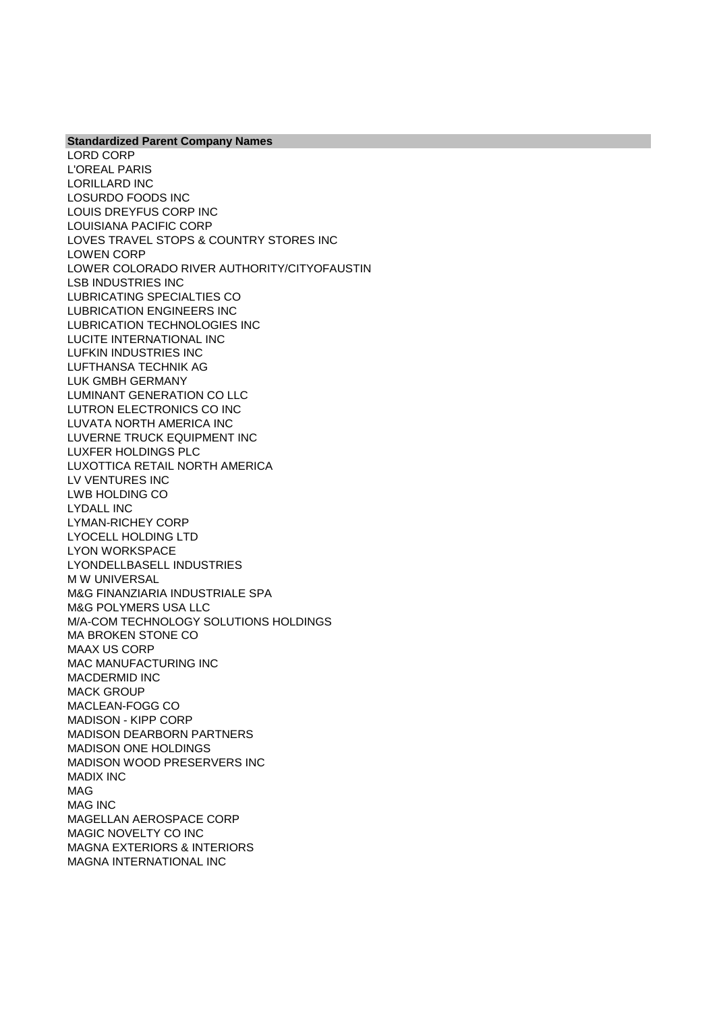**Standardized Parent Company Names** LORD CORP L'OREAL PARIS LORILLARD INC LOSURDO FOODS INC LOUIS DREYFUS CORP INC LOUISIANA PACIFIC CORP LOVES TRAVEL STOPS & COUNTRY STORES INC LOWEN CORP LOWER COLORADO RIVER AUTHORITY/CITYOFAUSTIN LSB INDUSTRIES INC LUBRICATING SPECIALTIES CO LUBRICATION ENGINEERS INC LUBRICATION TECHNOLOGIES INC LUCITE INTERNATIONAL INC LUFKIN INDUSTRIES INC LUFTHANSA TECHNIK AG LUK GMBH GERMANY LUMINANT GENERATION CO LLC LUTRON ELECTRONICS CO INC LUVATA NORTH AMERICA INC LUVERNE TRUCK EQUIPMENT INC LUXFER HOLDINGS PLC LUXOTTICA RETAIL NORTH AMERICA LV VENTURES INC LWB HOLDING CO LYDALL INC LYMAN-RICHEY CORP LYOCELL HOLDING LTD LYON WORKSPACE LYONDELLBASELL INDUSTRIES M W UNIVERSAL M&G FINANZIARIA INDUSTRIALE SPA M&G POLYMERS USA LLC M/A-COM TECHNOLOGY SOLUTIONS HOLDINGS MA BROKEN STONE CO MAAX US CORP MAC MANUFACTURING INC MACDERMID INC MACK GROUP MACLEAN-FOGG CO MADISON - KIPP CORP MADISON DEARBORN PARTNERS MADISON ONE HOLDINGS MADISON WOOD PRESERVERS INC MADIX INC MAG MAG INC MAGELLAN AEROSPACE CORP MAGIC NOVELTY CO INC MAGNA EXTERIORS & INTERIORS MAGNA INTERNATIONAL INC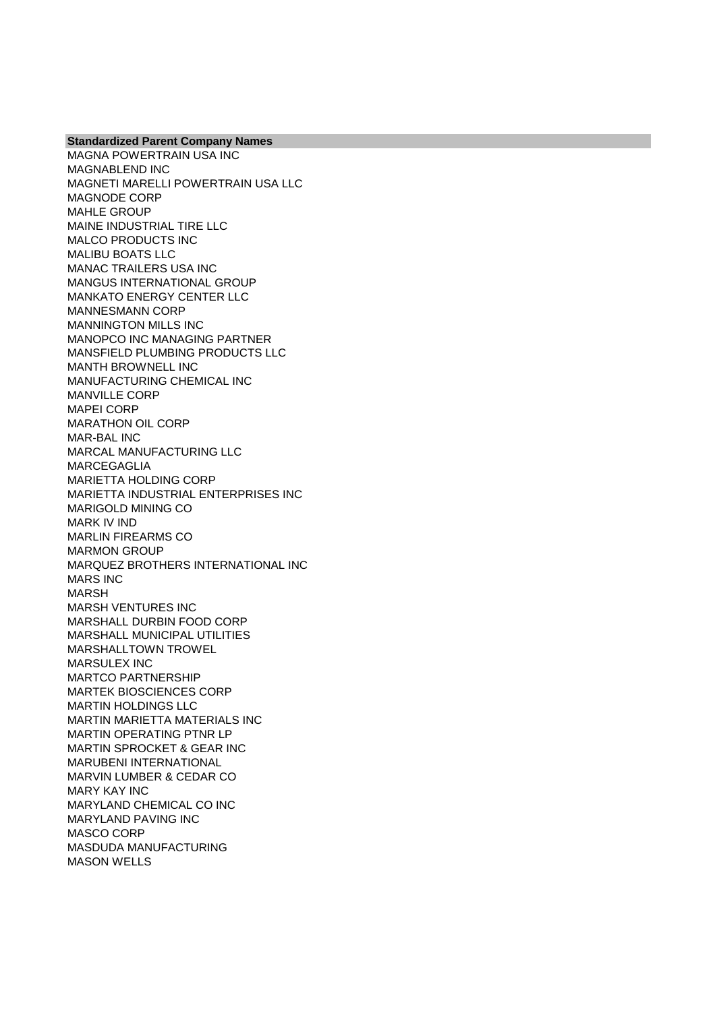MAGNA POWERTRAIN USA INC MAGNABLEND INC MAGNETI MARELLI POWERTRAIN USA LLC MAGNODE CORP MAHLE GROUP MAINE INDUSTRIAL TIRE LLC MALCO PRODUCTS INC MALIBU BOATS LLC MANAC TRAILERS USA INC MANGUS INTERNATIONAL GROUP MANKATO ENERGY CENTER LLC MANNESMANN CORP MANNINGTON MILLS INC MANOPCO INC MANAGING PARTNER MANSFIELD PLUMBING PRODUCTS LLC MANTH BROWNELL INC MANUFACTURING CHEMICAL INC MANVILLE CORP MAPEI CORP MARATHON OIL CORP MAR-BAL INC MARCAL MANUFACTURING LLC MARCEGAGLIA MARIETTA HOLDING CORP MARIETTA INDUSTRIAL ENTERPRISES INC MARIGOLD MINING CO MARK IV IND MARLIN FIREARMS CO MARMON GROUP MARQUEZ BROTHERS INTERNATIONAL INC MARS INC MARSH MARSH VENTURES INC MARSHALL DURBIN FOOD CORP MARSHALL MUNICIPAL UTILITIES MARSHALLTOWN TROWEL MARSULEX INC MARTCO PARTNERSHIP MARTEK BIOSCIENCES CORP MARTIN HOLDINGS LLC MARTIN MARIETTA MATERIALS INC MARTIN OPERATING PTNR LP MARTIN SPROCKET & GEAR INC MARUBENI INTERNATIONAL MARVIN LUMBER & CEDAR CO MARY KAY INC MARYLAND CHEMICAL CO INC MARYLAND PAVING INC MASCO CORP MASDUDA MANUFACTURING MASON WELLS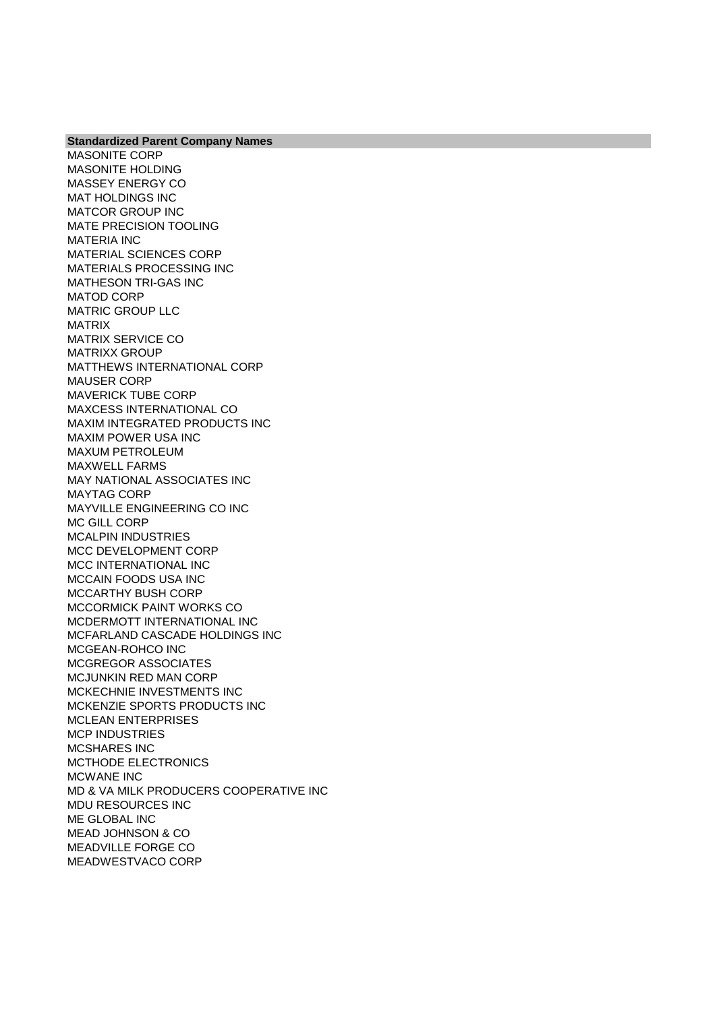**Standardized Parent Company Names** MASONITE CORP MASONITE HOLDING MASSEY ENERGY CO MAT HOLDINGS INC MATCOR GROUP INC MATE PRECISION TOOLING MATERIA INC MATERIAL SCIENCES CORP MATERIALS PROCESSING INC MATHESON TRI-GAS INC MATOD CORP MATRIC GROUP LLC MATRIX MATRIX SERVICE CO MATRIXX GROUP MATTHEWS INTERNATIONAL CORP MAUSER CORP MAVERICK TUBE CORP MAXCESS INTERNATIONAL CO MAXIM INTEGRATED PRODUCTS INC MAXIM POWER USA INC MAXUM PETROLEUM MAXWELL FARMS MAY NATIONAL ASSOCIATES INC MAYTAG CORP MAYVILLE ENGINEERING CO INC MC GILL CORP MCALPIN INDUSTRIES MCC DEVELOPMENT CORP MCC INTERNATIONAL INC MCCAIN FOODS USA INC MCCARTHY BUSH CORP MCCORMICK PAINT WORKS CO MCDERMOTT INTERNATIONAL INC MCFARLAND CASCADE HOLDINGS INC MCGEAN-ROHCO INC MCGREGOR ASSOCIATES MCJUNKIN RED MAN CORP MCKECHNIE INVESTMENTS INC MCKENZIE SPORTS PRODUCTS INC MCLEAN ENTERPRISES MCP INDUSTRIES MCSHARES INC MCTHODE ELECTRONICS MCWANE INC MD & VA MILK PRODUCERS COOPERATIVE INC MDU RESOURCES INC ME GLOBAL INC MEAD JOHNSON & CO MEADVILLE FORGE CO MEADWESTVACO CORP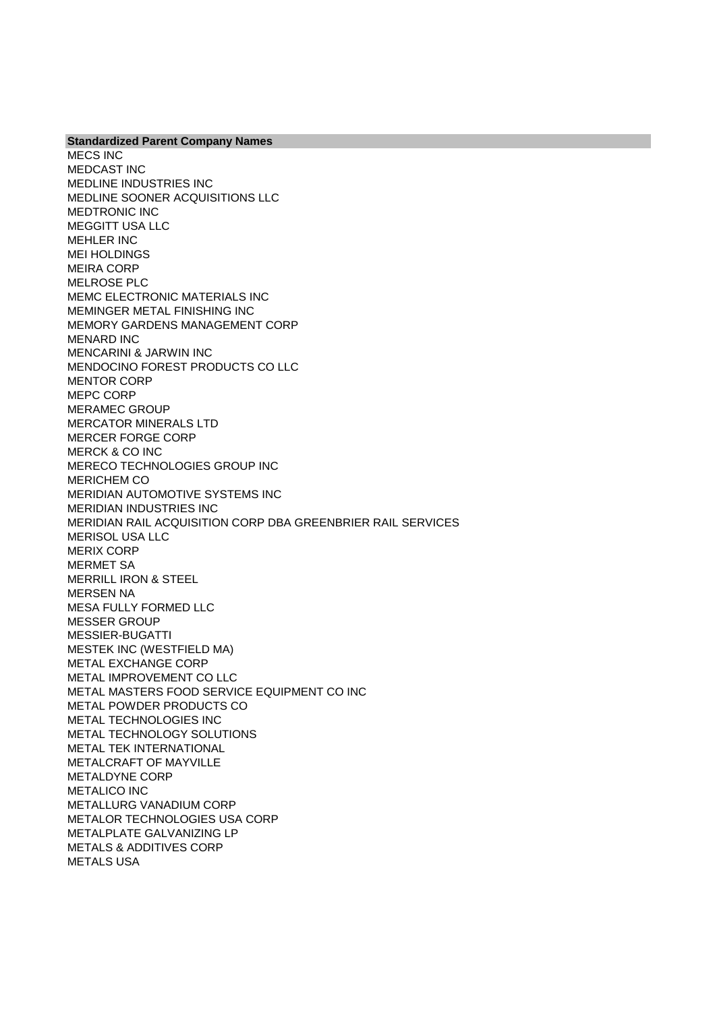**Standardized Parent Company Names** MECS INC MEDCAST INC MEDLINE INDUSTRIES INC MEDLINE SOONER ACQUISITIONS LLC MEDTRONIC INC MEGGITT USA LLC MEHLER INC MEI HOLDINGS MEIRA CORP MELROSE PLC MEMC ELECTRONIC MATERIALS INC MEMINGER METAL FINISHING INC MEMORY GARDENS MANAGEMENT CORP MENARD INC MENCARINI & JARWIN INC MENDOCINO FOREST PRODUCTS CO LLC MENTOR CORP MEPC CORP MERAMEC GROUP MERCATOR MINERALS LTD MERCER FORGE CORP MERCK & CO INC MERECO TECHNOLOGIES GROUP INC MERICHEM CO MERIDIAN AUTOMOTIVE SYSTEMS INC MERIDIAN INDUSTRIES INC MERIDIAN RAIL ACQUISITION CORP DBA GREENBRIER RAIL SERVICES MERISOL USA LLC MERIX CORP MERMET SA MERRILL IRON & STEEL MERSEN NA MESA FULLY FORMED LLC MESSER GROUP MESSIER-BUGATTI MESTEK INC (WESTFIELD MA) METAL EXCHANGE CORP METAL IMPROVEMENT CO LLC METAL MASTERS FOOD SERVICE EQUIPMENT CO INC METAL POWDER PRODUCTS CO METAL TECHNOLOGIES INC METAL TECHNOLOGY SOLUTIONS METAL TEK INTERNATIONAL METALCRAFT OF MAYVILLE METALDYNE CORP METALICO INC METALLURG VANADIUM CORP METALOR TECHNOLOGIES USA CORP METALPLATE GALVANIZING LP METALS & ADDITIVES CORP METALS USA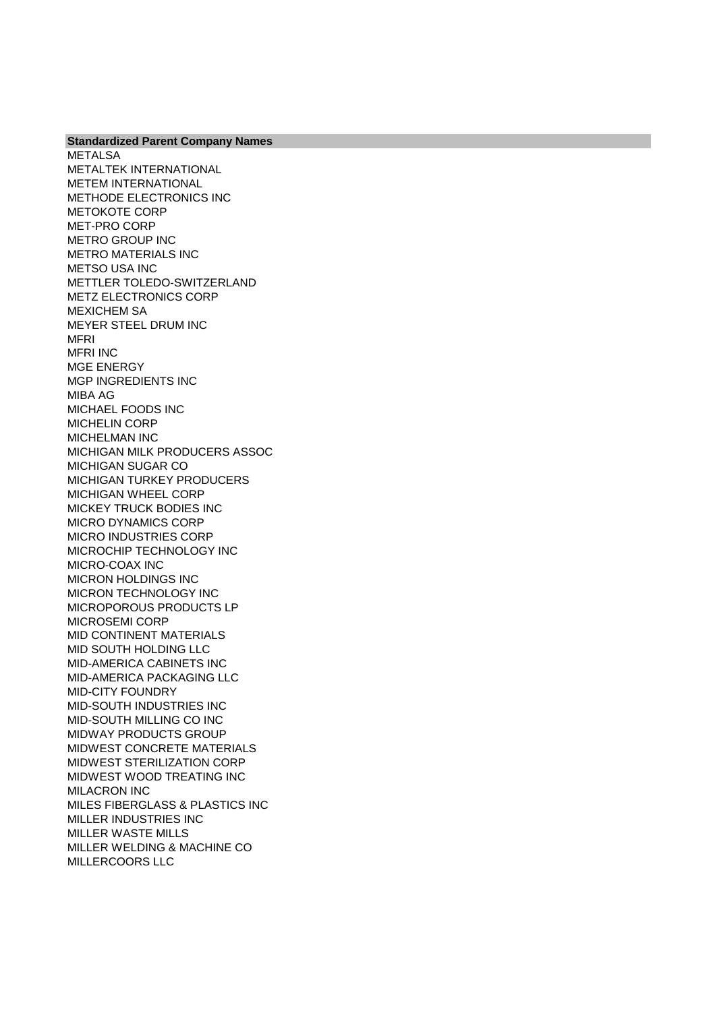METALSA METALTEK INTERNATIONAL METEM INTERNATIONAL METHODE ELECTRONICS INC METOKOTE CORP MET-PRO CORP METRO GROUP INC METRO MATERIALS INC METSO USA INC METTLER TOLEDO-SWITZERLAND METZ ELECTRONICS CORP MEXICHEM SA MEYER STEEL DRUM INC MFRI MFRI INC MGE ENERGY MGP INGREDIENTS INC MIBA AG MICHAEL FOODS INC MICHELIN CORP MICHELMAN INC MICHIGAN MILK PRODUCERS ASSOC MICHIGAN SUGAR CO MICHIGAN TURKEY PRODUCERS MICHIGAN WHEEL CORP MICKEY TRUCK BODIES INC MICRO DYNAMICS CORP MICRO INDUSTRIES CORP MICROCHIP TECHNOLOGY INC MICRO-COAX INC MICRON HOLDINGS INC MICRON TECHNOLOGY INC MICROPOROUS PRODUCTS LP MICROSEMI CORP MID CONTINENT MATERIALS MID SOUTH HOLDING LLC MID-AMERICA CABINETS INC MID-AMERICA PACKAGING LLC MID-CITY FOUNDRY MID-SOUTH INDUSTRIES INC MID-SOUTH MILLING CO INC MIDWAY PRODUCTS GROUP MIDWEST CONCRETE MATERIALS MIDWEST STERILIZATION CORP MIDWEST WOOD TREATING INC MILACRON INC MILES FIBERGLASS & PLASTICS INC MILLER INDUSTRIES INC MILLER WASTE MILLS MILLER WELDING & MACHINE CO MILLERCOORS LLC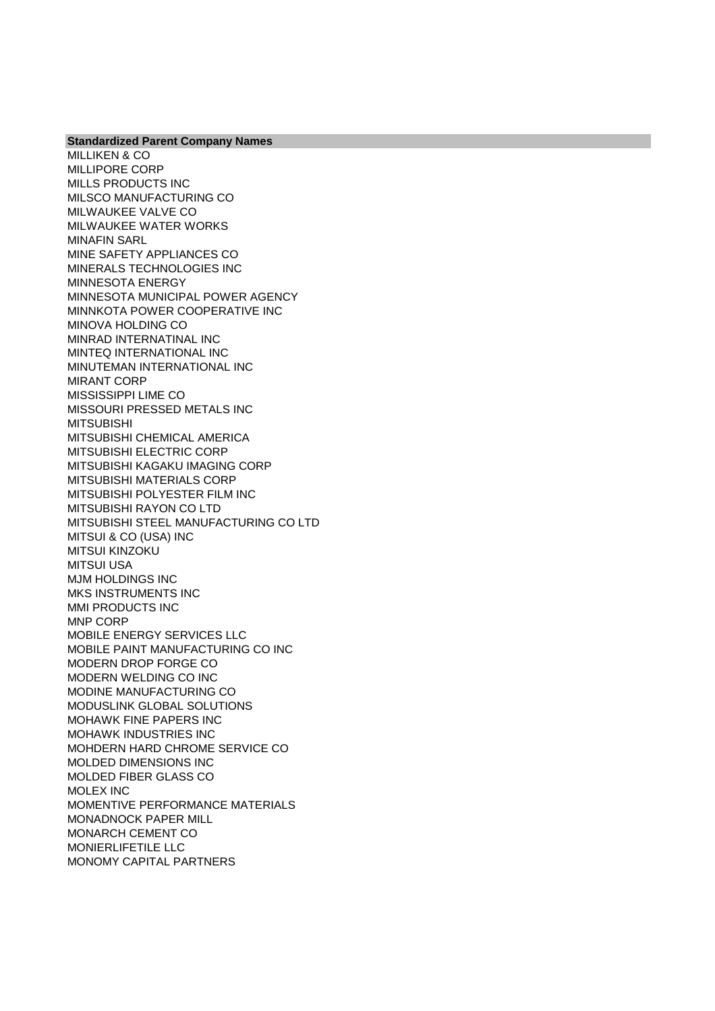MILLIKEN & CO MILLIPORE CORP MILLS PRODUCTS INC MILSCO MANUFACTURING CO MILWAUKEE VALVE CO MILWAUKEE WATER WORKS MINAFIN SARL MINE SAFETY APPLIANCES CO MINERALS TECHNOLOGIES INC MINNESOTA ENERGY MINNESOTA MUNICIPAL POWER AGENCY MINNKOTA POWER COOPERATIVE INC MINOVA HOLDING CO MINRAD INTERNATINAL INC MINTEQ INTERNATIONAL INC MINUTEMAN INTERNATIONAL INC MIRANT CORP MISSISSIPPI LIME CO MISSOURI PRESSED METALS INC MITSUBISHI MITSUBISHI CHEMICAL AMERICA MITSUBISHI ELECTRIC CORP MITSUBISHI KAGAKU IMAGING CORP MITSUBISHI MATERIALS CORP MITSUBISHI POLYESTER FILM INC MITSUBISHI RAYON CO LTD MITSUBISHI STEEL MANUFACTURING CO LTD MITSUI & CO (USA) INC MITSUI KINZOKU MITSUI USA MJM HOLDINGS INC MKS INSTRUMENTS INC MMI PRODUCTS INC MNP CORP MOBILE ENERGY SERVICES LLC MOBILE PAINT MANUFACTURING CO INC MODERN DROP FORGE CO MODERN WELDING CO INC MODINE MANUFACTURING CO MODUSLINK GLOBAL SOLUTIONS MOHAWK FINE PAPERS INC MOHAWK INDUSTRIES INC MOHDERN HARD CHROME SERVICE CO MOLDED DIMENSIONS INC MOLDED FIBER GLASS CO MOLEX INC MOMENTIVE PERFORMANCE MATERIALS MONADNOCK PAPER MILL MONARCH CEMENT CO MONIERLIFETILE LLC MONOMY CAPITAL PARTNERS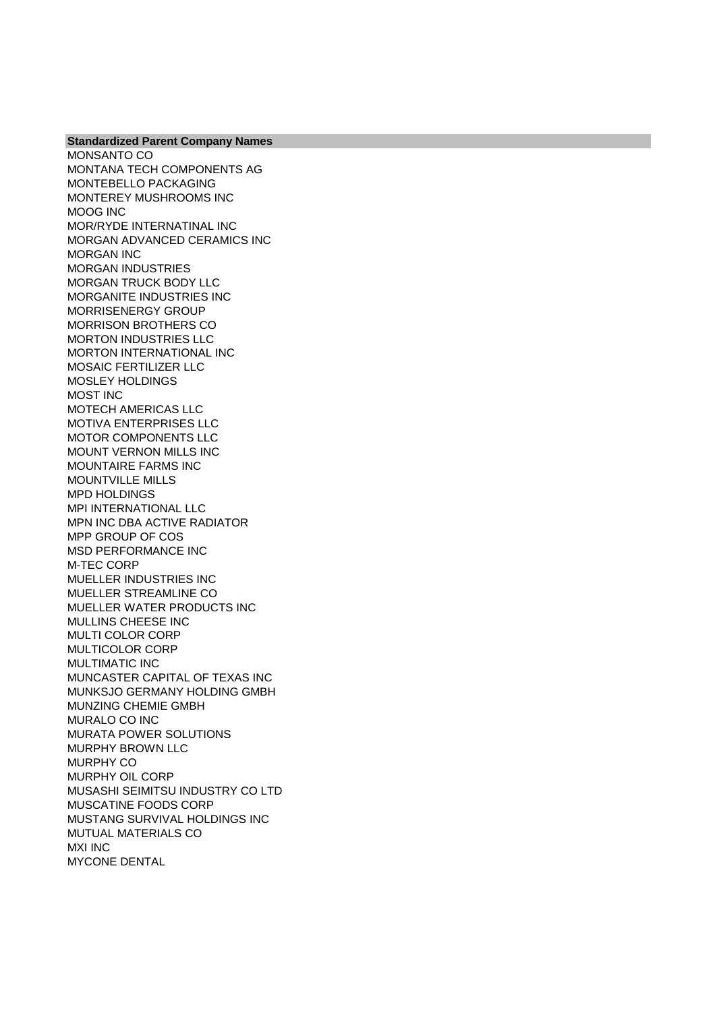MONSANTO CO MONTANA TECH COMPONENTS AG MONTEBELLO PACKAGING MONTEREY MUSHROOMS INC MOOG INC MOR/RYDE INTERNATINAL INC MORGAN ADVANCED CERAMICS INC MORGAN INC MORGAN INDUSTRIES MORGAN TRUCK BODY LLC MORGANITE INDUSTRIES INC MORRISENERGY GROUP MORRISON BROTHERS CO MORTON INDUSTRIES LLC MORTON INTERNATIONAL INC MOSAIC FERTILIZER LLC MOSLEY HOLDINGS MOST INC MOTECH AMERICAS LLC MOTIVA ENTERPRISES LLC MOTOR COMPONENTS LLC MOUNT VERNON MILLS INC MOUNTAIRE FARMS INC MOUNTVILLE MILLS MPD HOLDINGS MPI INTERNATIONAL LLC MPN INC DBA ACTIVE RADIATOR MPP GROUP OF COS MSD PERFORMANCE INC M-TEC CORP MUELLER INDUSTRIES INC MUELLER STREAMLINE CO MUELLER WATER PRODUCTS INC MULLINS CHEESE INC MULTI COLOR CORP MULTICOLOR CORP MULTIMATIC INC MUNCASTER CAPITAL OF TEXAS INC MUNKSJO GERMANY HOLDING GMBH MUNZING CHEMIE GMBH MURALO CO INC MURATA POWER SOLUTIONS MURPHY BROWN LLC MURPHY CO MURPHY OIL CORP MUSASHI SEIMITSU INDUSTRY CO LTD MUSCATINE FOODS CORP MUSTANG SURVIVAL HOLDINGS INC MUTUAL MATERIALS CO MXI INC MYCONE DENTAL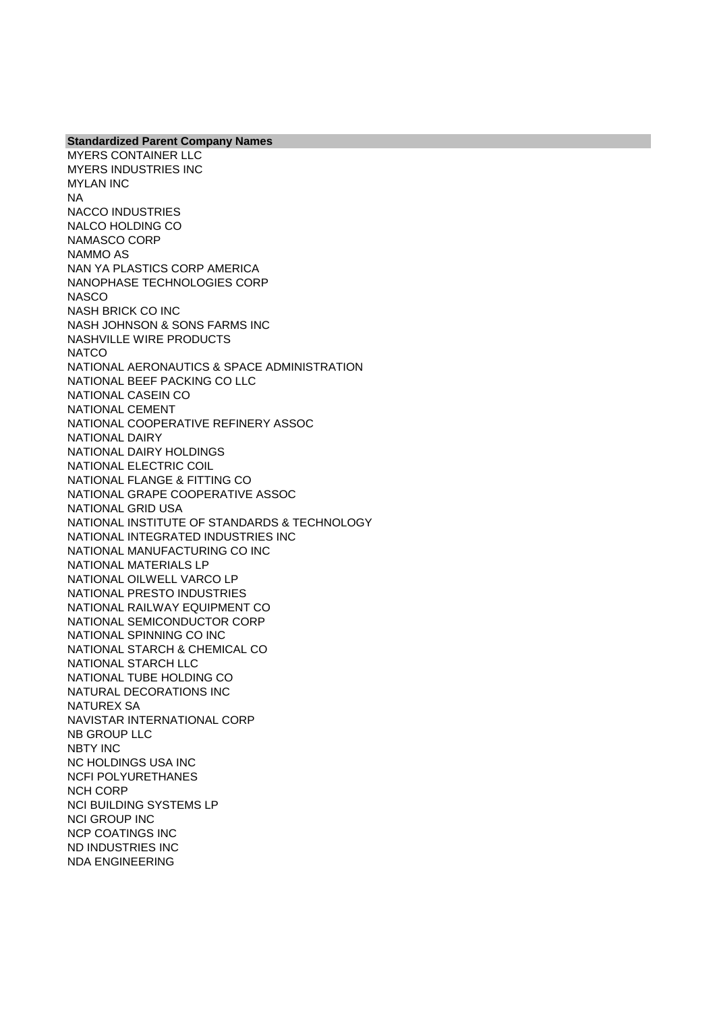MYERS CONTAINER LLC MYERS INDUSTRIES INC MYLAN INC NA NACCO INDUSTRIES NALCO HOLDING CO NAMASCO CORP NAMMO AS NAN YA PLASTICS CORP AMERICA NANOPHASE TECHNOLOGIES CORP **NASCO** NASH BRICK CO INC NASH JOHNSON & SONS FARMS INC NASHVILLE WIRE PRODUCTS **NATCO** NATIONAL AERONAUTICS & SPACE ADMINISTRATION NATIONAL BEEF PACKING CO LLC NATIONAL CASEIN CO NATIONAL CEMENT NATIONAL COOPERATIVE REFINERY ASSOC NATIONAL DAIRY NATIONAL DAIRY HOLDINGS NATIONAL ELECTRIC COIL NATIONAL FLANGE & FITTING CO NATIONAL GRAPE COOPERATIVE ASSOC NATIONAL GRID USA NATIONAL INSTITUTE OF STANDARDS & TECHNOLOGY NATIONAL INTEGRATED INDUSTRIES INC NATIONAL MANUFACTURING CO INC NATIONAL MATERIALS LP NATIONAL OILWELL VARCO LP NATIONAL PRESTO INDUSTRIES NATIONAL RAILWAY EQUIPMENT CO NATIONAL SEMICONDUCTOR CORP NATIONAL SPINNING CO INC NATIONAL STARCH & CHEMICAL CO NATIONAL STARCH LLC NATIONAL TUBE HOLDING CO NATURAL DECORATIONS INC NATUREX SA NAVISTAR INTERNATIONAL CORP NB GROUP LLC NBTY INC NC HOLDINGS USA INC NCFI POLYURETHANES NCH CORP NCI BUILDING SYSTEMS LP NCI GROUP INC NCP COATINGS INC ND INDUSTRIES INC NDA ENGINEERING

**Standardized Parent Company Names**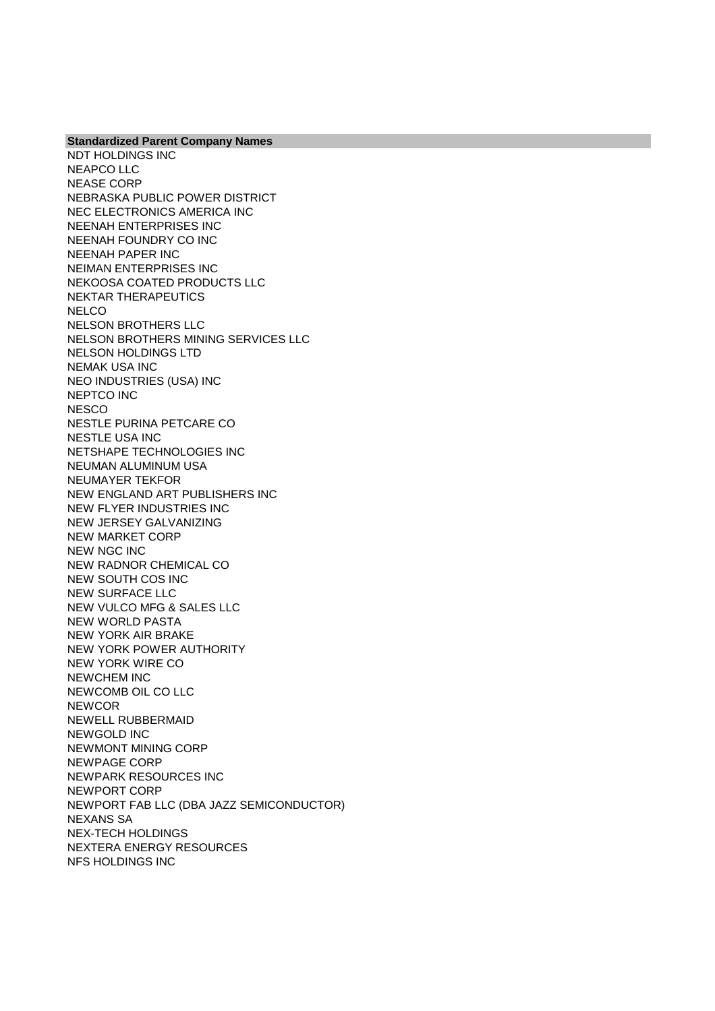**Standardized Parent Company Names** NDT HOLDINGS INC NEAPCO LLC NEASE CORP NEBRASKA PUBLIC POWER DISTRICT NEC ELECTRONICS AMERICA INC NEENAH ENTERPRISES INC NEENAH FOUNDRY CO INC NEENAH PAPER INC NEIMAN ENTERPRISES INC NEKOOSA COATED PRODUCTS LLC NEKTAR THERAPEUTICS **NELCO** NELSON BROTHERS LLC NELSON BROTHERS MINING SERVICES LLC NELSON HOLDINGS LTD NEMAK USA INC NEO INDUSTRIES (USA) INC NEPTCO INC **NESCO** NESTLE PURINA PETCARE CO NESTLE USA INC NETSHAPE TECHNOLOGIES INC NEUMAN ALUMINUM USA NEUMAYER TEKFOR NEW ENGLAND ART PUBLISHERS INC NEW FLYER INDUSTRIES INC NEW JERSEY GALVANIZING NEW MARKET CORP NEW NGC INC NEW RADNOR CHEMICAL CO NEW SOUTH COS INC NEW SURFACE LLC NEW VULCO MFG & SALES LLC NEW WORLD PASTA NEW YORK AIR BRAKE NEW YORK POWER AUTHORITY NEW YORK WIRE CO NEWCHEM INC NEWCOMB OIL CO LLC **NEWCOR** NEWELL RUBBERMAID NEWGOLD INC NEWMONT MINING CORP NEWPAGE CORP NEWPARK RESOURCES INC NEWPORT CORP NEWPORT FAB LLC (DBA JAZZ SEMICONDUCTOR) NEXANS SA NEX-TECH HOLDINGS NEXTERA ENERGY RESOURCES NFS HOLDINGS INC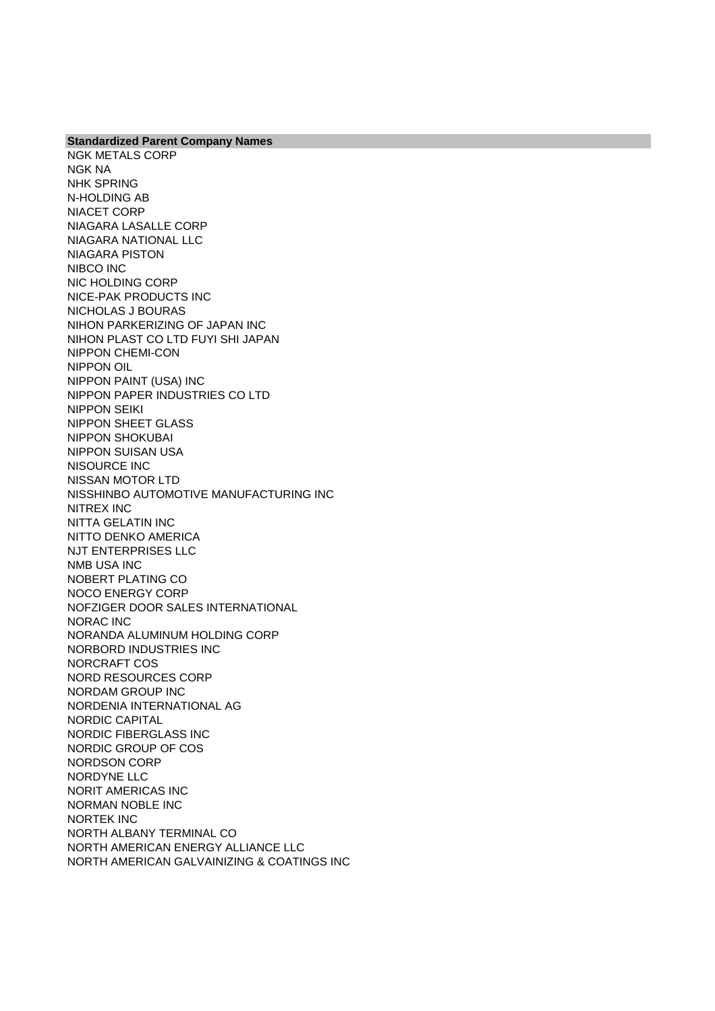NGK METALS CORP NGK NA NHK SPRING N-HOLDING AB NIACET CORP NIAGARA LASALLE CORP NIAGARA NATIONAL LLC NIAGARA PISTON NIBCO INC NIC HOLDING CORP NICE-PAK PRODUCTS INC NICHOLAS J BOURAS NIHON PARKERIZING OF JAPAN INC NIHON PLAST CO LTD FUYI SHI JAPAN NIPPON CHEMI-CON NIPPON OIL NIPPON PAINT (USA) INC NIPPON PAPER INDUSTRIES CO LTD NIPPON SEIKI NIPPON SHEET GLASS NIPPON SHOKUBAI NIPPON SUISAN USA NISOURCE INC NISSAN MOTOR LTD NISSHINBO AUTOMOTIVE MANUFACTURING INC NITREX INC NITTA GELATIN INC NITTO DENKO AMERICA NJT ENTERPRISES LLC NMB USA INC NOBERT PLATING CO NOCO ENERGY CORP NOFZIGER DOOR SALES INTERNATIONAL NORAC INC NORANDA ALUMINUM HOLDING CORP NORBORD INDUSTRIES INC NORCRAFT COS NORD RESOURCES CORP NORDAM GROUP INC NORDENIA INTERNATIONAL AG NORDIC CAPITAL NORDIC FIBERGLASS INC NORDIC GROUP OF COS NORDSON CORP NORDYNE LLC NORIT AMERICAS INC NORMAN NOBLE INC NORTEK INC NORTH ALBANY TERMINAL CO NORTH AMERICAN ENERGY ALLIANCE LLC NORTH AMERICAN GALVAINIZING & COATINGS INC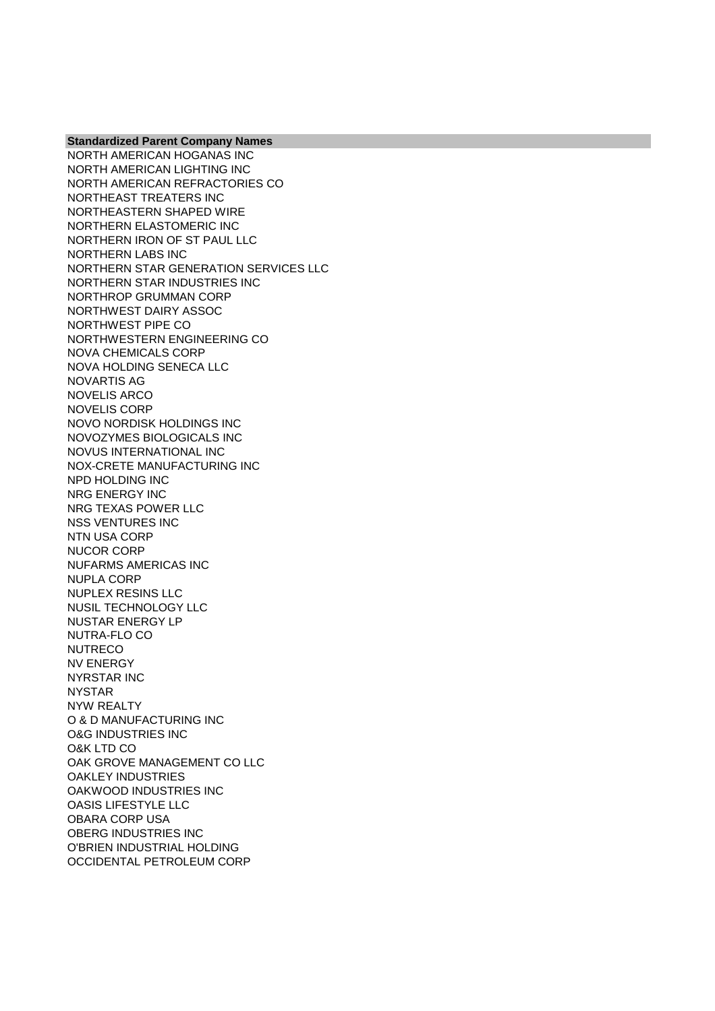NORTH AMERICAN HOGANAS INC NORTH AMERICAN LIGHTING INC NORTH AMERICAN REFRACTORIES CO NORTHEAST TREATERS INC NORTHEASTERN SHAPED WIRE NORTHERN ELASTOMERIC INC NORTHERN IRON OF ST PAUL LLC NORTHERN LABS INC NORTHERN STAR GENERATION SERVICES LLC NORTHERN STAR INDUSTRIES INC NORTHROP GRUMMAN CORP NORTHWEST DAIRY ASSOC NORTHWEST PIPE CO NORTHWESTERN ENGINEERING CO NOVA CHEMICALS CORP NOVA HOLDING SENECA LLC NOVARTIS AG NOVELIS ARCO NOVELIS CORP NOVO NORDISK HOLDINGS INC NOVOZYMES BIOLOGICALS INC NOVUS INTERNATIONAL INC NOX-CRETE MANUFACTURING INC NPD HOLDING INC NRG ENERGY INC NRG TEXAS POWER LLC NSS VENTURES INC NTN USA CORP NUCOR CORP NUFARMS AMERICAS INC NUPLA CORP NUPLEX RESINS LLC NUSIL TECHNOLOGY LLC NUSTAR ENERGY LP NUTRA-FLO CO NUTRECO NV ENERGY NYRSTAR INC NYSTAR NYW REALTY O & D MANUFACTURING INC O&G INDUSTRIES INC O&K LTD CO OAK GROVE MANAGEMENT CO LLC OAKLEY INDUSTRIES OAKWOOD INDUSTRIES INC OASIS LIFESTYLE LLC OBARA CORP USA OBERG INDUSTRIES INC O'BRIEN INDUSTRIAL HOLDING OCCIDENTAL PETROLEUM CORP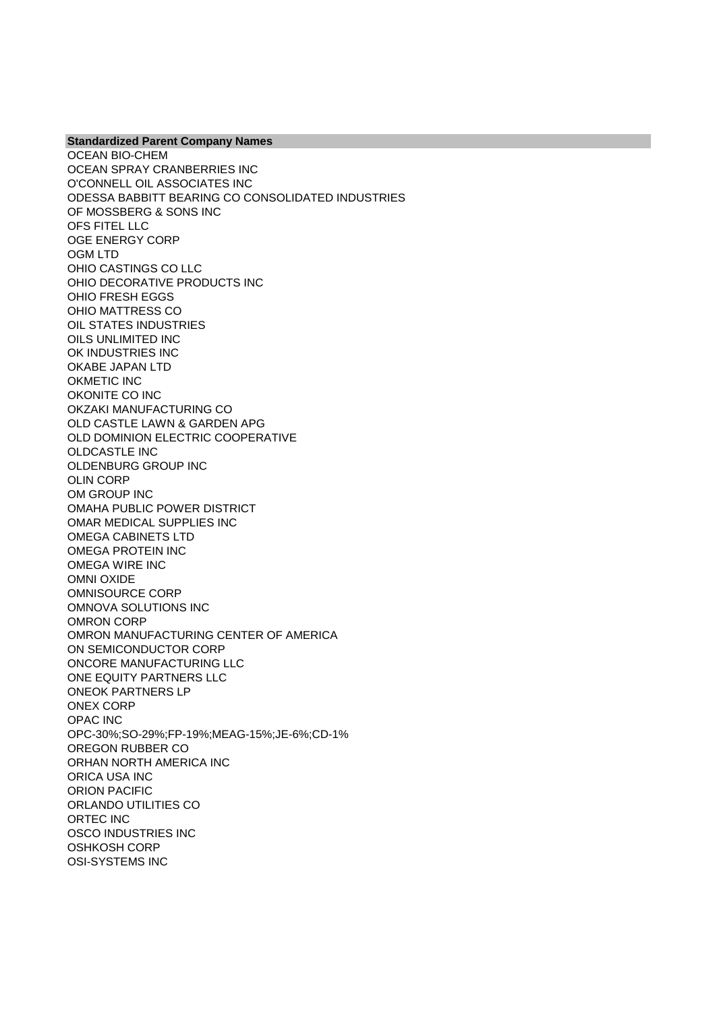OCEAN BIO-CHEM OCEAN SPRAY CRANBERRIES INC O'CONNELL OIL ASSOCIATES INC ODESSA BABBITT BEARING CO CONSOLIDATED INDUSTRIES OF MOSSBERG & SONS INC OFS FITEL LLC OGE ENERGY CORP OGM LTD OHIO CASTINGS CO LLC OHIO DECORATIVE PRODUCTS INC OHIO FRESH EGGS OHIO MATTRESS CO OIL STATES INDUSTRIES OILS UNLIMITED INC OK INDUSTRIES INC OKABE JAPAN LTD OKMETIC INC OKONITE CO INC OKZAKI MANUFACTURING CO OLD CASTLE LAWN & GARDEN APG OLD DOMINION ELECTRIC COOPERATIVE OLDCASTLE INC OLDENBURG GROUP INC OLIN CORP OM GROUP INC OMAHA PUBLIC POWER DISTRICT OMAR MEDICAL SUPPLIES INC OMEGA CABINETS LTD OMEGA PROTEIN INC OMEGA WIRE INC OMNI OXIDE OMNISOURCE CORP OMNOVA SOLUTIONS INC OMRON CORP OMRON MANUFACTURING CENTER OF AMERICA ON SEMICONDUCTOR CORP ONCORE MANUFACTURING LLC ONE EQUITY PARTNERS LLC ONEOK PARTNERS LP ONEX CORP OPAC INC OPC-30%;SO-29%;FP-19%;MEAG-15%;JE-6%;CD-1% OREGON RUBBER CO ORHAN NORTH AMERICA INC ORICA USA INC ORION PACIFIC ORLANDO UTILITIES CO ORTEC INC OSCO INDUSTRIES INC OSHKOSH CORP OSI-SYSTEMS INC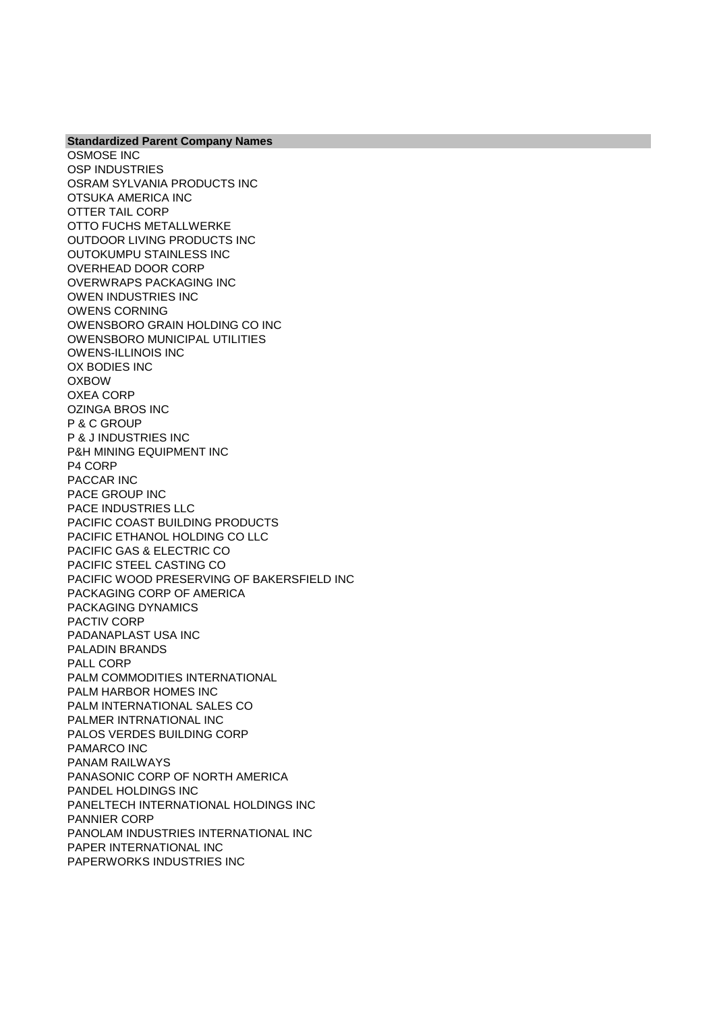**Standardized Parent Company Names** OSMOSE INC OSP INDUSTRIES OSRAM SYLVANIA PRODUCTS INC OTSUKA AMERICA INC OTTER TAIL CORP OTTO FUCHS METALLWERKE OUTDOOR LIVING PRODUCTS INC OUTOKUMPU STAINLESS INC OVERHEAD DOOR CORP OVERWRAPS PACKAGING INC OWEN INDUSTRIES INC OWENS CORNING OWENSBORO GRAIN HOLDING CO INC OWENSBORO MUNICIPAL UTILITIES OWENS-ILLINOIS INC OX BODIES INC OXBOW OXEA CORP OZINGA BROS INC P & C GROUP P & J INDUSTRIES INC P&H MINING EQUIPMENT INC P4 CORP PACCAR INC PACE GROUP INC PACE INDUSTRIES LLC PACIFIC COAST BUILDING PRODUCTS PACIFIC ETHANOL HOLDING CO LLC PACIFIC GAS & ELECTRIC CO PACIFIC STEEL CASTING CO PACIFIC WOOD PRESERVING OF BAKERSFIELD INC PACKAGING CORP OF AMERICA PACKAGING DYNAMICS PACTIV CORP PADANAPLAST USA INC PALADIN BRANDS PALL CORP PALM COMMODITIES INTERNATIONAL PALM HARBOR HOMES INC PALM INTERNATIONAL SALES CO PALMER INTRNATIONAL INC PALOS VERDES BUILDING CORP PAMARCO INC PANAM RAILWAYS PANASONIC CORP OF NORTH AMERICA PANDEL HOLDINGS INC PANELTECH INTERNATIONAL HOLDINGS INC PANNIER CORP PANOLAM INDUSTRIES INTERNATIONAL INC PAPER INTERNATIONAL INC PAPERWORKS INDUSTRIES INC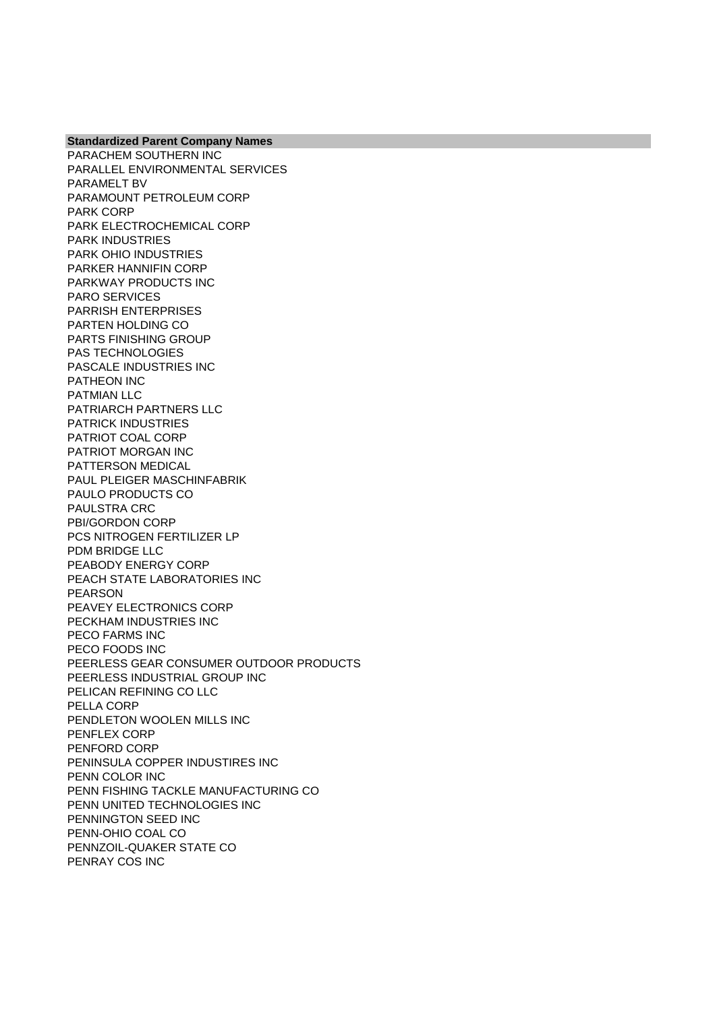PARACHEM SOUTHERN INC PARALLEL ENVIRONMENTAL SERVICES PARAMELT BV PARAMOUNT PETROLEUM CORP PARK CORP PARK ELECTROCHEMICAL CORP PARK INDUSTRIES PARK OHIO INDUSTRIES PARKER HANNIFIN CORP PARKWAY PRODUCTS INC PARO SERVICES PARRISH ENTERPRISES PARTEN HOLDING CO PARTS FINISHING GROUP PAS TECHNOLOGIES PASCALE INDUSTRIES INC PATHEON INC PATMIAN LLC PATRIARCH PARTNERS LLC PATRICK INDUSTRIES PATRIOT COAL CORP PATRIOT MORGAN INC PATTERSON MEDICAL PAUL PLEIGER MASCHINFABRIK PAULO PRODUCTS CO PAULSTRA CRC PBI/GORDON CORP PCS NITROGEN FERTILIZER LP PDM BRIDGE LLC PEABODY ENERGY CORP PEACH STATE LABORATORIES INC PEARSON PEAVEY ELECTRONICS CORP PECKHAM INDUSTRIES INC PECO FARMS INC PECO FOODS INC PEERLESS GEAR CONSUMER OUTDOOR PRODUCTS PEERLESS INDUSTRIAL GROUP INC PELICAN REFINING CO LLC PELLA CORP PENDLETON WOOLEN MILLS INC PENFLEX CORP PENFORD CORP PENINSULA COPPER INDUSTIRES INC PENN COLOR INC PENN FISHING TACKLE MANUFACTURING CO PENN UNITED TECHNOLOGIES INC PENNINGTON SEED INC PENN-OHIO COAL CO PENNZOIL-QUAKER STATE CO PENRAY COS INC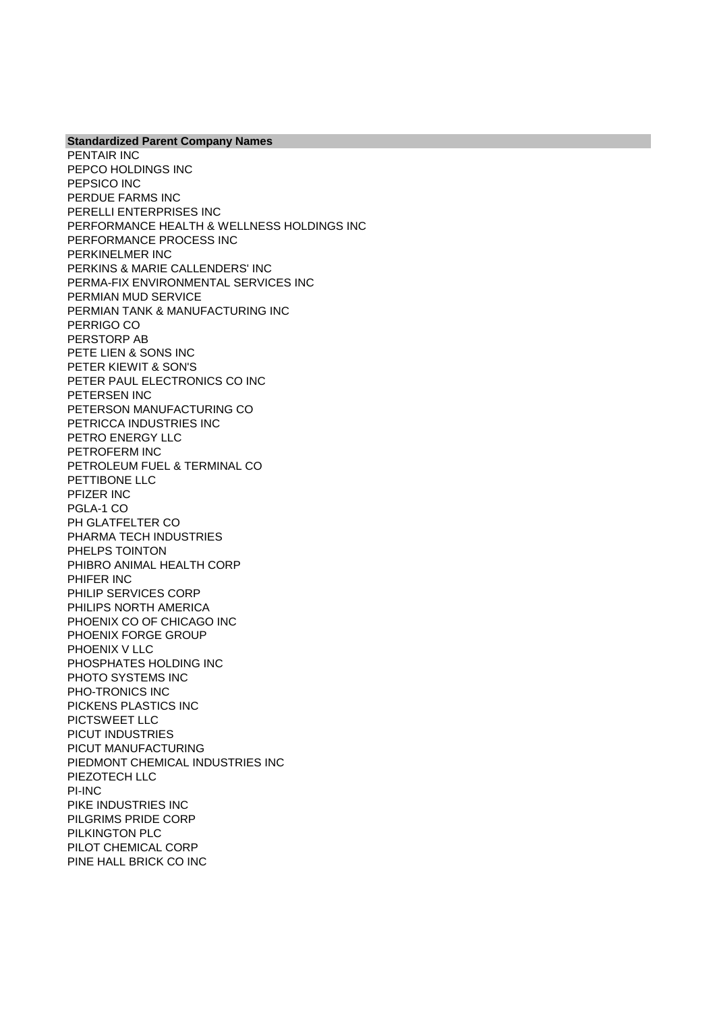**Standardized Parent Company Names** PENTAIR INC PEPCO HOLDINGS INC PEPSICO INC PERDUE FARMS INC PERELLI ENTERPRISES INC PERFORMANCE HEALTH & WELLNESS HOLDINGS INC PERFORMANCE PROCESS INC PERKINELMER INC PERKINS & MARIE CALLENDERS' INC PERMA-FIX ENVIRONMENTAL SERVICES INC PERMIAN MUD SERVICE PERMIAN TANK & MANUFACTURING INC PERRIGO CO PERSTORP AB PETE LIEN & SONS INC PETER KIEWIT & SON'S PETER PAUL ELECTRONICS CO INC PETERSEN INC PETERSON MANUFACTURING CO PETRICCA INDUSTRIES INC PETRO ENERGY LLC PETROFERM INC PETROLEUM FUEL & TERMINAL CO PETTIBONE LLC PFIZER INC PGLA-1 CO PH GLATFELTER CO PHARMA TECH INDUSTRIES PHELPS TOINTON PHIBRO ANIMAL HEALTH CORP PHIFER INC PHILIP SERVICES CORP PHILIPS NORTH AMERICA PHOENIX CO OF CHICAGO INC PHOENIX FORGE GROUP PHOENIX V LLC PHOSPHATES HOLDING INC PHOTO SYSTEMS INC PHO-TRONICS INC PICKENS PLASTICS INC PICTSWEET LLC PICUT INDUSTRIES PICUT MANUFACTURING PIEDMONT CHEMICAL INDUSTRIES INC PIEZOTECH LLC PI-INC PIKE INDUSTRIES INC PILGRIMS PRIDE CORP PILKINGTON PLC PILOT CHEMICAL CORP PINE HALL BRICK CO INC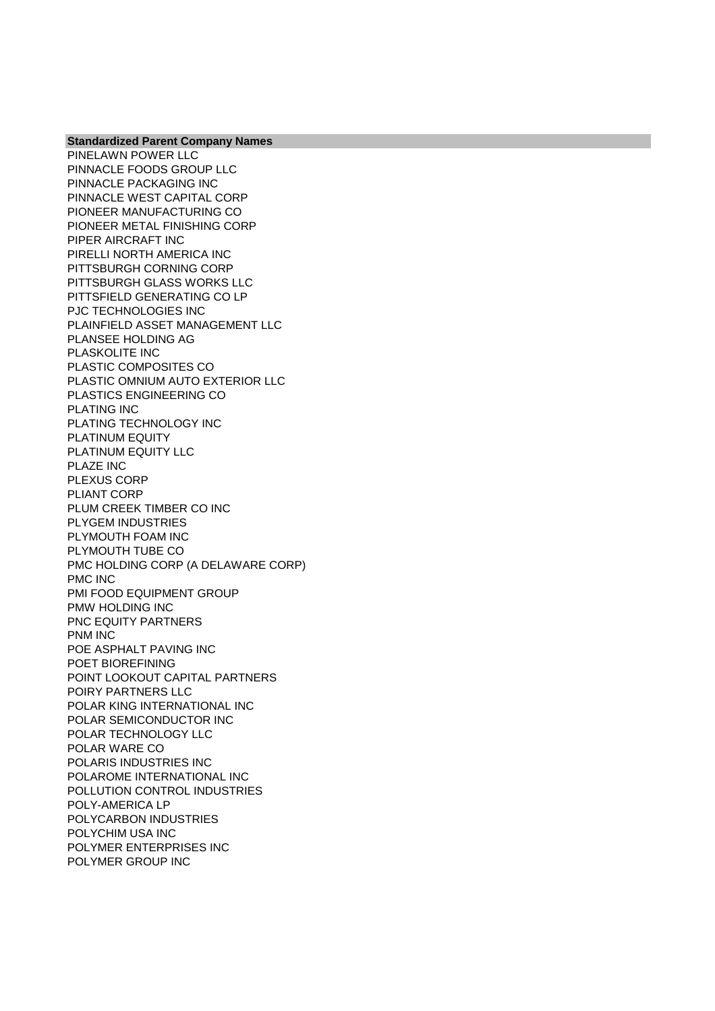PINELAWN POWER LLC PINNACLE FOODS GROUP LLC PINNACLE PACKAGING INC PINNACLE WEST CAPITAL CORP PIONEER MANUFACTURING CO PIONEER METAL FINISHING CORP PIPER AIRCRAFT INC PIRELLI NORTH AMERICA INC PITTSBURGH CORNING CORP PITTSBURGH GLASS WORKS LLC PITTSFIELD GENERATING CO LP PJC TECHNOLOGIES INC PLAINFIELD ASSET MANAGEMENT LLC PLANSEE HOLDING AG PLASKOLITE INC PLASTIC COMPOSITES CO PLASTIC OMNIUM AUTO EXTERIOR LLC PLASTICS ENGINEERING CO PLATING INC PLATING TECHNOLOGY INC PLATINUM EQUITY PLATINUM EQUITY LLC PLAZE INC PLEXUS CORP PLIANT CORP PLUM CREEK TIMBER CO INC PLYGEM INDUSTRIES PLYMOUTH FOAM INC PLYMOUTH TUBE CO PMC HOLDING CORP (A DELAWARE CORP) PMC INC PMI FOOD EQUIPMENT GROUP PMW HOLDING INC PNC EQUITY PARTNERS PNM INC POE ASPHALT PAVING INC POET BIOREFINING POINT LOOKOUT CAPITAL PARTNERS POIRY PARTNERS LLC POLAR KING INTERNATIONAL INC POLAR SEMICONDUCTOR INC POLAR TECHNOLOGY LLC POLAR WARE CO POLARIS INDUSTRIES INC POLAROME INTERNATIONAL INC POLLUTION CONTROL INDUSTRIES POLY-AMERICA LP POLYCARBON INDUSTRIES POLYCHIM USA INC POLYMER ENTERPRISES INC POLYMER GROUP INC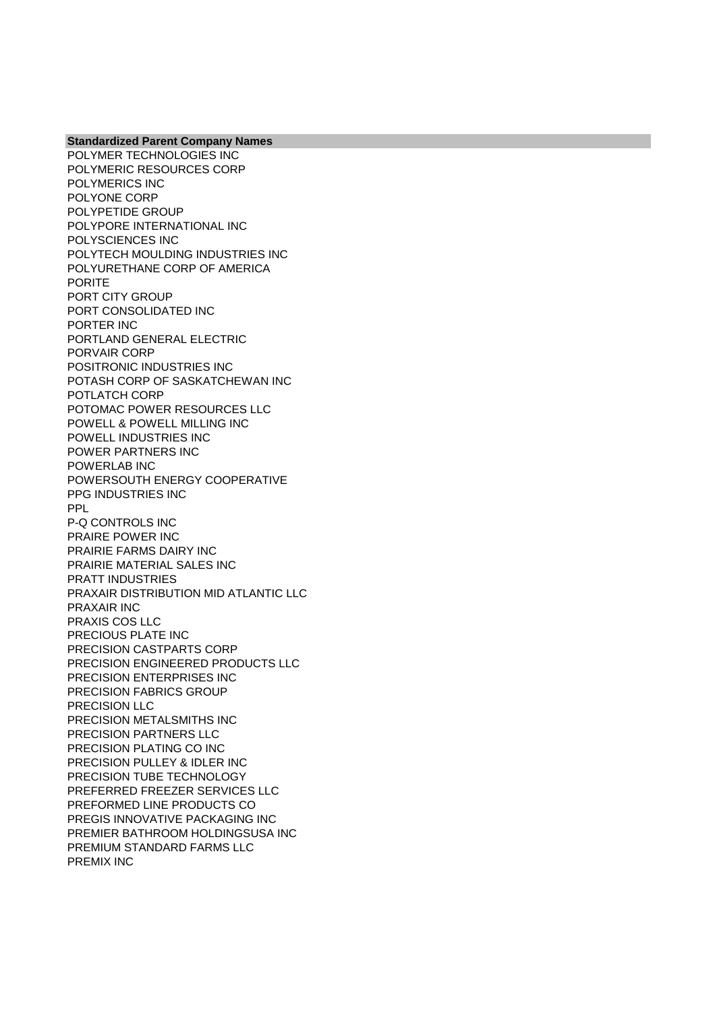**Standardized Parent Company Names** POLYMER TECHNOLOGIES INC POLYMERIC RESOURCES CORP POLYMERICS INC POLYONE CORP POLYPETIDE GROUP POLYPORE INTERNATIONAL INC POLYSCIENCES INC POLYTECH MOULDING INDUSTRIES INC POLYURETHANE CORP OF AMERICA PORITE PORT CITY GROUP PORT CONSOLIDATED INC PORTER INC PORTLAND GENERAL ELECTRIC PORVAIR CORP POSITRONIC INDUSTRIES INC POTASH CORP OF SASKATCHEWAN INC POTLATCH CORP POTOMAC POWER RESOURCES LLC POWELL & POWELL MILLING INC POWELL INDUSTRIES INC POWER PARTNERS INC POWERLAB INC POWERSOUTH ENERGY COOPERATIVE PPG INDUSTRIES INC PPL P-Q CONTROLS INC PRAIRE POWER INC PRAIRIE FARMS DAIRY INC PRAIRIE MATERIAL SALES INC PRATT INDUSTRIES PRAXAIR DISTRIBUTION MID ATLANTIC LLC PRAXAIR INC PRAXIS COS LLC PRECIOUS PLATE INC PRECISION CASTPARTS CORP PRECISION ENGINEERED PRODUCTS LLC PRECISION ENTERPRISES INC PRECISION FABRICS GROUP PRECISION LLC PRECISION METALSMITHS INC PRECISION PARTNERS LLC PRECISION PLATING CO INC PRECISION PULLEY & IDLER INC PRECISION TUBE TECHNOLOGY PREFERRED FREEZER SERVICES LLC PREFORMED LINE PRODUCTS CO PREGIS INNOVATIVE PACKAGING INC PREMIER BATHROOM HOLDINGSUSA INC PREMIUM STANDARD FARMS LLC PREMIX INC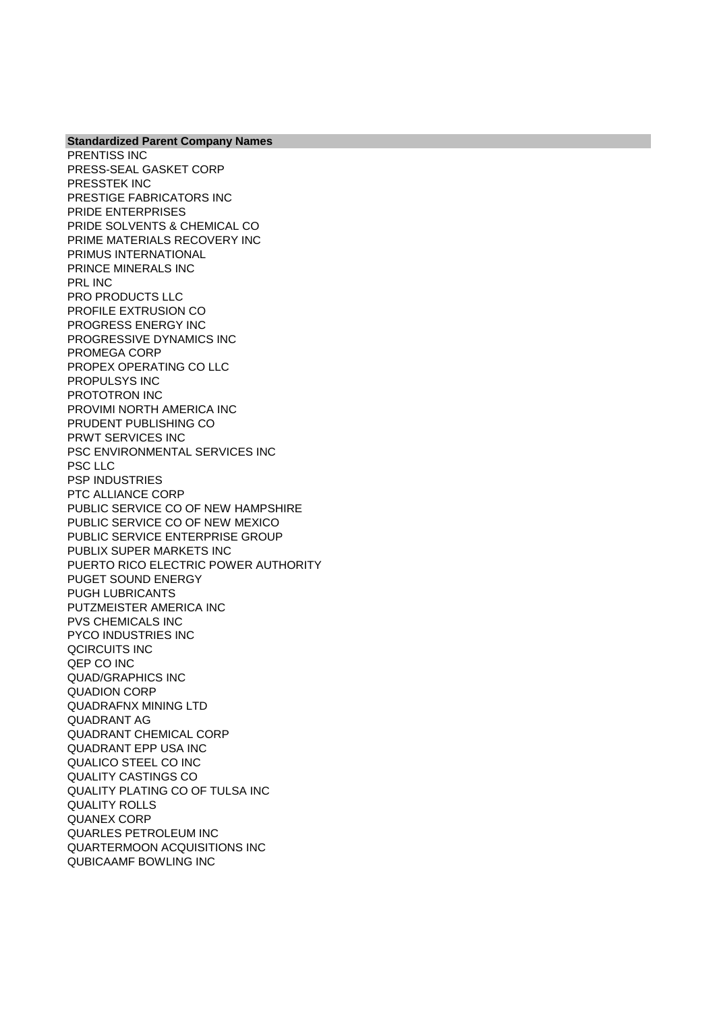PRENTISS INC PRESS-SEAL GASKET CORP PRESSTEK INC PRESTIGE FABRICATORS INC PRIDE ENTERPRISES PRIDE SOLVENTS & CHEMICAL CO PRIME MATERIALS RECOVERY INC PRIMUS INTERNATIONAL PRINCE MINERALS INC PRL INC PRO PRODUCTS LLC PROFILE EXTRUSION CO PROGRESS ENERGY INC PROGRESSIVE DYNAMICS INC PROMEGA CORP PROPEX OPERATING CO LLC PROPULSYS INC PROTOTRON INC PROVIMI NORTH AMERICA INC PRUDENT PUBLISHING CO PRWT SERVICES INC PSC ENVIRONMENTAL SERVICES INC PSC LLC PSP INDUSTRIES PTC ALLIANCE CORP PUBLIC SERVICE CO OF NEW HAMPSHIRE PUBLIC SERVICE CO OF NEW MEXICO PUBLIC SERVICE ENTERPRISE GROUP PUBLIX SUPER MARKETS INC PUERTO RICO ELECTRIC POWER AUTHORITY PUGET SOUND ENERGY PUGH LUBRICANTS PUTZMEISTER AMERICA INC PVS CHEMICALS INC PYCO INDUSTRIES INC QCIRCUITS INC QEP CO INC QUAD/GRAPHICS INC QUADION CORP QUADRAFNX MINING LTD QUADRANT AG QUADRANT CHEMICAL CORP QUADRANT EPP USA INC QUALICO STEEL CO INC QUALITY CASTINGS CO QUALITY PLATING CO OF TULSA INC QUALITY ROLLS QUANEX CORP QUARLES PETROLEUM INC QUARTERMOON ACQUISITIONS INC QUBICAAMF BOWLING INC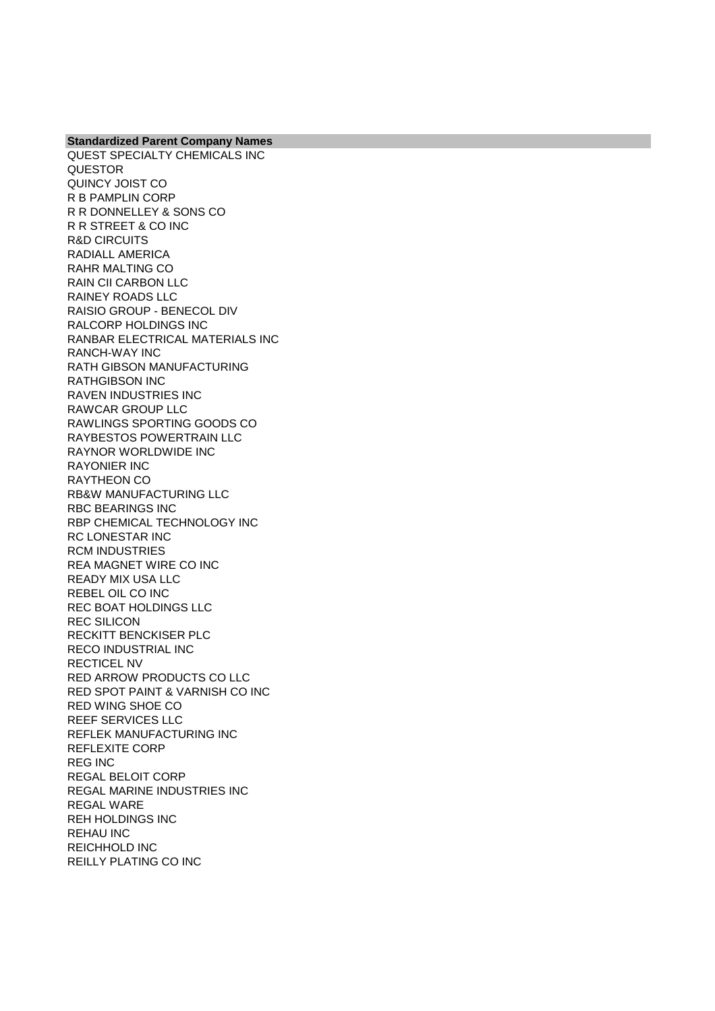**Standardized Parent Company Names** QUEST SPECIALTY CHEMICALS INC QUESTOR QUINCY JOIST CO R B PAMPLIN CORP R R DONNELLEY & SONS CO R R STREET & CO INC R&D CIRCUITS RADIALL AMERICA RAHR MALTING CO RAIN CII CARBON LLC RAINEY ROADS LLC RAISIO GROUP - BENECOL DIV RALCORP HOLDINGS INC RANBAR ELECTRICAL MATERIALS INC RANCH-WAY INC RATH GIBSON MANUFACTURING RATHGIBSON INC RAVEN INDUSTRIES INC RAWCAR GROUP LLC RAWLINGS SPORTING GOODS CO RAYBESTOS POWERTRAIN LLC RAYNOR WORLDWIDE INC RAYONIER INC RAYTHEON CO RB&W MANUFACTURING LLC RBC BEARINGS INC RBP CHEMICAL TECHNOLOGY INC RC LONESTAR INC RCM INDUSTRIES REA MAGNET WIRE CO INC READY MIX USA LLC REBEL OIL CO INC REC BOAT HOLDINGS LLC REC SILICON RECKITT BENCKISER PLC RECO INDUSTRIAL INC RECTICEL NV RED ARROW PRODUCTS CO LLC RED SPOT PAINT & VARNISH CO INC RED WING SHOE CO REEF SERVICES LLC REFLEK MANUFACTURING INC REFLEXITE CORP REG INC REGAL BELOIT CORP REGAL MARINE INDUSTRIES INC REGAL WARE REH HOLDINGS INC REHAU INC REICHHOLD INC REILLY PLATING CO INC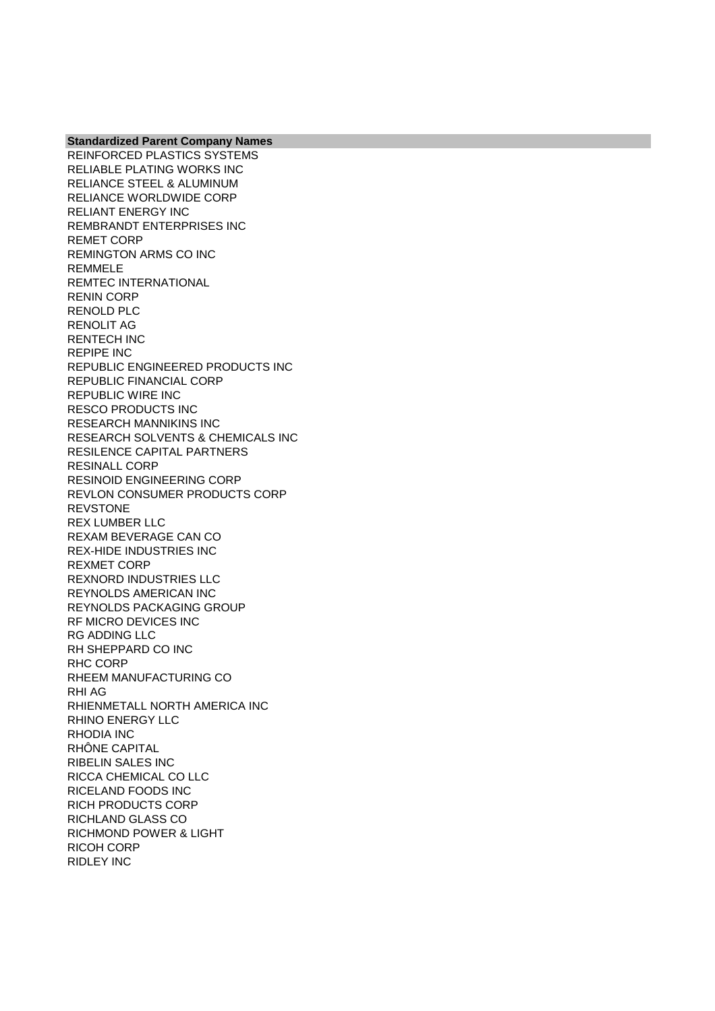**Standardized Parent Company Names** REINFORCED PLASTICS SYSTEMS RELIABLE PLATING WORKS INC RELIANCE STEEL & ALUMINUM RELIANCE WORLDWIDE CORP

RELIANT ENERGY INC REMBRANDT ENTERPRISES INC REMET CORP REMINGTON ARMS CO INC REMMELE REMTEC INTERNATIONAL RENIN CORP RENOLD PLC RENOLIT AG RENTECH INC REPIPE INC REPUBLIC ENGINEERED PRODUCTS INC REPUBLIC FINANCIAL CORP REPUBLIC WIRE INC RESCO PRODUCTS INC RESEARCH MANNIKINS INC RESEARCH SOLVENTS & CHEMICALS INC RESILENCE CAPITAL PARTNERS RESINALL CORP RESINOID ENGINEERING CORP REVLON CONSUMER PRODUCTS CORP REVSTONE REX LUMBER LLC REXAM BEVERAGE CAN CO REX-HIDE INDUSTRIES INC REXMET CORP REXNORD INDUSTRIES LLC REYNOLDS AMERICAN INC REYNOLDS PACKAGING GROUP RF MICRO DEVICES INC RG ADDING LLC RH SHEPPARD CO INC RHC CORP RHEEM MANUFACTURING CO RHI AG RHIENMETALL NORTH AMERICA INC RHINO ENERGY LLC RHODIA INC RHÔNE CAPITAL RIBELIN SALES INC RICCA CHEMICAL CO LLC RICELAND FOODS INC RICH PRODUCTS CORP RICHLAND GLASS CO RICHMOND POWER & LIGHT RICOH CORP RIDLEY INC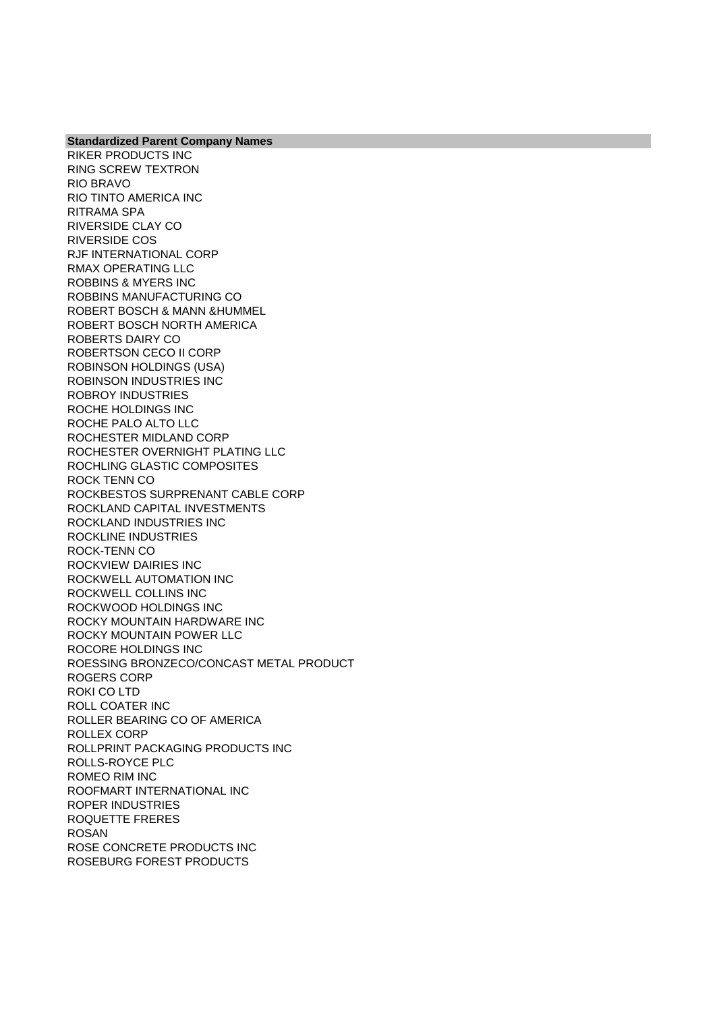RIKER PRODUCTS INC RING SCREW TEXTRON RIO BRAVO RIO TINTO AMERICA INC RITRAMA SPA RIVERSIDE CLAY CO RIVERSIDE COS RJF INTERNATIONAL CORP RMAX OPERATING LLC ROBBINS & MYERS INC ROBBINS MANUFACTURING CO ROBERT BOSCH & MANN &HUMMEL ROBERT BOSCH NORTH AMERICA ROBERTS DAIRY CO ROBERTSON CECO II CORP ROBINSON HOLDINGS (USA) ROBINSON INDUSTRIES INC ROBROY INDUSTRIES ROCHE HOLDINGS INC ROCHE PALO ALTO LLC ROCHESTER MIDLAND CORP ROCHESTER OVERNIGHT PLATING LLC ROCHLING GLASTIC COMPOSITES ROCK TENN CO ROCKBESTOS SURPRENANT CABLE CORP ROCKLAND CAPITAL INVESTMENTS ROCKLAND INDUSTRIES INC ROCKLINE INDUSTRIES ROCK-TENN CO ROCKVIEW DAIRIES INC ROCKWELL AUTOMATION INC ROCKWELL COLLINS INC ROCKWOOD HOLDINGS INC ROCKY MOUNTAIN HARDWARE INC ROCKY MOUNTAIN POWER LLC ROCORE HOLDINGS INC ROESSING BRONZECO/CONCAST METAL PRODUCT ROGERS CORP ROKI CO LTD ROLL COATER INC ROLLER BEARING CO OF AMERICA ROLLEX CORP ROLLPRINT PACKAGING PRODUCTS INC ROLLS-ROYCE PLC ROMEO RIM INC ROOFMART INTERNATIONAL INC ROPER INDUSTRIES ROQUETTE FRERES ROSAN ROSE CONCRETE PRODUCTS INC ROSEBURG FOREST PRODUCTS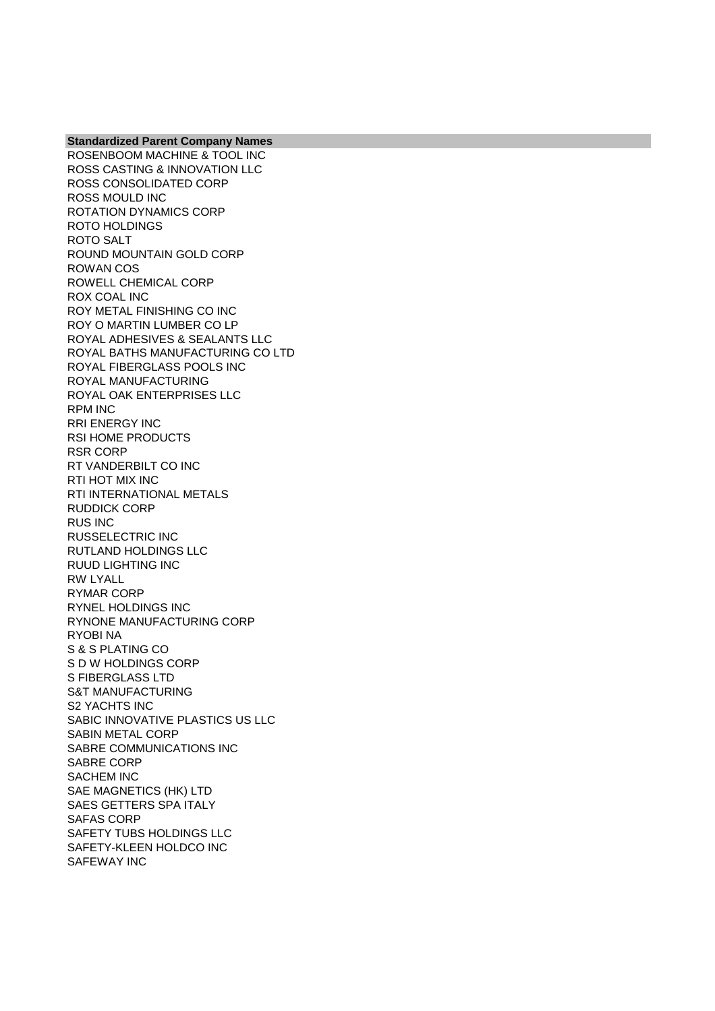**Standardized Parent Company Names** ROSENBOOM MACHINE & TOOL INC ROSS CASTING & INNOVATION LLC ROSS CONSOLIDATED CORP ROSS MOULD INC ROTATION DYNAMICS CORP ROTO HOLDINGS ROTO SALT ROUND MOUNTAIN GOLD CORP ROWAN COS ROWELL CHEMICAL CORP ROX COAL INC ROY METAL FINISHING CO INC ROY O MARTIN LUMBER CO LP ROYAL ADHESIVES & SEALANTS LLC ROYAL BATHS MANUFACTURING CO LTD ROYAL FIBERGLASS POOLS INC ROYAL MANUFACTURING ROYAL OAK ENTERPRISES LLC RPM INC RRI ENERGY INC RSI HOME PRODUCTS RSR CORP RT VANDERBILT CO INC RTI HOT MIX INC RTI INTERNATIONAL METALS RUDDICK CORP RUS INC RUSSELECTRIC INC RUTLAND HOLDINGS LLC RUUD LIGHTING INC RW LYALL RYMAR CORP RYNEL HOLDINGS INC RYNONE MANUFACTURING CORP RYOBI NA S & S PLATING CO S D W HOLDINGS CORP S FIBERGLASS LTD S&T MANUFACTURING S2 YACHTS INC SABIC INNOVATIVE PLASTICS US LLC SABIN METAL CORP SABRE COMMUNICATIONS INC SABRE CORP SACHEM INC SAE MAGNETICS (HK) LTD SAES GETTERS SPA ITALY SAFAS CORP SAFETY TUBS HOLDINGS LLC SAFETY-KLEEN HOLDCO INC SAFEWAY INC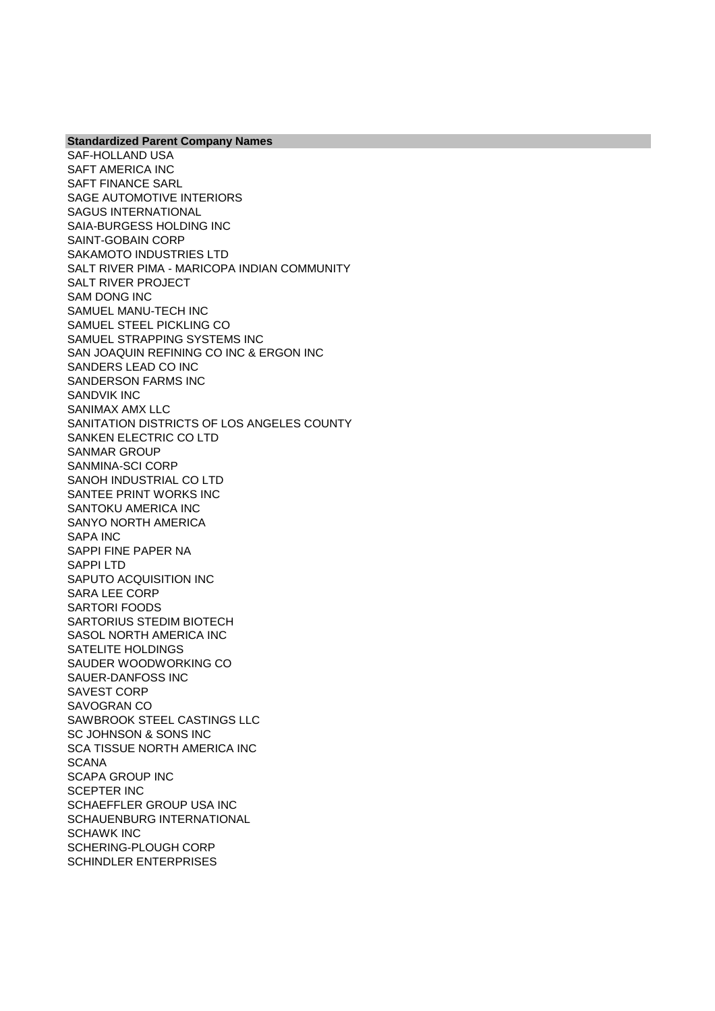**Standardized Parent Company Names** SAF-HOLLAND USA SAFT AMERICA INC SAFT FINANCE SARL SAGE AUTOMOTIVE INTERIORS SAGUS INTERNATIONAL SAIA-BURGESS HOLDING INC SAINT-GOBAIN CORP SAKAMOTO INDUSTRIES LTD SALT RIVER PIMA - MARICOPA INDIAN COMMUNITY SALT RIVER PROJECT SAM DONG INC SAMUEL MANU-TECH INC SAMUEL STEEL PICKLING CO SAMUEL STRAPPING SYSTEMS INC SAN JOAQUIN REFINING CO INC & ERGON INC SANDERS LEAD CO INC SANDERSON FARMS INC SANDVIK INC SANIMAX AMX LLC SANITATION DISTRICTS OF LOS ANGELES COUNTY SANKEN ELECTRIC CO LTD SANMAR GROUP SANMINA-SCI CORP SANOH INDUSTRIAL CO LTD SANTEE PRINT WORKS INC SANTOKU AMERICA INC SANYO NORTH AMERICA SAPA INC SAPPI FINE PAPER NA SAPPI LTD SAPUTO ACQUISITION INC SARA LEE CORP SARTORI FOODS SARTORIUS STEDIM BIOTECH SASOL NORTH AMERICA INC SATELITE HOLDINGS SAUDER WOODWORKING CO SAUER-DANFOSS INC SAVEST CORP SAVOGRAN CO SAWBROOK STEEL CASTINGS LLC SC JOHNSON & SONS INC SCA TISSUE NORTH AMERICA INC **SCANA** SCAPA GROUP INC SCEPTER INC SCHAEFFLER GROUP USA INC SCHAUENBURG INTERNATIONAL SCHAWK INC SCHERING-PLOUGH CORP SCHINDLER ENTERPRISES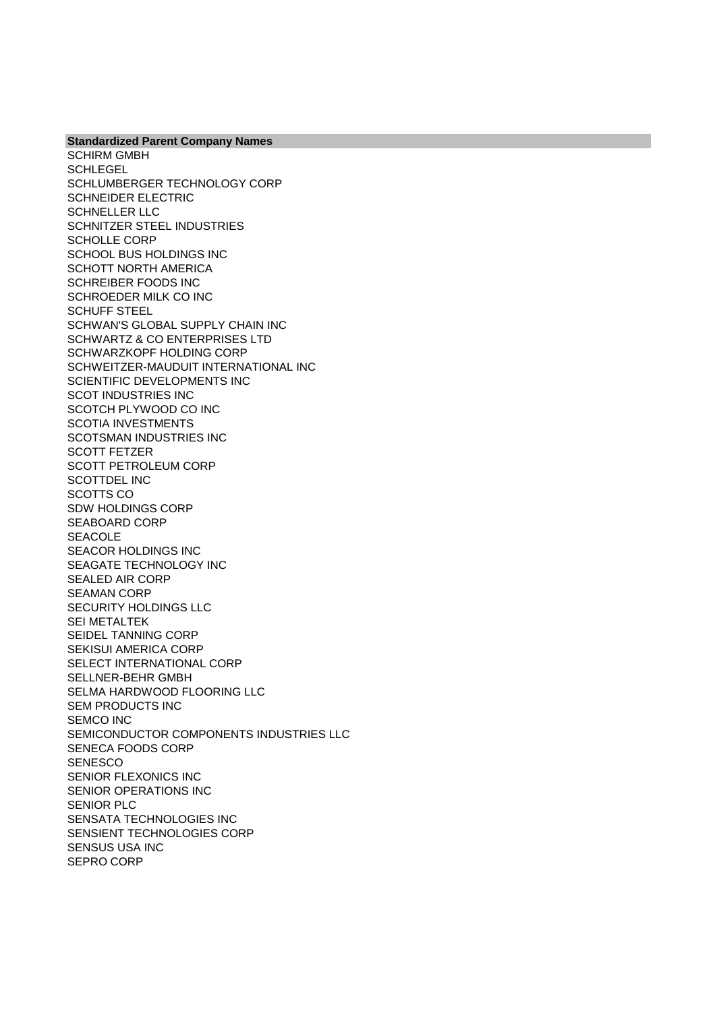**Standardized Parent Company Names** SCHIRM GMBH **SCHLEGEL** SCHLUMBERGER TECHNOLOGY CORP SCHNEIDER ELECTRIC SCHNELLER LLC SCHNITZER STEEL INDUSTRIES SCHOLLE CORP SCHOOL BUS HOLDINGS INC SCHOTT NORTH AMERICA SCHREIBER FOODS INC SCHROEDER MILK CO INC SCHUFF STEEL SCHWAN'S GLOBAL SUPPLY CHAIN INC SCHWARTZ & CO ENTERPRISES LTD SCHWARZKOPF HOLDING CORP SCHWEITZER-MAUDUIT INTERNATIONAL INC SCIENTIFIC DEVELOPMENTS INC SCOT INDUSTRIES INC SCOTCH PLYWOOD CO INC SCOTIA INVESTMENTS SCOTSMAN INDUSTRIES INC SCOTT FETZER SCOTT PETROLEUM CORP SCOTTDEL INC SCOTTS CO SDW HOLDINGS CORP SEABOARD CORP **SEACOLE** SEACOR HOLDINGS INC SEAGATE TECHNOLOGY INC SEALED AIR CORP SEAMAN CORP SECURITY HOLDINGS LLC SEI METALTEK SEIDEL TANNING CORP SEKISUI AMERICA CORP SELECT INTERNATIONAL CORP SELLNER-BEHR GMBH SELMA HARDWOOD FLOORING LLC SEM PRODUCTS INC SEMCO INC SEMICONDUCTOR COMPONENTS INDUSTRIES LLC SENECA FOODS CORP **SENESCO** SENIOR FLEXONICS INC SENIOR OPERATIONS INC SENIOR PLC SENSATA TECHNOLOGIES INC SENSIENT TECHNOLOGIES CORP SENSUS USA INC SEPRO CORP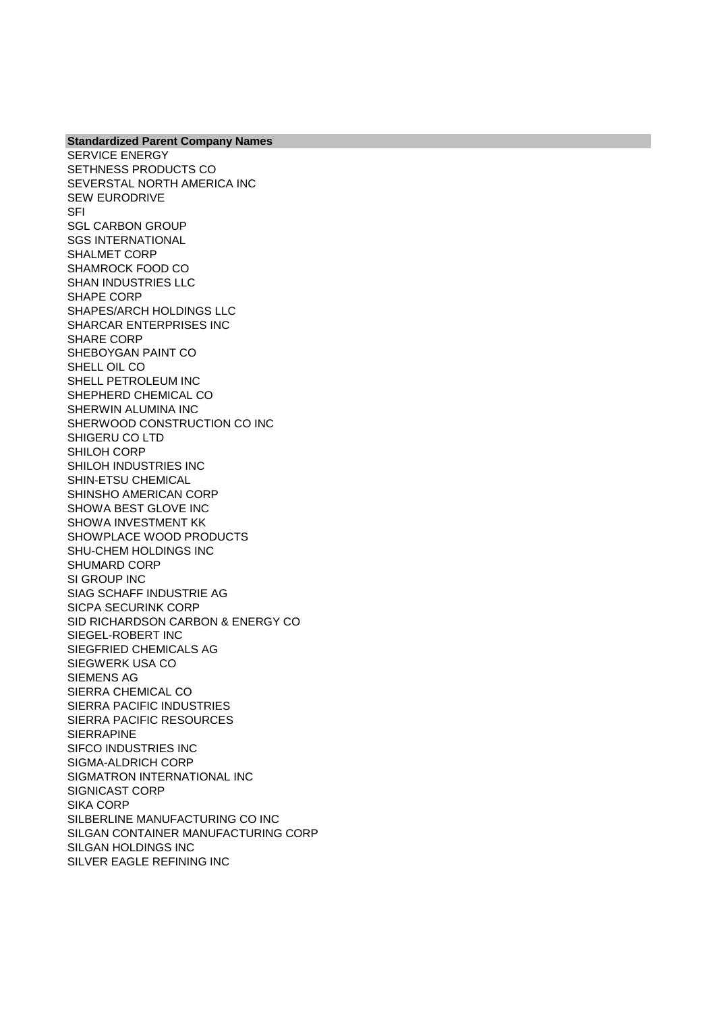SERVICE ENERGY SETHNESS PRODUCTS CO SEVERSTAL NORTH AMERICA INC SEW EURODRIVE **SFI** SGL CARBON GROUP SGS INTERNATIONAL SHALMET CORP SHAMROCK FOOD CO SHAN INDUSTRIES LLC SHAPE CORP SHAPES/ARCH HOLDINGS LLC SHARCAR ENTERPRISES INC SHARE CORP SHEBOYGAN PAINT CO SHELL OIL CO SHELL PETROLEUM INC SHEPHERD CHEMICAL CO SHERWIN ALUMINA INC SHERWOOD CONSTRUCTION CO INC SHIGERU CO LTD SHILOH CORP SHILOH INDUSTRIES INC SHIN-ETSU CHEMICAL SHINSHO AMERICAN CORP SHOWA BEST GLOVE INC SHOWA INVESTMENT KK SHOWPLACE WOOD PRODUCTS SHU-CHEM HOLDINGS INC SHUMARD CORP SI GROUP INC SIAG SCHAFF INDUSTRIE AG SICPA SECURINK CORP SID RICHARDSON CARBON & ENERGY CO SIEGEL-ROBERT INC SIEGFRIED CHEMICALS AG SIEGWERK USA CO SIEMENS AG SIERRA CHEMICAL CO SIERRA PACIFIC INDUSTRIES SIERRA PACIFIC RESOURCES **SIERRAPINE** SIFCO INDUSTRIES INC SIGMA-ALDRICH CORP SIGMATRON INTERNATIONAL INC SIGNICAST CORP SIKA CORP SILBERLINE MANUFACTURING CO INC SILGAN CONTAINER MANUFACTURING CORP SILGAN HOLDINGS INC SILVER EAGLE REFINING INC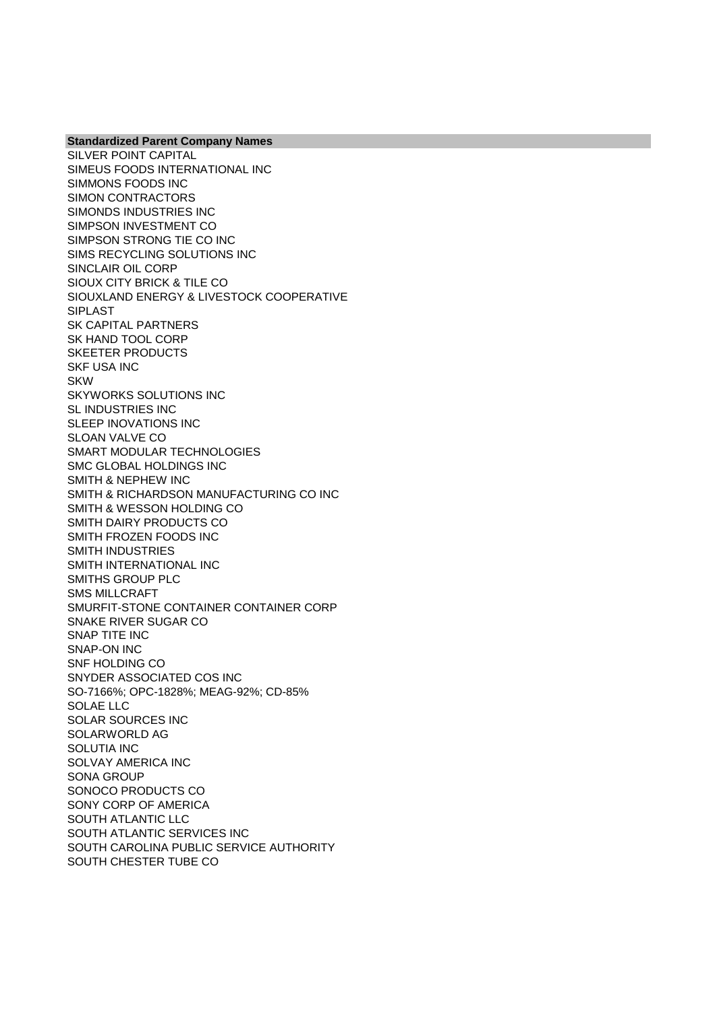SILVER POINT CAPITAL SIMEUS FOODS INTERNATIONAL INC SIMMONS FOODS INC SIMON CONTRACTORS SIMONDS INDUSTRIES INC SIMPSON INVESTMENT CO SIMPSON STRONG TIE CO INC SIMS RECYCLING SOLUTIONS INC SINCLAIR OIL CORP SIOUX CITY BRICK & TILE CO SIOUXLAND ENERGY & LIVESTOCK COOPERATIVE SIPLAST SK CAPITAL PARTNERS SK HAND TOOL CORP SKEETER PRODUCTS SKF USA INC SKW SKYWORKS SOLUTIONS INC SL INDUSTRIES INC SLEEP INOVATIONS INC SLOAN VALVE CO SMART MODULAR TECHNOLOGIES SMC GLOBAL HOLDINGS INC SMITH & NEPHEW INC SMITH & RICHARDSON MANUFACTURING CO INC SMITH & WESSON HOLDING CO SMITH DAIRY PRODUCTS CO SMITH FROZEN FOODS INC SMITH INDUSTRIES SMITH INTERNATIONAL INC SMITHS GROUP PLC SMS MILLCRAFT SMURFIT-STONE CONTAINER CONTAINER CORP SNAKE RIVER SUGAR CO SNAP TITE INC SNAP-ON INC SNF HOLDING CO SNYDER ASSOCIATED COS INC SO-7166%; OPC-1828%; MEAG-92%; CD-85% SOLAE LLC SOLAR SOURCES INC SOLARWORLD AG SOLUTIA INC SOLVAY AMERICA INC SONA GROUP SONOCO PRODUCTS CO SONY CORP OF AMERICA SOUTH ATLANTIC LLC SOUTH ATLANTIC SERVICES INC SOUTH CAROLINA PUBLIC SERVICE AUTHORITY SOUTH CHESTER TUBE CO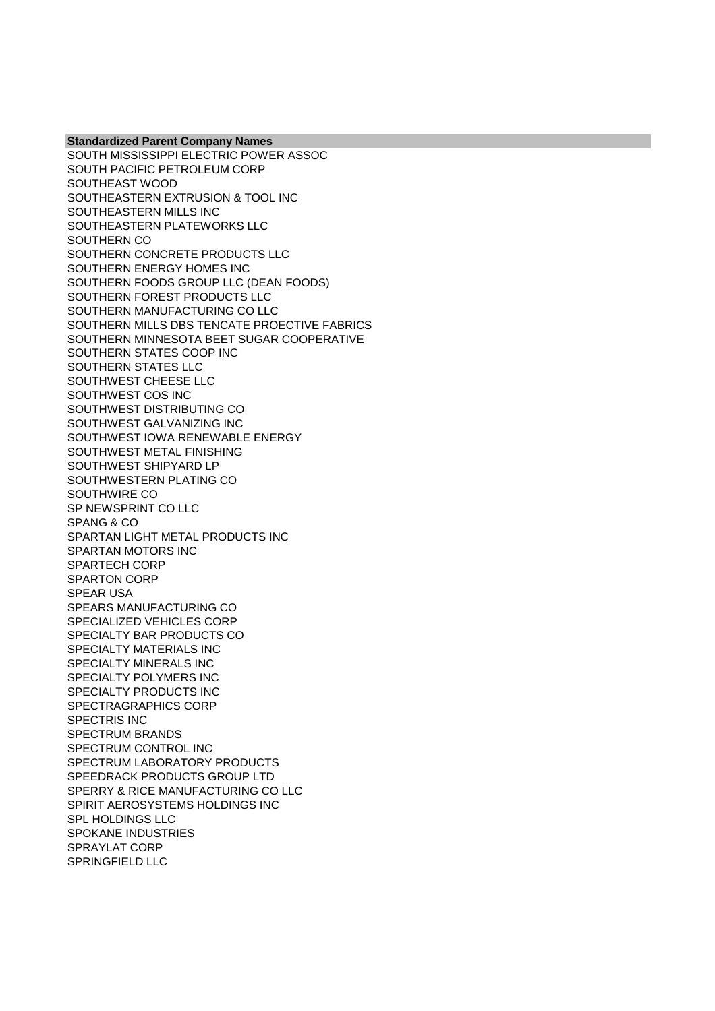**Standardized Parent Company Names** SOUTH MISSISSIPPI ELECTRIC POWER ASSOC SOUTH PACIFIC PETROLEUM CORP SOUTHEAST WOOD SOUTHEASTERN EXTRUSION & TOOL INC SOUTHEASTERN MILLS INC SOUTHEASTERN PLATEWORKS LLC SOUTHERN CO SOUTHERN CONCRETE PRODUCTS LLC SOUTHERN ENERGY HOMES INC SOUTHERN FOODS GROUP LLC (DEAN FOODS) SOUTHERN FOREST PRODUCTS LLC SOUTHERN MANUFACTURING CO LLC SOUTHERN MILLS DBS TENCATE PROECTIVE FABRICS SOUTHERN MINNESOTA BEET SUGAR COOPERATIVE SOUTHERN STATES COOP INC SOUTHERN STATES LLC SOUTHWEST CHEESE LLC SOUTHWEST COS INC SOUTHWEST DISTRIBUTING CO SOUTHWEST GALVANIZING INC SOUTHWEST IOWA RENEWABLE ENERGY SOUTHWEST METAL FINISHING SOUTHWEST SHIPYARD LP SOUTHWESTERN PLATING CO SOUTHWIRE CO SP NEWSPRINT CO LLC SPANG & CO SPARTAN LIGHT METAL PRODUCTS INC SPARTAN MOTORS INC SPARTECH CORP SPARTON CORP SPEAR USA SPEARS MANUFACTURING CO SPECIALIZED VEHICLES CORP SPECIALTY BAR PRODUCTS CO SPECIALTY MATERIALS INC SPECIALTY MINERALS INC SPECIALTY POLYMERS INC SPECIALTY PRODUCTS INC SPECTRAGRAPHICS CORP SPECTRIS INC SPECTRUM BRANDS SPECTRUM CONTROL INC SPECTRUM LABORATORY PRODUCTS SPEEDRACK PRODUCTS GROUP LTD SPERRY & RICE MANUFACTURING CO LLC SPIRIT AEROSYSTEMS HOLDINGS INC SPL HOLDINGS LLC SPOKANE INDUSTRIES SPRAYLAT CORP SPRINGFIELD LLC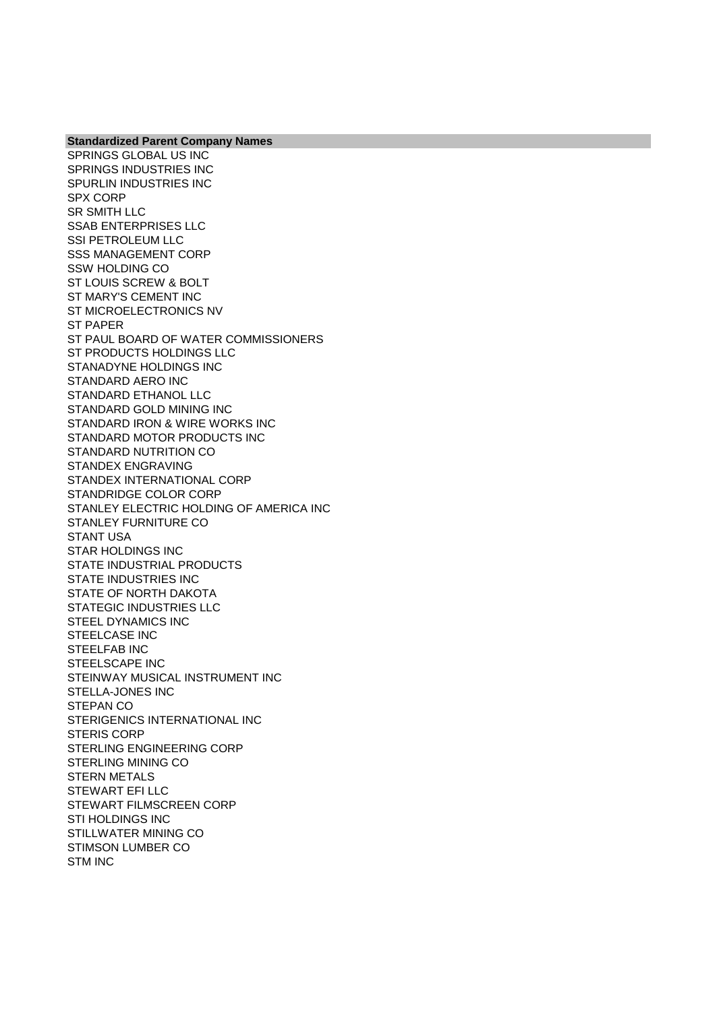**Standardized Parent Company Names** SPRINGS GLOBAL US INC SPRINGS INDUSTRIES INC SPURLIN INDUSTRIES INC SPX CORP SR SMITH LLC SSAB ENTERPRISES LLC SSI PETROLEUM LLC SSS MANAGEMENT CORP SSW HOLDING CO ST LOUIS SCREW & BOLT ST MARY'S CEMENT INC ST MICROELECTRONICS NV ST PAPER ST PAUL BOARD OF WATER COMMISSIONERS ST PRODUCTS HOLDINGS LLC STANADYNE HOLDINGS INC STANDARD AERO INC STANDARD ETHANOL LLC STANDARD GOLD MINING INC STANDARD IRON & WIRE WORKS INC STANDARD MOTOR PRODUCTS INC STANDARD NUTRITION CO STANDEX ENGRAVING STANDEX INTERNATIONAL CORP STANDRIDGE COLOR CORP STANLEY ELECTRIC HOLDING OF AMERICA INC STANLEY FURNITURE CO STANT USA STAR HOLDINGS INC STATE INDUSTRIAL PRODUCTS STATE INDUSTRIES INC STATE OF NORTH DAKOTA STATEGIC INDUSTRIES LLC STEEL DYNAMICS INC STEELCASE INC STEELFAB INC STEELSCAPE INC STEINWAY MUSICAL INSTRUMENT INC STELLA-JONES INC STEPAN CO STERIGENICS INTERNATIONAL INC STERIS CORP STERLING ENGINEERING CORP STERLING MINING CO STERN METALS STEWART EFI LLC STEWART FILMSCREEN CORP STI HOLDINGS INC STILLWATER MINING CO STIMSON LUMBER CO STM INC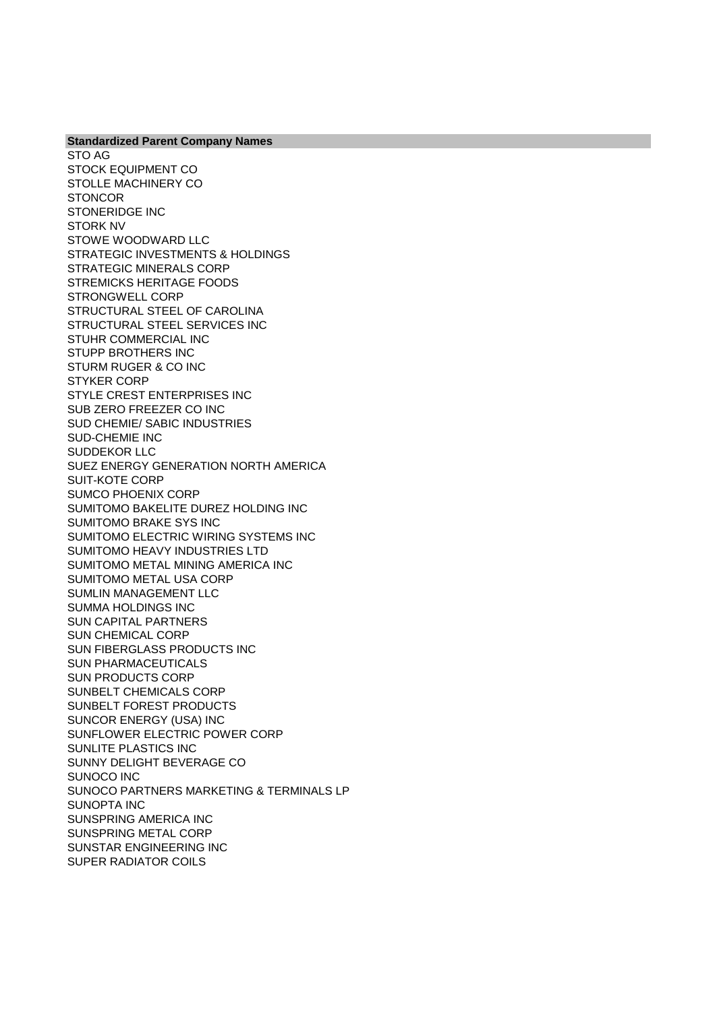**Standardized Parent Company Names** STO AG STOCK EQUIPMENT CO STOLLE MACHINERY CO **STONCOR** STONERIDGE INC STORK NV STOWE WOODWARD LLC STRATEGIC INVESTMENTS & HOLDINGS STRATEGIC MINERALS CORP STREMICKS HERITAGE FOODS STRONGWELL CORP STRUCTURAL STEEL OF CAROLINA STRUCTURAL STEEL SERVICES INC STUHR COMMERCIAL INC STUPP BROTHERS INC STURM RUGER & CO INC STYKER CORP STYLE CREST ENTERPRISES INC SUB ZERO FREEZER CO INC SUD CHEMIE/ SABIC INDUSTRIES SUD-CHEMIE INC SUDDEKOR LLC SUEZ ENERGY GENERATION NORTH AMERICA SUIT-KOTE CORP SUMCO PHOENIX CORP SUMITOMO BAKELITE DUREZ HOLDING INC SUMITOMO BRAKE SYS INC SUMITOMO ELECTRIC WIRING SYSTEMS INC SUMITOMO HEAVY INDUSTRIES LTD SUMITOMO METAL MINING AMERICA INC SUMITOMO METAL USA CORP SUMLIN MANAGEMENT LLC SUMMA HOLDINGS INC SUN CAPITAL PARTNERS SUN CHEMICAL CORP SUN FIBERGLASS PRODUCTS INC SUN PHARMACEUTICALS SUN PRODUCTS CORP SUNBELT CHEMICALS CORP SUNBELT FOREST PRODUCTS SUNCOR ENERGY (USA) INC SUNFLOWER ELECTRIC POWER CORP SUNLITE PLASTICS INC SUNNY DELIGHT BEVERAGE CO SUNOCO INC SUNOCO PARTNERS MARKETING & TERMINALS LP SUNOPTA INC SUNSPRING AMERICA INC SUNSPRING METAL CORP SUNSTAR ENGINEERING INC SUPER RADIATOR COILS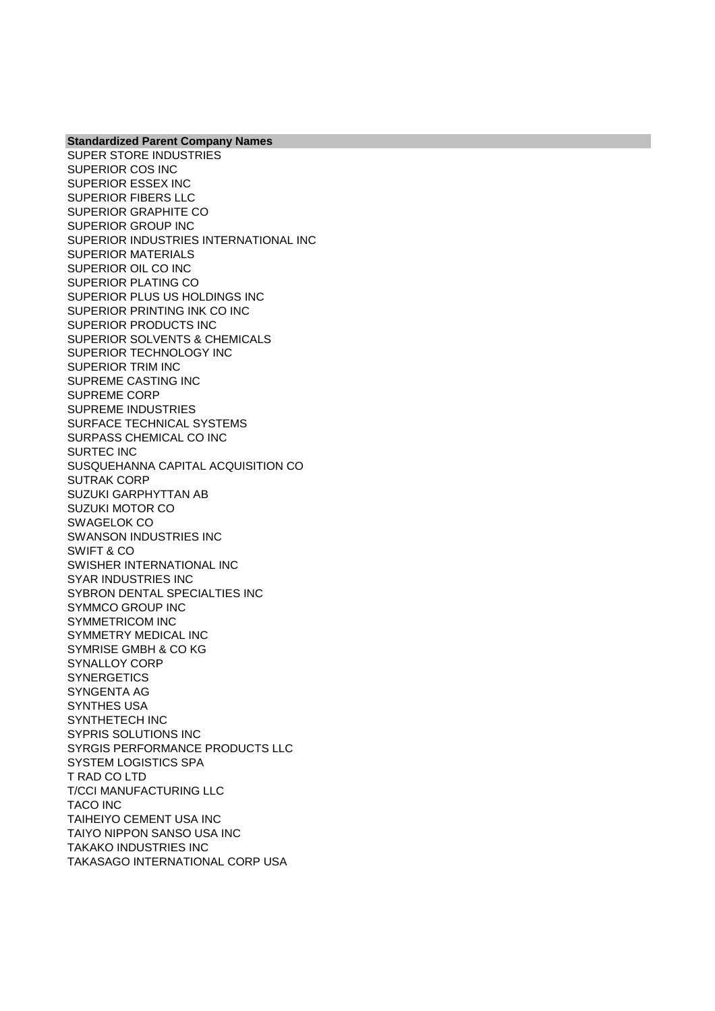SUPER STORE INDUSTRIES SUPERIOR COS INC SUPERIOR ESSEX INC SUPERIOR FIBERS LLC SUPERIOR GRAPHITE CO SUPERIOR GROUP INC SUPERIOR INDUSTRIES INTERNATIONAL INC SUPERIOR MATERIALS SUPERIOR OIL CO INC SUPERIOR PLATING CO SUPERIOR PLUS US HOLDINGS INC SUPERIOR PRINTING INK CO INC SUPERIOR PRODUCTS INC SUPERIOR SOLVENTS & CHEMICALS SUPERIOR TECHNOLOGY INC SUPERIOR TRIM INC SUPREME CASTING INC SUPREME CORP SUPREME INDUSTRIES SURFACE TECHNICAL SYSTEMS SURPASS CHEMICAL CO INC SURTEC INC SUSQUEHANNA CAPITAL ACQUISITION CO SUTRAK CORP SUZUKI GARPHYTTAN AB SUZUKI MOTOR CO SWAGELOK CO SWANSON INDUSTRIES INC SWIFT & CO SWISHER INTERNATIONAL INC SYAR INDUSTRIES INC SYBRON DENTAL SPECIALTIES INC SYMMCO GROUP INC SYMMETRICOM INC SYMMETRY MEDICAL INC SYMRISE GMBH & CO KG SYNALLOY CORP **SYNERGETICS** SYNGENTA AG SYNTHES USA SYNTHETECH INC SYPRIS SOLUTIONS INC SYRGIS PERFORMANCE PRODUCTS LLC SYSTEM LOGISTICS SPA T RAD CO LTD T/CCI MANUFACTURING LLC TACO INC TAIHEIYO CEMENT USA INC TAIYO NIPPON SANSO USA INC TAKAKO INDUSTRIES INC TAKASAGO INTERNATIONAL CORP USA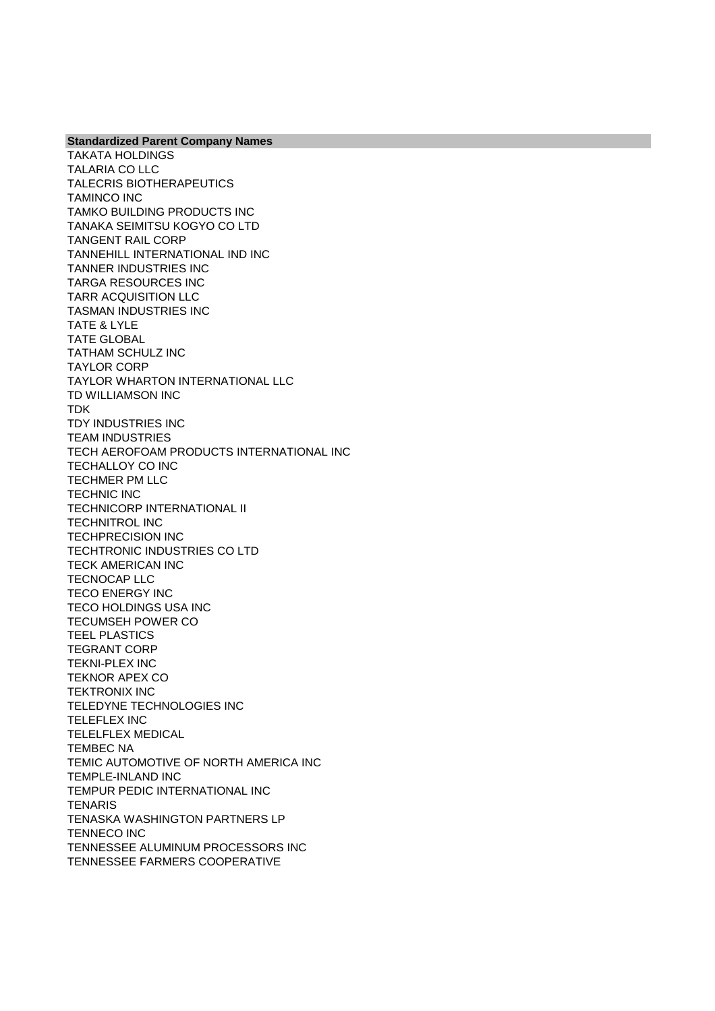**Standardized Parent Company Names** TAKATA HOLDINGS TALARIA CO LLC TALECRIS BIOTHERAPEUTICS TAMINCO INC TAMKO BUILDING PRODUCTS INC TANAKA SEIMITSU KOGYO CO LTD TANGENT RAIL CORP TANNEHILL INTERNATIONAL IND INC TANNER INDUSTRIES INC TARGA RESOURCES INC TARR ACQUISITION LLC TASMAN INDUSTRIES INC TATE & LYLE TATE GLOBAL TATHAM SCHULZ INC TAYLOR CORP TAYLOR WHARTON INTERNATIONAL LLC TD WILLIAMSON INC TDK TDY INDUSTRIES INC TEAM INDUSTRIES TECH AEROFOAM PRODUCTS INTERNATIONAL INC TECHALLOY CO INC TECHMER PM LLC TECHNIC INC TECHNICORP INTERNATIONAL II TECHNITROL INC TECHPRECISION INC TECHTRONIC INDUSTRIES CO LTD TECK AMERICAN INC TECNOCAP LLC TECO ENERGY INC TECO HOLDINGS USA INC TECUMSEH POWER CO TEEL PLASTICS TEGRANT CORP TEKNI-PLEX INC TEKNOR APEX CO TEKTRONIX INC TELEDYNE TECHNOLOGIES INC TELEFLEX INC TELELFLEX MEDICAL TEMBEC NA TEMIC AUTOMOTIVE OF NORTH AMERICA INC TEMPLE-INLAND INC TEMPUR PEDIC INTERNATIONAL INC **TENARIS** TENASKA WASHINGTON PARTNERS LP TENNECO INC TENNESSEE ALUMINUM PROCESSORS INC TENNESSEE FARMERS COOPERATIVE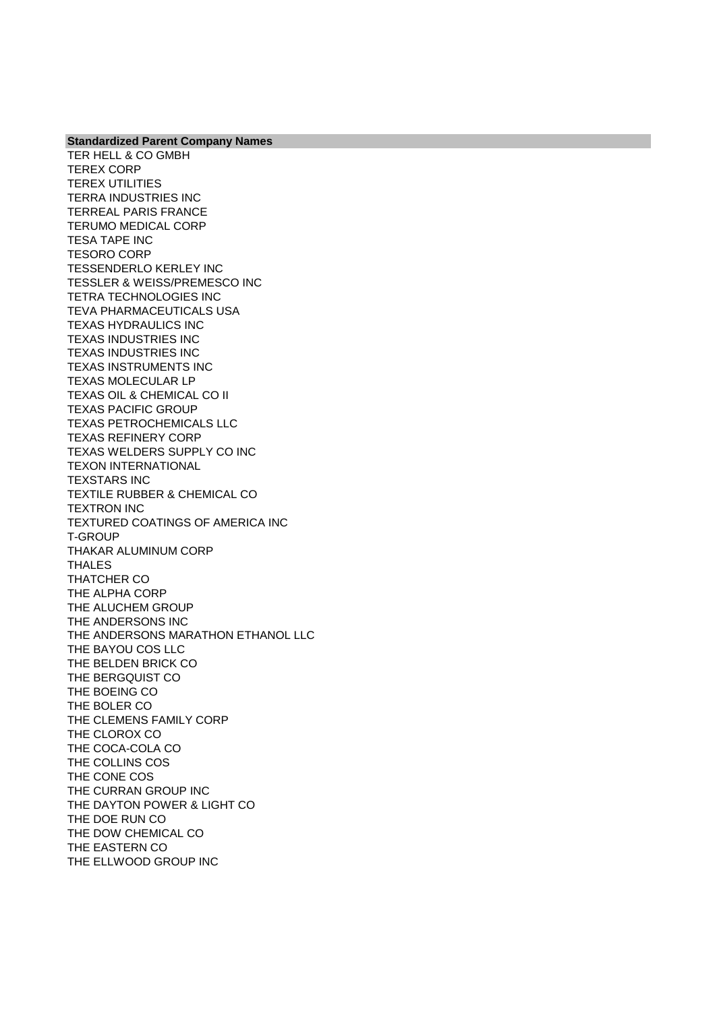TER HELL & CO GMBH TEREX CORP TEREX UTILITIES TERRA INDUSTRIES INC TERREAL PARIS FRANCE TERUMO MEDICAL CORP TESA TAPE INC TESORO CORP TESSENDERLO KERLEY INC TESSLER & WEISS/PREMESCO INC TETRA TECHNOLOGIES INC TEVA PHARMACEUTICALS USA TEXAS HYDRAULICS INC TEXAS INDUSTRIES INC TEXAS INDUSTRIES INC TEXAS INSTRUMENTS INC TEXAS MOLECULAR LP TEXAS OIL & CHEMICAL CO II TEXAS PACIFIC GROUP TEXAS PETROCHEMICALS LLC TEXAS REFINERY CORP TEXAS WELDERS SUPPLY CO INC TEXON INTERNATIONAL TEXSTARS INC TEXTILE RUBBER & CHEMICAL CO TEXTRON INC TEXTURED COATINGS OF AMERICA INC T-GROUP THAKAR ALUMINUM CORP THALES THATCHER CO THE ALPHA CORP THE ALUCHEM GROUP THE ANDERSONS INC THE ANDERSONS MARATHON ETHANOL LLC THE BAYOU COS LLC THE BELDEN BRICK CO THE BERGQUIST CO THE BOEING CO THE BOLER CO THE CLEMENS FAMILY CORP THE CLOROX CO THE COCA-COLA CO THE COLLINS COS THE CONE COS THE CURRAN GROUP INC THE DAYTON POWER & LIGHT CO THE DOE RUN CO THE DOW CHEMICAL CO THE EASTERN CO THE ELLWOOD GROUP INC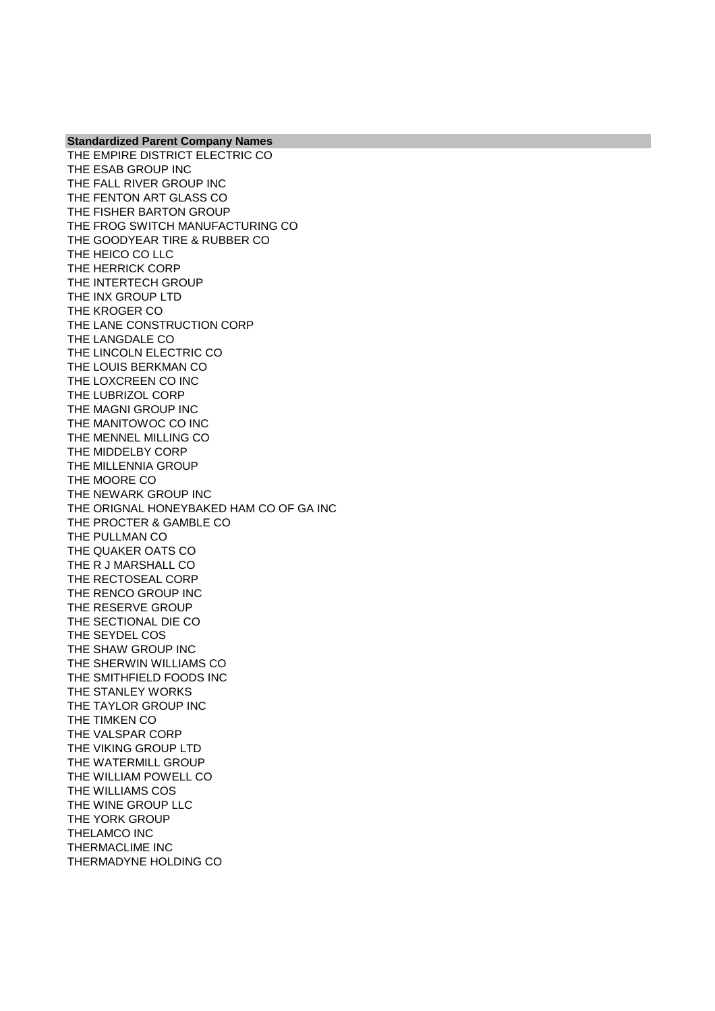THE EMPIRE DISTRICT ELECTRIC CO THE ESAB GROUP INC THE FALL RIVER GROUP INC THE FENTON ART GLASS CO THE FISHER BARTON GROUP THE FROG SWITCH MANUFACTURING CO THE GOODYEAR TIRE & RUBBER CO THE HEICO CO LLC THE HERRICK CORP THE INTERTECH GROUP THE INX GROUP LTD THE KROGER CO THE LANE CONSTRUCTION CORP THE LANGDALE CO THE LINCOLN ELECTRIC CO THE LOUIS BERKMAN CO THE LOXCREEN CO INC THE LUBRIZOL CORP THE MAGNI GROUP INC THE MANITOWOC CO INC THE MENNEL MILLING CO THE MIDDELBY CORP THE MILLENNIA GROUP THE MOORE CO THE NEWARK GROUP INC THE ORIGNAL HONEYBAKED HAM CO OF GA INC THE PROCTER & GAMBLE CO THE PULLMAN CO THE QUAKER OATS CO THE R J MARSHALL CO THE RECTOSEAL CORP THE RENCO GROUP INC THE RESERVE GROUP THE SECTIONAL DIE CO THE SEYDEL COS THE SHAW GROUP INC THE SHERWIN WILLIAMS CO THE SMITHFIELD FOODS INC THE STANLEY WORKS THE TAYLOR GROUP INC THE TIMKEN CO THE VALSPAR CORP THE VIKING GROUP LTD THE WATERMILL GROUP THE WILLIAM POWELL CO THE WILLIAMS COS THE WINE GROUP LLC THE YORK GROUP THELAMCO INC THERMACLIME INC THERMADYNE HOLDING CO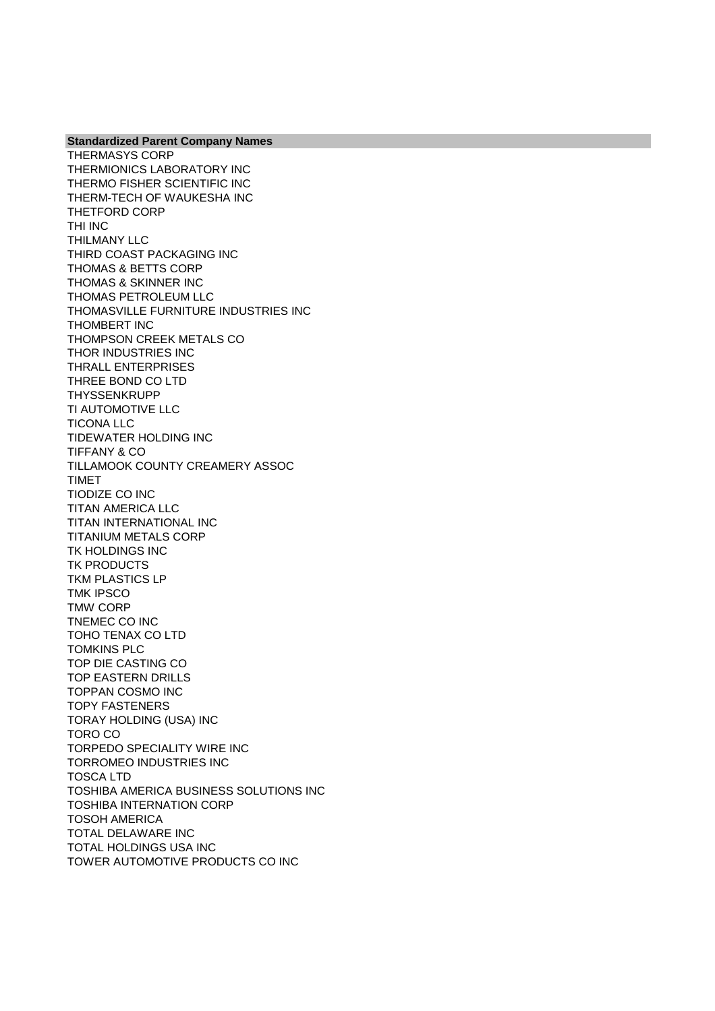**Standardized Parent Company Names** THERMASYS CORP THERMIONICS LABORATORY INC THERMO FISHER SCIENTIFIC INC THERM-TECH OF WAUKESHA INC THETFORD CORP THI INC THILMANY LLC THIRD COAST PACKAGING INC THOMAS & BETTS CORP THOMAS & SKINNER INC THOMAS PETROLEUM LLC THOMASVILLE FURNITURE INDUSTRIES INC THOMBERT INC THOMPSON CREEK METALS CO THOR INDUSTRIES INC THRALL ENTERPRISES THREE BOND CO LTD THYSSENKRUPP TI AUTOMOTIVE LLC TICONA LLC TIDEWATER HOLDING INC TIFFANY & CO TILLAMOOK COUNTY CREAMERY ASSOC TIMET TIODIZE CO INC TITAN AMERICA LLC TITAN INTERNATIONAL INC TITANIUM METALS CORP TK HOLDINGS INC TK PRODUCTS TKM PLASTICS LP TMK IPSCO TMW CORP TNEMEC CO INC TOHO TENAX CO LTD TOMKINS PLC TOP DIE CASTING CO TOP EASTERN DRILLS TOPPAN COSMO INC TOPY FASTENERS TORAY HOLDING (USA) INC TORO CO TORPEDO SPECIALITY WIRE INC TORROMEO INDUSTRIES INC TOSCA LTD TOSHIBA AMERICA BUSINESS SOLUTIONS INC TOSHIBA INTERNATION CORP TOSOH AMERICA TOTAL DELAWARE INC TOTAL HOLDINGS USA INC TOWER AUTOMOTIVE PRODUCTS CO INC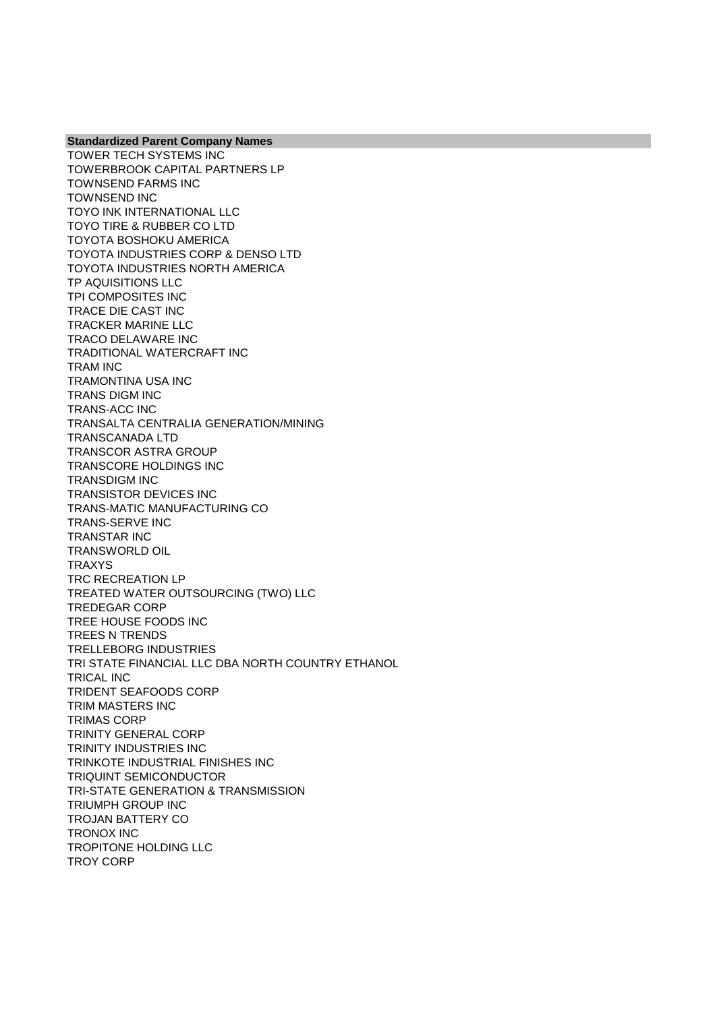TOWER TECH SYSTEMS INC TOWERBROOK CAPITAL PARTNERS LP TOWNSEND FARMS INC TOWNSEND INC TOYO INK INTERNATIONAL LLC TOYO TIRE & RUBBER CO LTD TOYOTA BOSHOKU AMERICA TOYOTA INDUSTRIES CORP & DENSO LTD TOYOTA INDUSTRIES NORTH AMERICA TP AQUISITIONS LLC TPI COMPOSITES INC TRACE DIE CAST INC TRACKER MARINE LLC TRACO DELAWARE INC TRADITIONAL WATERCRAFT INC TRAM INC TRAMONTINA USA INC TRANS DIGM INC TRANS-ACC INC TRANSALTA CENTRALIA GENERATION/MINING TRANSCANADA LTD TRANSCOR ASTRA GROUP TRANSCORE HOLDINGS INC TRANSDIGM INC TRANSISTOR DEVICES INC TRANS-MATIC MANUFACTURING CO TRANS-SERVE INC TRANSTAR INC TRANSWORLD OIL TRAXYS TRC RECREATION LP TREATED WATER OUTSOURCING (TWO) LLC TREDEGAR CORP TREE HOUSE FOODS INC TREES N TRENDS TRELLEBORG INDUSTRIES TRI STATE FINANCIAL LLC DBA NORTH COUNTRY ETHANOL TRICAL INC TRIDENT SEAFOODS CORP TRIM MASTERS INC TRIMAS CORP TRINITY GENERAL CORP TRINITY INDUSTRIES INC TRINKOTE INDUSTRIAL FINISHES INC TRIQUINT SEMICONDUCTOR TRI-STATE GENERATION & TRANSMISSION TRIUMPH GROUP INC TROJAN BATTERY CO TRONOX INC TROPITONE HOLDING LLC TROY CORP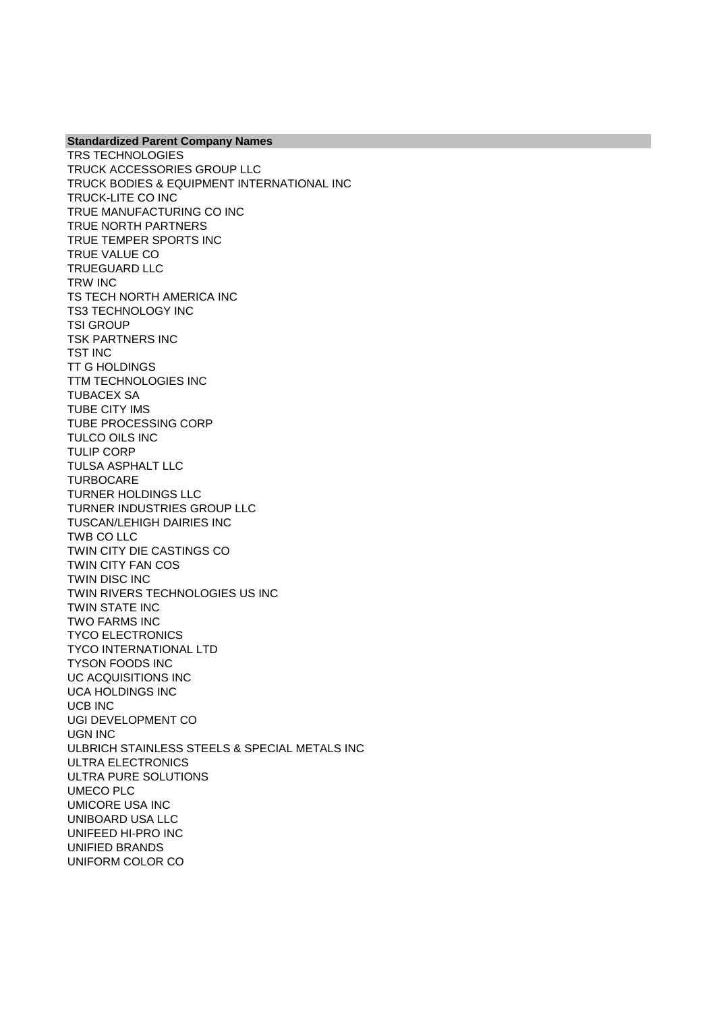TRS TECHNOLOGIES TRUCK ACCESSORIES GROUP LLC TRUCK BODIES & EQUIPMENT INTERNATIONAL INC TRUCK-LITE CO INC TRUE MANUFACTURING CO INC TRUE NORTH PARTNERS TRUE TEMPER SPORTS INC TRUE VALUE CO TRUEGUARD LLC TRW INC TS TECH NORTH AMERICA INC TS3 TECHNOLOGY INC TSI GROUP TSK PARTNERS INC TST INC TT G HOLDINGS TTM TECHNOLOGIES INC TUBACEX SA TUBE CITY IMS TUBE PROCESSING CORP TULCO OILS INC TULIP CORP TULSA ASPHALT LLC **TURBOCARE** TURNER HOLDINGS LLC TURNER INDUSTRIES GROUP LLC TUSCAN/LEHIGH DAIRIES INC TWB CO LLC TWIN CITY DIE CASTINGS CO TWIN CITY FAN COS TWIN DISC INC TWIN RIVERS TECHNOLOGIES US INC TWIN STATE INC TWO FARMS INC TYCO ELECTRONICS TYCO INTERNATIONAL LTD TYSON FOODS INC UC ACQUISITIONS INC UCA HOLDINGS INC UCB INC UGI DEVELOPMENT CO UGN INC ULBRICH STAINLESS STEELS & SPECIAL METALS INC ULTRA ELECTRONICS ULTRA PURE SOLUTIONS UMECO PLC UMICORE USA INC UNIBOARD USA LLC UNIFEED HI-PRO INC UNIFIED BRANDS UNIFORM COLOR CO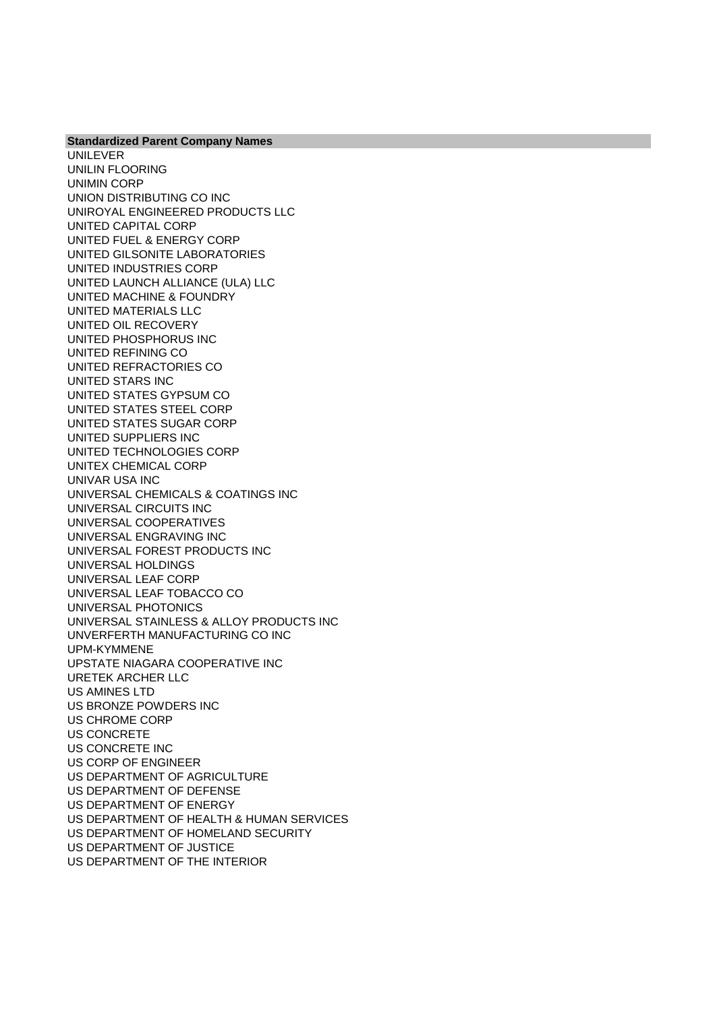**Standardized Parent Company Names** UNILEVER UNILIN FLOORING UNIMIN CORP UNION DISTRIBUTING CO INC UNIROYAL ENGINEERED PRODUCTS LLC UNITED CAPITAL CORP UNITED FUEL & ENERGY CORP UNITED GILSONITE LABORATORIES UNITED INDUSTRIES CORP UNITED LAUNCH ALLIANCE (ULA) LLC UNITED MACHINE & FOUNDRY UNITED MATERIALS LLC UNITED OIL RECOVERY UNITED PHOSPHORUS INC UNITED REFINING CO UNITED REFRACTORIES CO UNITED STARS INC UNITED STATES GYPSUM CO UNITED STATES STEEL CORP UNITED STATES SUGAR CORP UNITED SUPPLIERS INC UNITED TECHNOLOGIES CORP UNITEX CHEMICAL CORP UNIVAR USA INC UNIVERSAL CHEMICALS & COATINGS INC UNIVERSAL CIRCUITS INC UNIVERSAL COOPERATIVES UNIVERSAL ENGRAVING INC UNIVERSAL FOREST PRODUCTS INC UNIVERSAL HOLDINGS UNIVERSAL LEAF CORP UNIVERSAL LEAF TOBACCO CO UNIVERSAL PHOTONICS UNIVERSAL STAINLESS & ALLOY PRODUCTS INC UNVERFERTH MANUFACTURING CO INC UPM-KYMMENE UPSTATE NIAGARA COOPERATIVE INC URETEK ARCHER LLC US AMINES LTD US BRONZE POWDERS INC US CHROME CORP US CONCRETE US CONCRETE INC US CORP OF ENGINEER US DEPARTMENT OF AGRICULTURE US DEPARTMENT OF DEFENSE US DEPARTMENT OF ENERGY US DEPARTMENT OF HEALTH & HUMAN SERVICES US DEPARTMENT OF HOMELAND SECURITY US DEPARTMENT OF JUSTICE US DEPARTMENT OF THE INTERIOR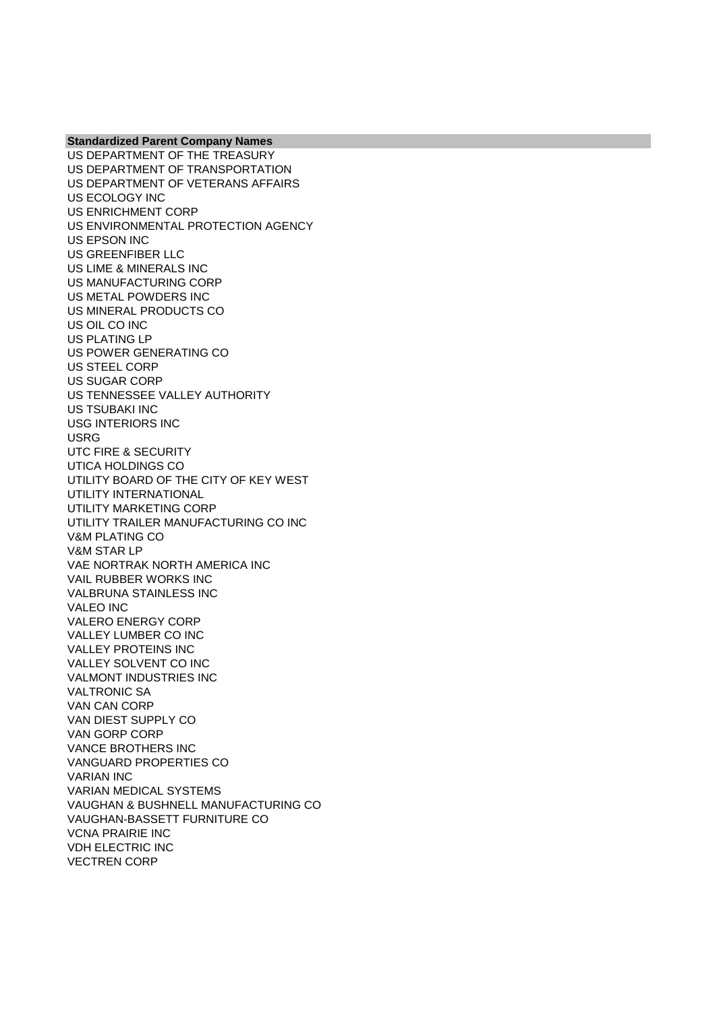US DEPARTMENT OF THE TREASURY US DEPARTMENT OF TRANSPORTATION US DEPARTMENT OF VETERANS AFFAIRS US ECOLOGY INC US ENRICHMENT CORP US ENVIRONMENTAL PROTECTION AGENCY US EPSON INC US GREENFIBER LLC US LIME & MINERALS INC US MANUFACTURING CORP US METAL POWDERS INC US MINERAL PRODUCTS CO US OIL CO INC US PLATING LP US POWER GENERATING CO US STEEL CORP US SUGAR CORP US TENNESSEE VALLEY AUTHORITY US TSUBAKI INC USG INTERIORS INC USRG UTC FIRE & SECURITY UTICA HOLDINGS CO UTILITY BOARD OF THE CITY OF KEY WEST UTILITY INTERNATIONAL UTILITY MARKETING CORP UTILITY TRAILER MANUFACTURING CO INC V&M PLATING CO V&M STAR LP VAE NORTRAK NORTH AMERICA INC VAIL RUBBER WORKS INC VALBRUNA STAINLESS INC VALEO INC VALERO ENERGY CORP VALLEY LUMBER CO INC VALLEY PROTEINS INC VALLEY SOLVENT CO INC VALMONT INDUSTRIES INC VALTRONIC SA VAN CAN CORP VAN DIEST SUPPLY CO VAN GORP CORP VANCE BROTHERS INC VANGUARD PROPERTIES CO VARIAN INC VARIAN MEDICAL SYSTEMS VAUGHAN & BUSHNELL MANUFACTURING CO VAUGHAN-BASSETT FURNITURE CO VCNA PRAIRIE INC VDH ELECTRIC INC VECTREN CORP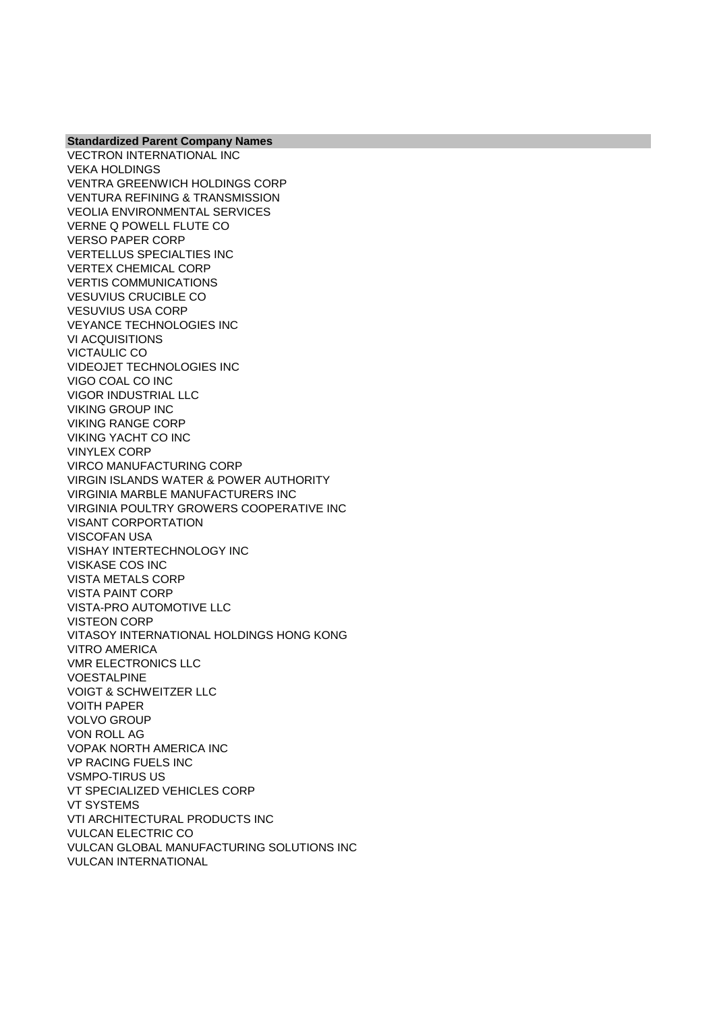VECTRON INTERNATIONAL INC VEKA HOLDINGS VENTRA GREENWICH HOLDINGS CORP VENTURA REFINING & TRANSMISSION VEOLIA ENVIRONMENTAL SERVICES VERNE Q POWELL FLUTE CO VERSO PAPER CORP VERTELLUS SPECIALTIES INC VERTEX CHEMICAL CORP VERTIS COMMUNICATIONS VESUVIUS CRUCIBLE CO VESUVIUS USA CORP VEYANCE TECHNOLOGIES INC VI ACQUISITIONS VICTAULIC CO VIDEOJET TECHNOLOGIES INC VIGO COAL CO INC VIGOR INDUSTRIAL LLC VIKING GROUP INC VIKING RANGE CORP VIKING YACHT CO INC VINYLEX CORP VIRCO MANUFACTURING CORP VIRGIN ISLANDS WATER & POWER AUTHORITY VIRGINIA MARBLE MANUFACTURERS INC VIRGINIA POULTRY GROWERS COOPERATIVE INC VISANT CORPORTATION VISCOFAN USA VISHAY INTERTECHNOLOGY INC VISKASE COS INC VISTA METALS CORP VISTA PAINT CORP VISTA-PRO AUTOMOTIVE LLC VISTEON CORP VITASOY INTERNATIONAL HOLDINGS HONG KONG VITRO AMERICA VMR ELECTRONICS LLC VOESTALPINE VOIGT & SCHWEITZER LLC VOITH PAPER VOLVO GROUP VON ROLL AG VOPAK NORTH AMERICA INC VP RACING FUELS INC VSMPO-TIRUS US VT SPECIALIZED VEHICLES CORP VT SYSTEMS VTI ARCHITECTURAL PRODUCTS INC VULCAN ELECTRIC CO VULCAN GLOBAL MANUFACTURING SOLUTIONS INC VULCAN INTERNATIONAL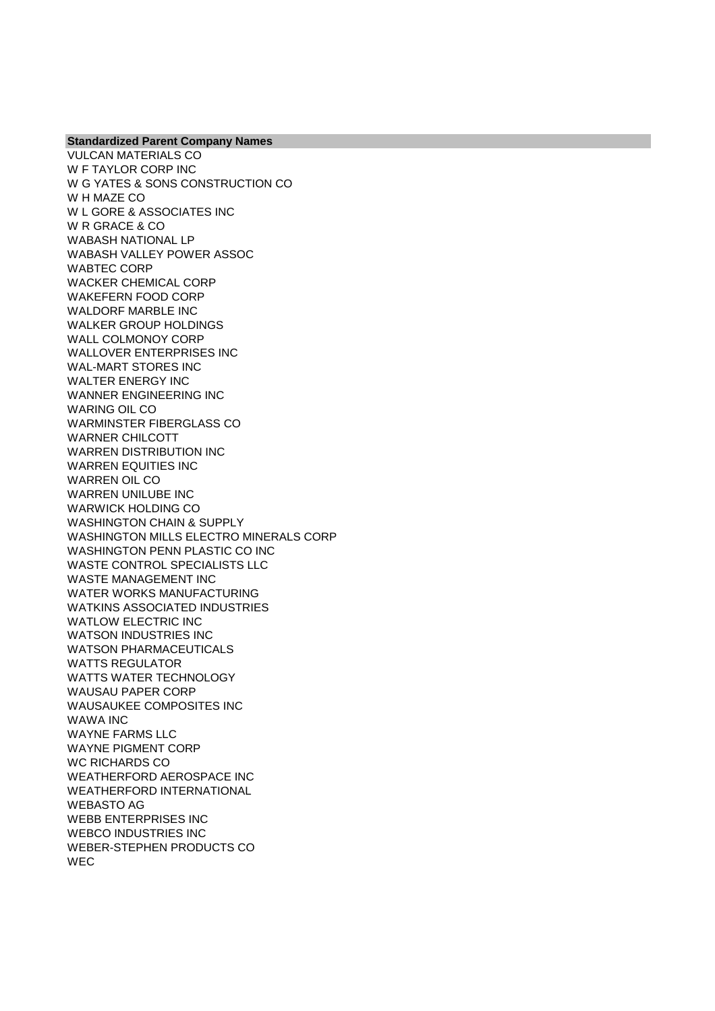VULCAN MATERIALS CO W F TAYLOR CORP INC W G YATES & SONS CONSTRUCTION CO W H MAZE CO W L GORE & ASSOCIATES INC W R GRACE & CO WABASH NATIONAL LP WABASH VALLEY POWER ASSOC WABTEC CORP WACKER CHEMICAL CORP WAKEFERN FOOD CORP WALDORF MARBLE INC WALKER GROUP HOLDINGS WALL COLMONOY CORP WALLOVER ENTERPRISES INC WAL-MART STORES INC WALTER ENERGY INC WANNER ENGINEERING INC WARING OIL CO WARMINSTER FIBERGLASS CO WARNER CHILCOTT WARREN DISTRIBUTION INC WARREN EQUITIES INC WARREN OIL CO WARREN UNILUBE INC WARWICK HOLDING CO WASHINGTON CHAIN & SUPPLY WASHINGTON MILLS ELECTRO MINERALS CORP WASHINGTON PENN PLASTIC CO INC WASTE CONTROL SPECIALISTS LLC WASTE MANAGEMENT INC WATER WORKS MANUFACTURING WATKINS ASSOCIATED INDUSTRIES WATLOW ELECTRIC INC WATSON INDUSTRIES INC WATSON PHARMACEUTICALS WATTS REGULATOR WATTS WATER TECHNOLOGY WAUSAU PAPER CORP WAUSAUKEE COMPOSITES INC WAWA INC WAYNE FARMS LLC WAYNE PIGMENT CORP WC RICHARDS CO WEATHERFORD AEROSPACE INC WEATHERFORD INTERNATIONAL WEBASTO AG WEBB ENTERPRISES INC WEBCO INDUSTRIES INC WEBER-STEPHEN PRODUCTS CO **WEC**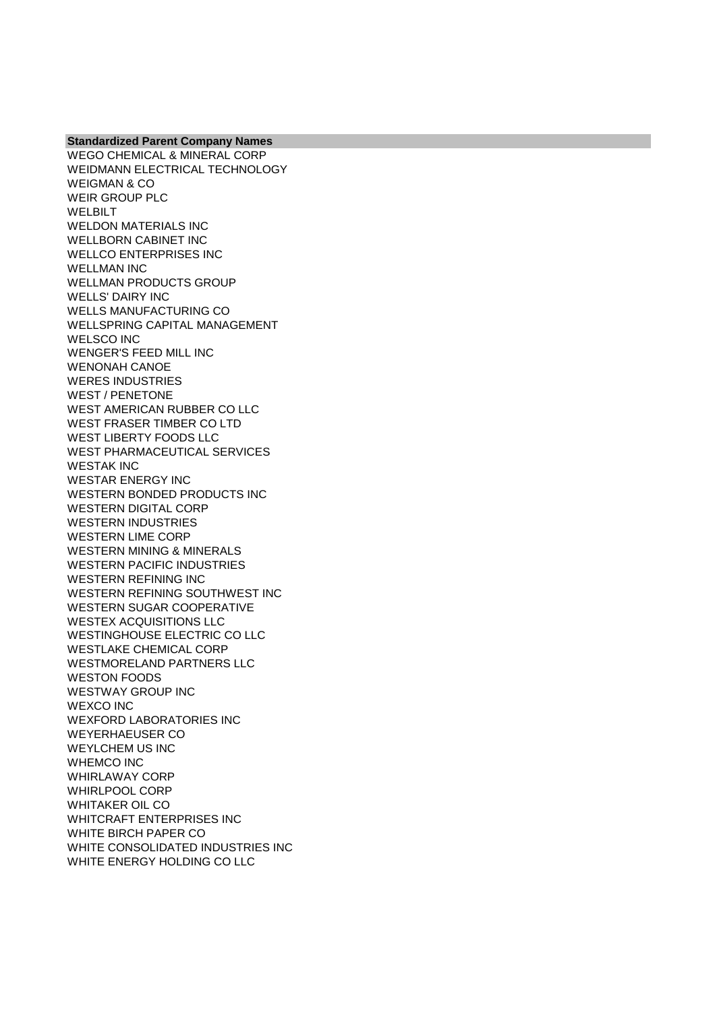**Standardized Parent Company Names** WEGO CHEMICAL & MINERAL CORP WEIDMANN ELECTRICAL TECHNOLOGY WEIGMAN & CO WEIR GROUP PLC WELBILT WELDON MATERIALS INC WELLBORN CABINET INC WELLCO ENTERPRISES INC WELLMAN INC WELLMAN PRODUCTS GROUP WELLS' DAIRY INC WELLS MANUFACTURING CO WELLSPRING CAPITAL MANAGEMENT WELSCO INC WENGER'S FEED MILL INC WENONAH CANOE WERES INDUSTRIES WEST / PENETONE WEST AMERICAN RUBBER CO LLC WEST FRASER TIMBER CO LTD WEST LIBERTY FOODS LLC WEST PHARMACEUTICAL SERVICES WESTAK INC WESTAR ENERGY INC WESTERN BONDED PRODUCTS INC WESTERN DIGITAL CORP WESTERN INDUSTRIES WESTERN LIME CORP WESTERN MINING & MINERALS WESTERN PACIFIC INDUSTRIES WESTERN REFINING INC WESTERN REFINING SOUTHWEST INC WESTERN SUGAR COOPERATIVE WESTEX ACQUISITIONS LLC WESTINGHOUSE ELECTRIC CO LLC WESTLAKE CHEMICAL CORP WESTMORELAND PARTNERS LLC WESTON FOODS WESTWAY GROUP INC WEXCO INC WEXFORD LABORATORIES INC WEYERHAEUSER CO WEYLCHEM US INC WHEMCO INC WHIRLAWAY CORP WHIRLPOOL CORP WHITAKER OIL CO WHITCRAFT ENTERPRISES INC WHITE BIRCH PAPER CO WHITE CONSOLIDATED INDUSTRIES INC WHITE ENERGY HOLDING CO LLC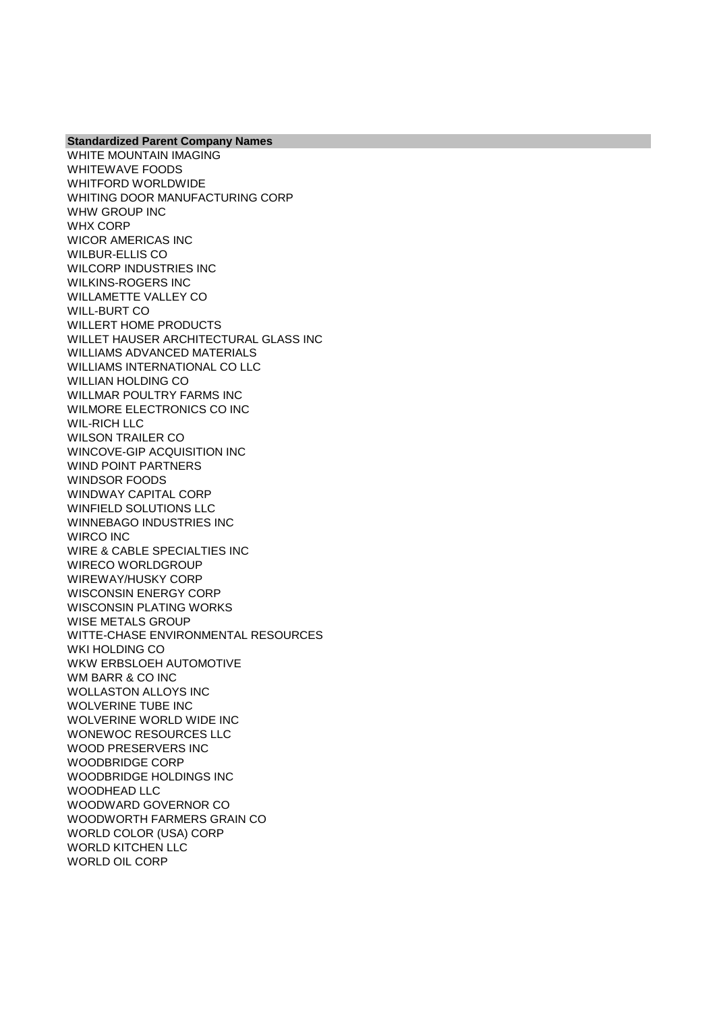WHITE MOUNTAIN IMAGING WHITEWAVE FOODS WHITFORD WORLDWIDE WHITING DOOR MANUFACTURING CORP WHW GROUP INC WHX CORP WICOR AMERICAS INC WILBUR-ELLIS CO WILCORP INDUSTRIES INC WILKINS-ROGERS INC WILLAMETTE VALLEY CO WILL-BURT CO WILLERT HOME PRODUCTS WILLET HAUSER ARCHITECTURAL GLASS INC WILLIAMS ADVANCED MATERIALS WILLIAMS INTERNATIONAL CO LLC WILLIAN HOLDING CO WILLMAR POULTRY FARMS INC WILMORE ELECTRONICS CO INC WIL-RICH LLC WILSON TRAILER CO WINCOVE-GIP ACQUISITION INC WIND POINT PARTNERS WINDSOR FOODS WINDWAY CAPITAL CORP WINFIELD SOLUTIONS LLC WINNEBAGO INDUSTRIES INC WIRCO INC WIRE & CABLE SPECIALTIES INC WIRECO WORLDGROUP WIREWAY/HUSKY CORP WISCONSIN ENERGY CORP WISCONSIN PLATING WORKS WISE METALS GROUP WITTE-CHASE ENVIRONMENTAL RESOURCES WKI HOLDING CO WKW ERBSLOEH AUTOMOTIVE WM BARR & CO INC WOLLASTON ALLOYS INC WOLVERINE TUBE INC WOLVERINE WORLD WIDE INC WONEWOC RESOURCES LLC WOOD PRESERVERS INC WOODBRIDGE CORP WOODBRIDGE HOLDINGS INC WOODHEAD LLC WOODWARD GOVERNOR CO WOODWORTH FARMERS GRAIN CO WORLD COLOR (USA) CORP WORLD KITCHEN LLC WORLD OIL CORP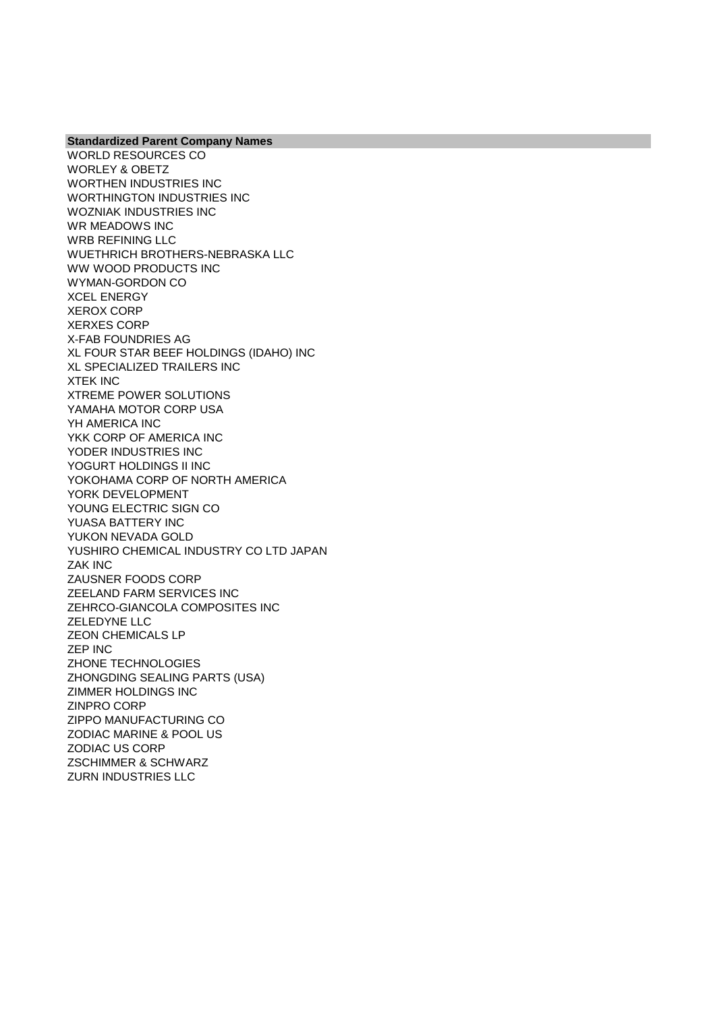WORLD RESOURCES CO WORLEY & OBETZ WORTHEN INDUSTRIES INC WORTHINGTON INDUSTRIES INC WOZNIAK INDUSTRIES INC WR MEADOWS INC WRB REFINING LLC WUETHRICH BROTHERS-NEBRASKA LLC WW WOOD PRODUCTS INC WYMAN-GORDON CO XCEL ENERGY XEROX CORP XERXES CORP X-FAB FOUNDRIES AG XL FOUR STAR BEEF HOLDINGS (IDAHO) INC XL SPECIALIZED TRAILERS INC XTEK INC XTREME POWER SOLUTIONS YAMAHA MOTOR CORP USA YH AMERICA INC YKK CORP OF AMERICA INC YODER INDUSTRIES INC YOGURT HOLDINGS II INC YOKOHAMA CORP OF NORTH AMERICA YORK DEVELOPMENT YOUNG ELECTRIC SIGN CO YUASA BATTERY INC YUKON NEVADA GOLD YUSHIRO CHEMICAL INDUSTRY CO LTD JAPAN ZAK INC ZAUSNER FOODS CORP ZEELAND FARM SERVICES INC ZEHRCO-GIANCOLA COMPOSITES INC ZELEDYNE LLC ZEON CHEMICALS LP ZEP INC ZHONE TECHNOLOGIES ZHONGDING SEALING PARTS (USA) ZIMMER HOLDINGS INC ZINPRO CORP ZIPPO MANUFACTURING CO ZODIAC MARINE & POOL US ZODIAC US CORP ZSCHIMMER & SCHWARZ ZURN INDUSTRIES LLC